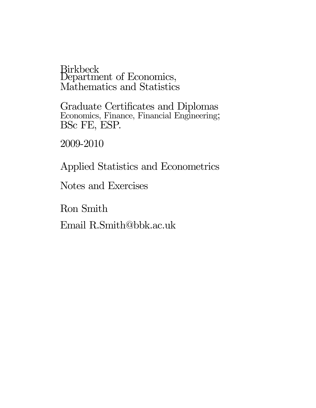Birkbeck Department of Economics, Mathematics and Statistics

Graduate Certificates and Diplomas Economics, Finance, Financial Engineering; BSc FE, ESP.

2009-2010

Applied Statistics and Econometrics

Notes and Exercises

Ron Smith

Email R.Smith@bbk.ac.uk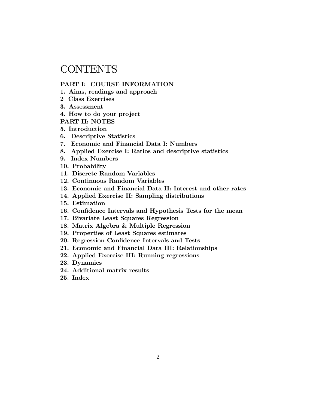# **CONTENTS**

## PART I: COURSE INFORMATION

- 1. Aims, readings and approach
- 2 Class Exercises
- 3. Assessment
- 4. How to do your project
- PART II: NOTES
- 5. Introduction
- 6. Descriptive Statistics
- 7. Economic and Financial Data I: Numbers
- 8. Applied Exercise I: Ratios and descriptive statistics
- 9. Index Numbers
- 10. Probability
- 11. Discrete Random Variables
- 12. Continuous Random Variables
- 13. Economic and Financial Data II: Interest and other rates
- 14. Applied Exercise II: Sampling distributions
- 15. Estimation
- 16. Confidence Intervals and Hypothesis Tests for the mean
- 17. Bivariate Least Squares Regression
- 18. Matrix Algebra & Multiple Regression
- 19. Properties of Least Squares estimates
- 20. Regression Confidence Intervals and Tests
- 21. Economic and Financial Data III: Relationships
- 22. Applied Exercise III: Running regressions
- 23. Dynamics
- 24. Additional matrix results
- 25. Index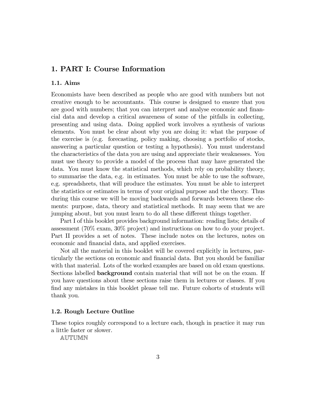# 1. PART I: Course Information

## 1.1. Aims

Economists have been described as people who are good with numbers but not creative enough to be accountants. This course is designed to ensure that you are good with numbers; that you can interpret and analyse economic and financial data and develop a critical awareness of some of the pitfalls in collecting, presenting and using data. Doing applied work involves a synthesis of various elements. You must be clear about why you are doing it: what the purpose of the exercise is (e.g. forecasting, policy making, choosing a portfolio of stocks, answering a particular question or testing a hypothesis). You must understand the characteristics of the data you are using and appreciate their weaknesses. You must use theory to provide a model of the process that may have generated the data. You must know the statistical methods, which rely on probability theory, to summarise the data, e.g. in estimates. You must be able to use the software, e.g. spreadsheets, that will produce the estimates. You must be able to interpret the statistics or estimates in terms of your original purpose and the theory. Thus during this course we will be moving backwards and forwards between these elements: purpose, data, theory and statistical methods. It may seem that we are jumping about, but you must learn to do all these different things together.

Part I of this booklet provides background information: reading lists; details of assessment (70% exam, 30% project) and instructions on how to do your project. Part II provides a set of notes. These include notes on the lectures, notes on economic and financial data, and applied exercises.

Not all the material in this booklet will be covered explicitly in lectures, particularly the sections on economic and Önancial data. But you should be familiar with that material. Lots of the worked examples are based on old exam questions. Sections labelled background contain material that will not be on the exam. If you have questions about these sections raise them in lectures or classes. If you find any mistakes in this booklet please tell me. Future cohorts of students will thank you.

### 1.2. Rough Lecture Outline

These topics roughly correspond to a lecture each, though in practice it may run a little faster or slower.

AUTUMN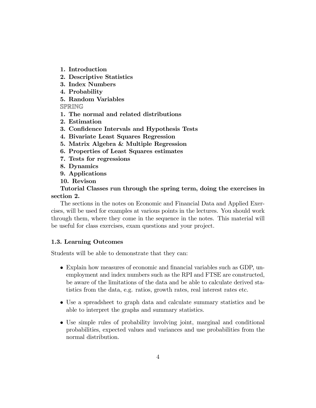1. Introduction

- 2. Descriptive Statistics
- 3. Index Numbers
- 4. Probability
- 5. Random Variables

SPRING

- 1. The normal and related distributions
- 2. Estimation
- 3. Confidence Intervals and Hypothesis Tests
- 4. Bivariate Least Squares Regression
- 5. Matrix Algebra & Multiple Regression
- 6. Properties of Least Squares estimates
- 7. Tests for regressions
- 8. Dynamics
- 9. Applications
- 10. Revison

Tutorial Classes run through the spring term, doing the exercises in section 2.

The sections in the notes on Economic and Financial Data and Applied Exercises, will be used for examples at various points in the lectures. You should work through them, where they come in the sequence in the notes. This material will be useful for class exercises, exam questions and your project.

## 1.3. Learning Outcomes

Students will be able to demonstrate that they can:

- Explain how measures of economic and financial variables such as GDP, unemployment and index numbers such as the RPI and FTSE are constructed, be aware of the limitations of the data and be able to calculate derived statistics from the data, e.g. ratios, growth rates, real interest rates etc.
- Use a spreadsheet to graph data and calculate summary statistics and be able to interpret the graphs and summary statistics.
- Use simple rules of probability involving joint, marginal and conditional probabilities, expected values and variances and use probabilities from the normal distribution.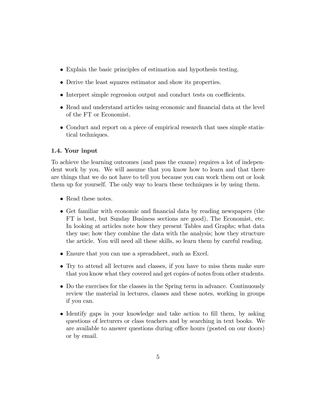- Explain the basic principles of estimation and hypothesis testing.
- Derive the least squares estimator and show its properties.
- $\bullet$  Interpret simple regression output and conduct tests on coefficients.
- Read and understand articles using economic and financial data at the level of the FT or Economist.
- Conduct and report on a piece of empirical research that uses simple statistical techniques.

## 1.4. Your input

To achieve the learning outcomes (and pass the exams) requires a lot of independent work by you. We will assume that you know how to learn and that there are things that we do not have to tell you because you can work them out or look them up for yourself. The only way to learn these techniques is by using them.

- Read these notes.
- Get familiar with economic and financial data by reading newspapers (the FT is best, but Sunday Business sections are good), The Economist, etc. In looking at articles note how they present Tables and Graphs; what data they use; how they combine the data with the analysis; how they structure the article. You will need all these skills, so learn them by careful reading.
- Ensure that you can use a spreadsheet, such as Excel.
- Try to attend all lectures and classes, if you have to miss them make sure that you know what they covered and get copies of notes from other students.
- Do the exercises for the classes in the Spring term in advance. Continuously review the material in lectures, classes and these notes, working in groups if you can.
- Identify gaps in your knowledge and take action to fill them, by asking questions of lecturers or class teachers and by searching in text books. We are available to answer questions during office hours (posted on our doors) or by email.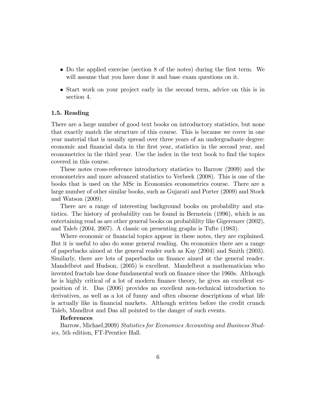- Do the applied exercise (section 8 of the notes) during the first term. We will assume that you have done it and base exam questions on it.
- Start work on your project early in the second term, advice on this is in section 4.

## 1.5. Reading

There are a large number of good text books on introductory statistics, but none that exactly match the structure of this course. This is because we cover in one year material that is usually spread over three years of an undergraduate degree: economic and financial data in the first year, statistics in the second year, and econometrics in the third year. Use the index in the text book to find the topics covered in this course.

These notes cross-reference introductory statistics to Barrow (2009) and the econometrics and more advanced statistics to Verbeek (2008). This is one of the books that is used on the MSc in Economics econometrics course. There are a large number of other similar books, such as Gujarati and Porter (2009) and Stock and Watson (2009).

There are a range of interesting background books on probability and statistics. The history of probability can be found in Bernstein (1996), which is an entertaining read as are other general books on probablility like Gigerenzer (2002), and Taleb (2004, 2007). A classic on presenting graphs is Tufte (1983).

Where economic or financial topics appear in these notes, they are explained. But it is useful to also do some general reading. On economics there are a range of paperbacks aimed at the general reader such as Kay (2004) and Smith (2003). Similarly, there are lots of paperbacks on finance aimed at the general reader. Mandelbrot and Hudson, (2005) is excellent. Mandelbrot a mathematician who invented fractals has done fundamental work on finance since the 1960s. Although he is highly critical of a lot of modern finance theory, he gives an excellent exposition of it. Das (2006) provides an excellent non-technical introduction to derivatives, as well as a lot of funny and often obscene descriptions of what life is actually like in financial markets. Although written before the credit crunch Taleb, Mandlrot and Das all pointed to the danger of such events.

#### References

Barrow, Michael,2009) Statistics for Economics Accounting and Business Studies, 5th edition, FT-Prentice Hall.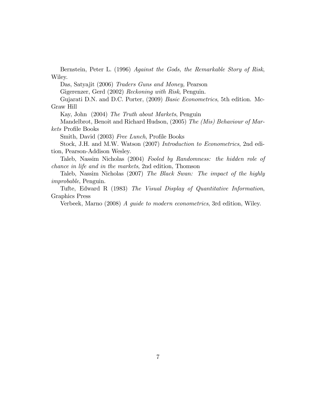Bernstein, Peter L. (1996) Against the Gods, the Remarkable Story of Risk, Wiley.

Das, Satyajit (2006) Traders Guns and Money, Pearson

Gigerenzer, Gerd (2002) Reckoning with Risk, Penguin.

Gujarati D.N. and D.C. Porter, (2009) Basic Econometrics, 5th edition. Mc-Graw Hill

Kay, John (2004) The Truth about Markets, Penguin

Mandelbrot, Benoit and Richard Hudson, (2005) The (Mis) Behaviour of Markets Profile Books

Smith, David (2003) Free Lunch, Profile Books

Stock, J.H. and M.W. Watson (2007) Introduction to Econometrics, 2nd edition, Pearson-Addison Wesley.

Taleb, Nassim Nicholas (2004) Fooled by Randomness: the hidden role of chance in life and in the markets, 2nd edition, Thomson

Taleb, Nassim Nicholas (2007) The Black Swan: The impact of the highly improbable, Penguin.

Tufte, Edward R (1983) The Visual Display of Quantitative Information, Graphics Press

Verbeek, Marno (2008) A guide to modern econometrics, 3rd edition, Wiley.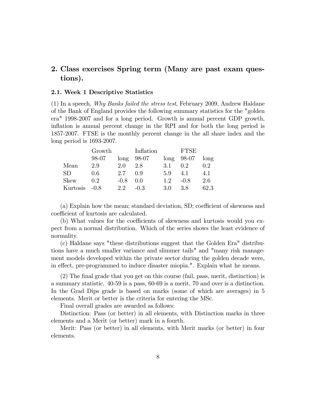# 2. Class exercises Spring term (Many are past exam questions).

#### 2.1. Week 1 Descriptive Statistics

(1) In a speech, Why Banks failed the stress test, February 2009, Andrew Haldane of the Bank of England provides the following summary statistics for the "golden era" 1998-2007 and for a long period. Growth is annual percent GDP growth, inflation is annual percent change in the RPI and for both the long period is 1857-2007. FTSE is the monthly percent change in the all share index and the long period is 1693-2007.

|               | Growth |        | Inflation |                  | FTSE          |      |
|---------------|--------|--------|-----------|------------------|---------------|------|
|               | 98-07  | long   | 98-07     |                  | $long$ 98-07  | long |
| Mean          | 2.9    | 2.0    | 2.8       | 3.1              | $0.2^{\circ}$ | 0.2  |
| <b>SD</b>     | 0.6    | 2.7    | 09        | 5.9              | 4.1           | 4.1  |
| <b>Skew</b>   | 0.2    | $-0.8$ | 0.0       | 1.2 <sub>1</sub> | $-0.8$        | 2.6  |
| Kurtosis -0.8 |        | 22     | $-0.3$    | 3.0              | 3.8           | 62.3 |

 $(a)$  Explain how the mean; standard deviation, SD; coefficient of skewness and coefficient of kurtosis are calculated.

(b) What values for the coefficients of skewness and kurtosis would you expect from a normal distribution. Which of the series shows the least evidence of normality.

(c) Haldane says "these distributions suggest that the Golden Era" distributions have a much smaller variance and slimmer tails" and "many risk management models developed within the private sector during the golden decade were, in effect, pre-programmed to induce disaster miopia.". Explain what he means.

(2) The Önal grade that you get on this course (fail, pass, merit, distinction) is a summary statistic. 40-59 is a pass, 60-69 is a merit, 70 and over is a distinction. In the Grad Dips grade is based on marks (some of which are averages) in 5 elements. Merit or better is the criteria for entering the MSc.

Final overall grades are awarded as follows:

Distinction: Pass (or better) in all elements, with Distinction marks in three elements and a Merit (or better) mark in a fourth.

Merit: Pass (or better) in all elements, with Merit marks (or better) in four elements.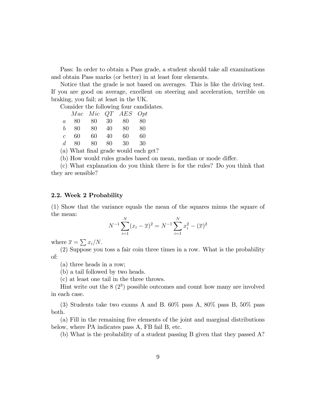Pass: In order to obtain a Pass grade, a student should take all examinations and obtain Pass marks (or better) in at least four elements.

Notice that the grade is not based on averages. This is like the driving test. If you are good on average, excellent on steering and acceleration, terrible on braking, you fail; at least in the UK.

Consider the following four candidates.

|                  |     |      |    | Mac Mic QT AES Opt |    |
|------------------|-----|------|----|--------------------|----|
| $\overline{a}$   | 80  | - 80 | 30 | 80                 | 80 |
| $\mathfrak{b}^-$ | 80  | 80   | 40 | 80                 | 80 |
| $\overline{c}$   | 60  | 60   | 40 | 60                 | 60 |
| $d_{-}$          | -80 | 80   | 80 | 30                 | 30 |

(a) What final grade would each get?

(b) How would rules grades based on mean, median or mode differ.

(c) What explanation do you think there is for the rules? Do you think that they are sensible?

#### 2.2. Week 2 Probability

(1) Show that the variance equals the mean of the squares minus the square of the mean:

$$
N^{-1} \sum_{i=1}^{N} (x_i - \overline{x})^2 = N^{-1} \sum_{i=1}^{N} x_i^2 - (\overline{x})^2
$$

where  $\overline{x} = \sum x_i/N$ .

(2) Suppose you toss a fair coin three times in a row. What is the probability of:

(a) three heads in a row;

(b) a tail followed by two heads.

(c) at least one tail in the three throws.

Hint write out the  $8(2^3)$  possible outcomes and count how many are involved in each case.

(3) Students take two exams A and B. 60% pass A, 80% pass B, 50% pass both.

(a) Fill in the remaining Öve elements of the joint and marginal distributions below, where PA indicates pass A, FB fail B, etc.

(b) What is the probability of a student passing B given that they passed A?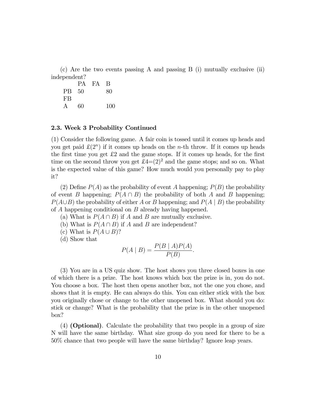(c) Are the two events passing A and passing B (i) mutually exclusive (ii) independent?

|       |    | PA FA | B   |
|-------|----|-------|-----|
| PB 50 |    |       | 80  |
| FB    |    |       |     |
| А     | 60 |       | 100 |

#### 2.3. Week 3 Probability Continued

(1) Consider the following game. A fair coin is tossed until it comes up heads and you get paid  $\mathcal{L}(2^n)$  if it comes up heads on the *n*-th throw. If it comes up heads the first time you get  $\pounds 2$  and the game stops. If it comes up heads, for the first time on the second throw you get  $\pounds4=(2)^2$  and the game stops; and so on. What is the expected value of this game? How much would you personally pay to play it?

(2) Define  $P(A)$  as the probability of event A happening;  $P(B)$  the probability of event B happening;  $P(A \cap B)$  the probability of both A and B happening;  $P(A\cup B)$  the probability of either A or B happening; and  $P(A \mid B)$  the probability of A happening conditional on B already having happened.

- (a) What is  $P(A \cap B)$  if A and B are mutually exclusive.
- (b) What is  $P(A \cap B)$  if A and B are independent?
- (c) What is  $P(A \cup B)$ ?
- (d) Show that

$$
P(A \mid B) = \frac{P(B \mid A)P(A)}{P(B)}.
$$

(3) You are in a US quiz show. The host shows you three closed boxes in one of which there is a prize. The host knows which box the prize is in, you do not. You choose a box. The host then opens another box, not the one you chose, and shows that it is empty. He can always do this. You can either stick with the box you originally chose or change to the other unopened box. What should you do: stick or change? What is the probability that the prize is in the other unopened box?

(4) (Optional). Calculate the probability that two people in a group of size N will have the same birthday. What size group do you need for there to be a 50% chance that two people will have the same birthday? Ignore leap years.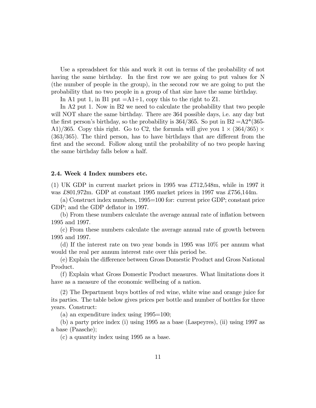Use a spreadsheet for this and work it out in terms of the probability of not having the same birthday. In the first row we are going to put values for N (the number of people in the group), in the second row we are going to put the probability that no two people in a group of that size have the same birthday.

In A1 put 1, in B1 put  $=A1+1$ , copy this to the right to Z1.

In A2 put 1. Now in B2 we need to calculate the probability that two people will NOT share the same birthday. There are 364 possible days, i.e. any day but the first person's birthday, so the probability is 364/365. So put in B2 = $A2*(365-$ A1)/365. Copy this right. Go to C2, the formula will give you  $1 \times (364/365) \times (364/365)$  $(363/365)$ . The third person, has to have birthdays that are different from the first and the second. Follow along until the probability of no two people having the same birthday falls below a half.

#### 2.4. Week 4 Index numbers etc.

(1) UK GDP in current market prices in 1995 was  $\pounds 712,548$ m, while in 1997 it was £801,972m. GDP at constant 1995 market prices in 1997 was £756,144m.

(a) Construct index numbers, 1995=100 for: current price GDP; constant price GDP; and the GDP deflator in 1997.

(b) From these numbers calculate the average annual rate of ináation between 1995 and 1997.

(c) From these numbers calculate the average annual rate of growth between 1995 and 1997.

(d) If the interest rate on two year bonds in 1995 was 10% per annum what would the real per annum interest rate over this period be.

(e) Explain the difference between Gross Domestic Product and Gross National Product.

(f) Explain what Gross Domestic Product measures. What limitations does it have as a measure of the economic wellbeing of a nation.

(2) The Department buys bottles of red wine, white wine and orange juice for its parties. The table below gives prices per bottle and number of bottles for three years. Construct:

(a) an expenditure index using 1995=100;

(b) a party price index (i) using 1995 as a base (Laspeyres), (ii) using 1997 as a base (Paasche);

(c) a quantity index using 1995 as a base.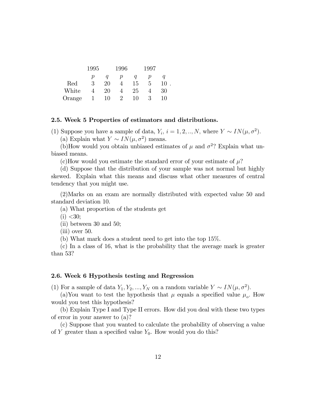|                      | 1995 |              | 1996                 |    | 1997 |    |
|----------------------|------|--------------|----------------------|----|------|----|
|                      | р    |              | р                    |    | р    |    |
| $\operatorname{Red}$ | 3    | $20^{\circ}$ |                      | 15 | 5    | 10 |
| White                |      | 20           |                      | 25 |      | 30 |
| Orange               |      | 10           | $\ddot{\phantom{0}}$ | 10 | 3    | 10 |

#### 2.5. Week 5 Properties of estimators and distributions.

(1) Suppose you have a sample of data,  $Y_i$ ,  $i = 1, 2, ..., N$ , where  $Y \sim IN(\mu, \sigma^2)$ .

:

(a) Explain what  $Y \sim IN(\mu, \sigma^2)$  means.

(b)How would you obtain unbiased estimates of  $\mu$  and  $\sigma^2$ ? Explain what unbiased means.

(c)How would you estimate the standard error of your estimate of  $\mu$ ?

(d) Suppose that the distribution of your sample was not normal but highly skewed. Explain what this means and discuss what other measures of central tendency that you might use.

(2)Marks on an exam are normally distributed with expected value 50 and standard deviation 10.

(a) What proportion of the students get

 $(i) < 30;$ 

(ii) between 30 and 50;

(iii) over 50.

(b) What mark does a student need to get into the top 15%.

(c) In a class of 16, what is the probability that the average mark is greater than 53?

#### 2.6. Week 6 Hypothesis testing and Regression

(1) For a sample of data  $Y_1, Y_2, ..., Y_N$  on a random variable  $Y \sim IN(\mu, \sigma^2)$ .

(a)You want to test the hypothesis that  $\mu$  equals a specified value  $\mu_o$ . How would you test this hypothesis?

(b) Explain Type I and Type II errors. How did you deal with these two types of error in your answer to (a)?

(c) Suppose that you wanted to calculate the probability of observing a value of Y greater than a specified value  $Y_0$ . How would you do this?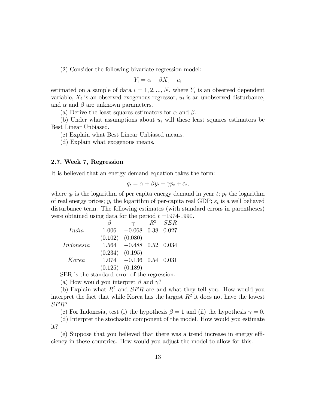(2) Consider the following bivariate regression model:

$$
Y_i = \alpha + \beta X_i + u_i
$$

estimated on a sample of data  $i = 1, 2, ..., N$ , where  $Y_i$  is an observed dependent variable,  $X_i$  is an observed exogenous regressor,  $u_i$  is an unobserved disturbance, and  $\alpha$  and  $\beta$  are unknown parameters.

(a) Derive the least squares estimators for  $\alpha$  and  $\beta$ .

(b) Under what assumptions about  $u_i$  will these least squares estimators be Best Linear Unbiased.

(c) Explain what Best Linear Unbiased means.

(d) Explain what exogenous means.

#### 2.7. Week 7, Regression

It is believed that an energy demand equation takes the form:

$$
q_t = \alpha + \beta y_t + \gamma p_t + \varepsilon_t,
$$

where  $q_t$  is the logarithm of per capita energy demand in year  $t$ ;  $p_t$  the logarithm of real energy prices;  $y_t$  the logarithm of per-capita real GDP;  $\varepsilon_t$  is a well behaved disturbance term. The following estimates (with standard errors in parentheses) were obtained using data for the period  $t = 1974-1990$ .

|           | $\sqrt{2}$          | $\gamma$                        | $R^2$ SER |
|-----------|---------------------|---------------------------------|-----------|
| India     | 1.006               | $-0.068$ 0.38 0.027             |           |
|           | $(0.102)$ $(0.080)$ |                                 |           |
| Indonesia |                     | $1.564$ $-0.488$ $0.52$ $0.034$ |           |
|           | $(0.234)$ $(0.195)$ |                                 |           |
| Korea     |                     | $1.074$ $-0.136$ $0.54$ $0.031$ |           |
|           | $(0.125)$ $(0.189)$ |                                 |           |

SER is the standard error of the regression.

(a) How would you interpret  $\beta$  and  $\gamma$ ?

(b) Explain what  $R^2$  and  $SER$  are and what they tell you. How would you interpret the fact that while Korea has the largest  $R^2$  it does not have the lowest SER?

(c) For Indonesia, test (i) the hypothesis  $\beta = 1$  and (ii) the hypothesis  $\gamma = 0$ .

(d) Interpret the stochastic component of the model. How would you estimate it?

 $(e)$  Suppose that you believed that there was a trend increase in energy efficiency in these countries. How would you adjust the model to allow for this.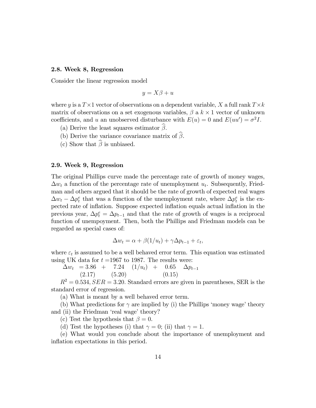#### 2.8. Week 8, Regression

Consider the linear regression model

$$
y = X\beta + u
$$

where y is a  $T \times 1$  vector of observations on a dependent variable, X a full rank  $T \times k$ matrix of observations on a set exogenous variables,  $\beta$  a  $k \times 1$  vector of unknown coefficients, and u an unobserved disturbance with  $E(u) = 0$  and  $E(uu') = \sigma^2 I$ .

- (a) Derive the least squares estimator  $\hat{\beta}$ .
- (b) Derive the variance covariance matrix of  $\hat{\beta}$ .
- (c) Show that  $\widehat{\beta}$  is unbiased.

#### 2.9. Week 9, Regression

The original Phillips curve made the percentage rate of growth of money wages,  $\Delta w_t$  a function of the percentage rate of unemployment  $u_t$ . Subsequently, Friedman and others argued that it should be the rate of growth of expected real wages  $\Delta w_t - \Delta p_t^e$  that was a function of the unemployment rate, where  $\Delta p_t^e$  is the expected rate of inflation. Suppose expected inflation equals actual inflation in the previous year,  $\Delta p_t^e = \Delta p_{t-1}$  and that the rate of growth of wages is a reciprocal function of unempoyment. Then, both the Phillips and Friedman models can be regarded as special cases of:

$$
\Delta w_t = \alpha + \beta (1/u_t) + \gamma \Delta p_{t-1} + \varepsilon_t,
$$

where  $\varepsilon_t$  is assumed to be a well behaved error term. This equation was estimated using UK data for  $t = 1967$  to 1987. The results were:

 $\Delta w_t$  = 3.86 + 7.24 (1/u<sub>t</sub>) + 0.65  $\Delta p_{t-1}$ <br>(2.17) (5.20) (0.15)  $(5.20)$ 

 $R^2 = 0.534, SER = 3.20.$  Standard errors are given in parentheses, SER is the standard error of regression.

(a) What is meant by a well behaved error term.

(b) What predictions for  $\gamma$  are implied by (i) the Phillips 'money wage' theory and (ii) the Friedman 'real wage' theory?

(c) Test the hypothesis that  $\beta = 0$ .

(d) Test the hypotheses (i) that  $\gamma = 0$ ; (ii) that  $\gamma = 1$ .

(e) What would you conclude about the importance of unemployment and inflation expectations in this period.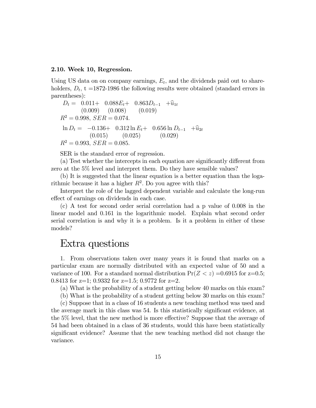#### 2.10. Week 10, Regression.

Using US data on on company earnings,  $E_t$ , and the dividends paid out to shareholders,  $D_t$ , t =1872-1986 the following results were obtained (standard errors in parentheses):

 $D_t = \begin{array}{cccc} 0.011+ & 0.088E_t+ & 0.863D_{t-1} & +\hat{u}_{1t} \\ (0.009) & (0.008) & (0.019) \end{array}$  $(0.009)$   $(0.008)$   $(0.019)$  $R^2 = 0.998$ ,  $SER = 0.074$ .  $\ln D_t = -0.136 + 0.312 \ln E_t + 0.656 \ln D_{t-1} + \hat{u}_{2t}$ <br>  $(0.015) (0.025) (0.029)$  $R^2 = 0.993$ ;  $SER = 0.085$ .

SER is the standard error of regression.

 $(a)$  Test whether the intercepts in each equation are significantly different from zero at the 5% level and interpret them. Do they have sensible values?

(b) It is suggested that the linear equation is a better equation than the logarithmic because it has a higher  $R^2$ . Do you agree with this?

Interpret the role of the lagged dependent variable and calculate the long-run effect of earnings on dividends in each case.

(c) A test for second order serial correlation had a p value of 0.008 in the linear model and 0.161 in the logarithmic model. Explain what second order serial correlation is and why it is a problem. Is it a problem in either of these models?

# Extra questions

1. From observations taken over many years it is found that marks on a particular exam are normally distributed with an expected value of 50 and a variance of 100. For a standard normal distribution  $Pr(Z < z) = 0.6915$  for z=0.5; 0.8413 for z=1; 0.9332 for z=1.5; 0.9772 for z=2.

(a) What is the probability of a student getting below 40 marks on this exam?

(b) What is the probability of a student getting below 30 marks on this exam?

(c) Suppose that in a class of 16 students a new teaching method was used and the average mark in this class was 54. Is this statistically significant evidence, at the  $5\%$  level, that the new method is more effective? Suppose that the average of 54 had been obtained in a class of 36 students, would this have been statistically significant evidence? Assume that the new teaching method did not change the variance.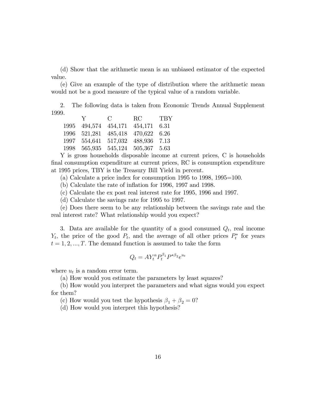(d) Show that the arithmetic mean is an unbiased estimator of the expected value.

(e) Give an example of the type of distribution where the arithmetic mean would not be a good measure of the typical value of a random variable.

2. The following data is taken from Economic Trends Annual Supplement 1999.

| RC<br>$\mathbf C$<br>$\mathbf{V}$ and $\mathbf{V}$ | TBY |
|----------------------------------------------------|-----|
| 494,574 454,171 454,171 6.31<br>1995               |     |
| 485,418 470,622 6.26<br>1996 521,281               |     |
| 517,032 488,936 7.13<br>1997<br>554,641            |     |
| 545,124 505,367 5.63<br>1998<br>565,935            |     |

Y is gross households disposable income at current prices, C is households final consumption expenditure at current prices, RC is consumption expenditure at 1995 prices, TBY is the Treasury Bill Yield in percent.

(a) Calculate a price index for consumption 1995 to 1998, 1995=100.

 $(b)$  Calculate the rate of inflation for 1996, 1997 and 1998.

(c) Calculate the ex post real interest rate for 1995, 1996 and 1997.

(d) Calculate the savings rate for 1995 to 1997.

(e) Does there seem to be any relationship between the savings rate and the real interest rate? What relationship would you expect?

3. Data are available for the quantity of a good consumed  $Q_t$ , real income  $Y_t$ , the price of the good  $P_t$ , and the average of all other prices  $P_t^*$  for years  $t = 1, 2, ..., T$ . The demand function is assumed to take the form

$$
Q_t = A Y_t^{\alpha} P_t^{\beta_1} P^{*\beta_2} e^{u_t}
$$

where  $u_t$  is a random error term.

(a) How would you estimate the parameters by least squares?

(b) How would you interpret the parameters and what signs would you expect for them?

(c) How would you test the hypothesis  $\beta_1 + \beta_2 = 0$ ?

(d) How would you interpret this hypothesis?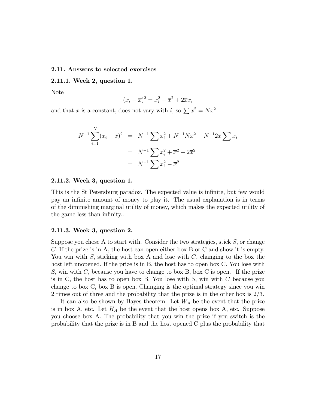#### 2.11. Answers to selected exercises

#### 2.11.1. Week 2, question 1.

Note

$$
(x_i - \overline{x})^2 = x_i^2 + \overline{x}^2 + 2\overline{x}x_i
$$

and that  $\bar{x}$  is a constant, does not vary with i, so  $\sum \bar{x}^2 = N\bar{x}^2$ 

$$
N^{-1} \sum_{i=1}^{N} (x_i - \overline{x})^2 = N^{-1} \sum x_i^2 + N^{-1} N \overline{x}^2 - N^{-1} 2 \overline{x} \sum x_i
$$
  
=  $N^{-1} \sum x_i^2 + \overline{x}^2 - 2 \overline{x}^2$   
=  $N^{-1} \sum x_i^2 - \overline{x}^2$ 

#### 2.11.2. Week 3, question 1.

This is the St Petersburg paradox. The expected value is infinite, but few would pay an inÖnite amount of money to play it. The usual explanation is in terms of the diminishing marginal utility of money, which makes the expected utility of the game less than infinity...

#### 2.11.3. Week 3, question 2.

Suppose you chose A to start with. Consider the two strategies, stick  $S$ , or change C: If the prize is in A, the host can open either box B or C and show it is empty. You win with S, sticking with box A and lose with  $C$ , changing to the box the host left unopened. If the prize is in B, the host has to open box C. You lose with S, win with  $C$ , because you have to change to box B, box C is open. If the prize is in C, the host has to open box B. You lose with  $S$ , win with  $C$  because you change to box C, box B is open: Changing is the optimal strategy since you win 2 times out of three and the probability that the prize is in the other box is 2/3.

It can also be shown by Bayes theorem. Let  $W_A$  be the event that the prize is in box A, etc. Let  $H_A$  be the event that the host opens box A, etc. Suppose you choose box A. The probability that you win the prize if you switch is the probability that the prize is in B and the host opened C plus the probability that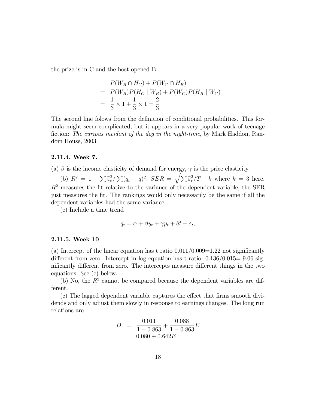the prize is in C and the host opened B

$$
P(W_B \cap H_C) + P(W_C \cap H_B)
$$
  
=  $P(W_B)P(H_C | W_B) + P(W_C)P(H_B | W_C)$   
=  $\frac{1}{3} \times 1 + \frac{1}{3} \times 1 = \frac{2}{3}$ 

The second line folows from the definition of conditional probabilities. This formula might seem complicated, but it appears in a very popular work of teenage fiction: The curious incident of the dog in the night-time, by Mark Haddon, Random House, 2003.

#### 2.11.4. Week 7.

(a)  $\beta$  is the income elasticity of demand for energy,  $\gamma$  is the price elasticity.

(b)  $R^2 = 1 - \sum \widehat{\epsilon}_t^2$  $\sum_{t}^{2}(\sum(q_{t}-\overline{q})^{2}; \, SER = \sqrt{\sum \widehat{\varepsilon}_{t}^{2}})$  $t^2/T - k$  where  $k = 3$  here.  $R<sup>2</sup>$  measures the fit relative to the variance of the dependent variable, the SER just measures the fit. The rankings would only necessarily be the same if all the dependent variables had the same variance.

(e) Include a time trend

$$
q_t = \alpha + \beta y_t + \gamma p_t + \delta t + \varepsilon_t,
$$

#### 2.11.5. Week 10

(a) Intercept of the linear equation has t ratio  $0.011/0.009=1.22$  not significantly different from zero. Intercept in log equation has t ratio  $-0.136/0.015=9.06$  significantly different from zero. The intercepts measure different things in the two equations. See (c) below.

(b) No, the  $R<sup>2</sup>$  cannot be compared because the dependent variables are different.

 $(c)$  The lagged dependent variable captures the effect that firms smooth dividends and only adjust them slowly in response to earnings changes. The long run relations are

$$
D = \frac{0.011}{1 - 0.863} + \frac{0.088}{1 - 0.863}E
$$
  
= 0.080 + 0.642E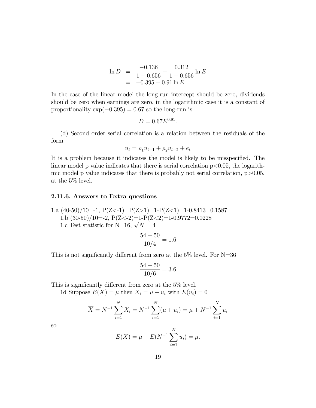$$
\ln D = \frac{-0.136}{1 - 0.656} + \frac{0.312}{1 - 0.656} \ln E
$$

$$
= -0.395 + 0.91 \ln E
$$

In the case of the linear model the long-run intercept should be zero, dividends should be zero when earnings are zero, in the logarithmic case it is a constant of proportionality  $\exp(-0.395) = 0.67$  so the long-run is

$$
D = 0.67 E^{0.91}.
$$

(d) Second order serial correlation is a relation between the residuals of the form

$$
u_t = \rho_1 u_{t-1} + \rho_2 u_{t-2} + e_t
$$

It is a problem because it indicates the model is likely to be misspecified. The linear model p value indicates that there is serial correlation  $p<0.05$ , the logarithmic model p value indicates that there is probably not serial correlation,  $p > 0.05$ , at the 5% level.

#### 2.11.6. Answers to Extra questions

1.a  $(40-50)/10=1$ ,  $P(Z<-1)=P(Z>1)=1-P(Z<1)=1-0.8413=0.1587$ 1.b  $(30-50)/10=2$ ,  $P(Z<-2)=1-P(Z<2)=1-0.9772=0.0228$ 1.c Test statistic for N=16,  $\sqrt{N} = 4$ 

$$
\frac{54 - 50}{10/4} = 1.6
$$

This is not significantly different from zero at the  $5\%$  level. For N=36

$$
\frac{54-50}{10/6} = 3.6
$$

This is significantly different from zero at the  $5\%$  level.

1d Suppose  $E(X) = \mu$  then  $X_i = \mu + u_i$  with  $E(u_i) = 0$ 

$$
\overline{X} = N^{-1} \sum_{i=1}^{N} X_i = N^{-1} \sum_{i=1}^{N} (\mu + u_i) = \mu + N^{-1} \sum_{i=1}^{N} u_i
$$

so

$$
E(\overline{X}) = \mu + E(N^{-1} \sum_{i=1}^{N} u_i) = \mu.
$$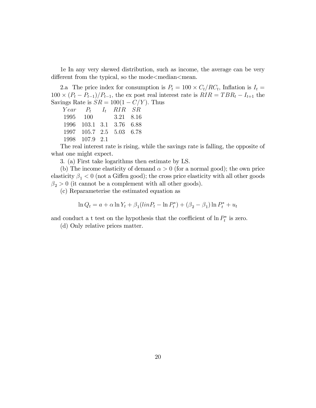1e In any very skewed distribution, such as income, the average can be very different from the typical, so the mode $\leq$ median $\leq$ mean.

2.a The price index for consumption is  $P_t = 100 \times C_t / RC_t$ , Inflation is  $I_t =$  $100 \times (P_t - P_{t-1})/P_{t-1}$ , the ex post real interest rate is  $RIR = TBR_t - I_{t+1}$  the Savings Rate is  $SR = 100(1 - C/Y)$ . Thus<br>Year  $P_t$   $I_t$   $RIR$   $SR$ 

 $I_t$  RIR SR 1995 100 3:21 8:16 1996 103:1 3:1 3:76 6:88 1997 105:7 2:5 5:03 6:78 1998 107:9 2:1

The real interest rate is rising, while the savings rate is falling, the opposite of what one might expect.

3. (a) First take logarithms then estimate by LS.

(b) The income elasticity of demand  $\alpha > 0$  (for a normal good); the own price elasticity  $\beta_1 < 0$  (not a Giffen good); the cross price elasticity with all other goods  $\beta_2 > 0$  (it cannot be a complement with all other goods).

(c) Reparameterise the estimated equation as

$$
\ln Q_t = a + \alpha \ln Y_t + \beta_1 (\ln P_t - \ln P_t^*) + (\beta_2 - \beta_1) \ln P_t^* + u_t
$$

and conduct a t test on the hypothesis that the coefficient of  $\ln P_t^*$  is zero.

(d) Only relative prices matter.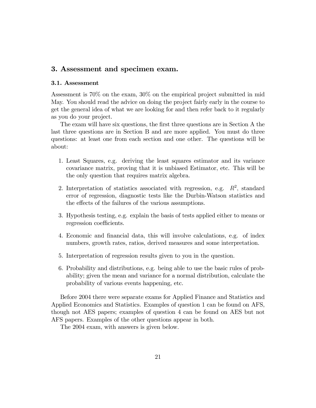## 3. Assessment and specimen exam.

#### 3.1. Assessment

Assessment is 70% on the exam, 30% on the empirical project submitted in mid May. You should read the advice on doing the project fairly early in the course to get the general idea of what we are looking for and then refer back to it regularly as you do your project.

The exam will have six questions, the first three questions are in Section A the last three questions are in Section B and are more applied. You must do three questions: at least one from each section and one other. The questions will be about:

- 1. Least Squares, e.g. deriving the least squares estimator and its variance covariance matrix, proving that it is unbiased Estimator, etc. This will be the only question that requires matrix algebra.
- 2. Interpretation of statistics associated with regression, e.g.  $R^2$ , standard error of regression, diagnostic tests like the Durbin-Watson statistics and the effects of the failures of the various assumptions.
- 3. Hypothesis testing, e.g. explain the basis of tests applied either to means or regression coefficients.
- 4. Economic and Önancial data, this will involve calculations, e.g. of index numbers, growth rates, ratios, derived measures and some interpretation.
- 5. Interpretation of regression results given to you in the question.
- 6. Probability and distributions, e.g. being able to use the basic rules of probability; given the mean and variance for a normal distribution, calculate the probability of various events happening, etc.

Before 2004 there were separate exams for Applied Finance and Statistics and Applied Economics and Statistics. Examples of question 1 can be found on AFS, though not AES papers; examples of question 4 can be found on AES but not AFS papers. Examples of the other questions appear in both.

The 2004 exam, with answers is given below.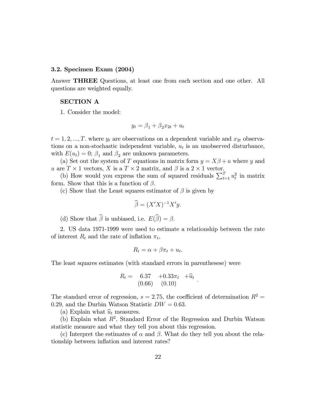#### 3.2. Specimen Exam (2004)

Answer THREE Questions, at least one from each section and one other. All questions are weighted equally.

## SECTION A

1. Consider the model:

$$
y_t = \beta_1 + \beta_2 x_{2t} + u_t
$$

 $t = 1, 2, ..., T$  where  $y_t$  are observations on a dependent variable and  $x_{2t}$  observations on a non-stochastic independent variable,  $u_t$  is an unobserved disturbance, with  $E(u_t) = 0$ ;  $\beta_1$  and  $\beta_2$  are unknown parameters.

(a) Set out the system of T equations in matrix form  $y = X\beta + u$  where y and u are  $T \times 1$  vectors, X is a  $T \times 2$  matrix, and  $\beta$  is a  $2 \times 1$  vector.

(b) How would you express the sum of squared residuals  $\sum_{t=1}^{T} u_t^2$  in matrix form. Show that this is a function of  $\beta$ .

(c) Show that the Least squares estimator of  $\beta$  is given by

$$
\widehat{\beta} = (X'X)^{-1}X'y.
$$

(d) Show that  $\widehat{\beta}$  is unbiased, i.e.  $E(\widehat{\beta}) = \beta$ .

2. US data 1971-1999 were used to estimate a relationship between the rate of interest  $R_t$  and the rate of inflation  $\pi_t$ ,

$$
R_t = \alpha + \beta \pi_t + u_t.
$$

The least squares estimates (with standard errors in parenthesese) were

$$
R_t = \begin{array}{cc} 6.37 & +0.33\pi_t & +\hat{u}_t \\ (0.66) & (0.10) \end{array}.
$$

The standard error of regression,  $s = 2.75$ , the coefficient of determination  $R^2 =$ 0.29, and the Durbin Watson Statistic  $DW = 0.63$ .

(a) Explain what  $\hat{u}_t$  measures.

(b) Explain what  $R^2$ , Standard Error of the Regression and Durbin Watson statistic measure and what they tell you about this regression.

(c) Interpret the estimates of  $\alpha$  and  $\beta$ . What do they tell you about the relationship between inflation and interest rates?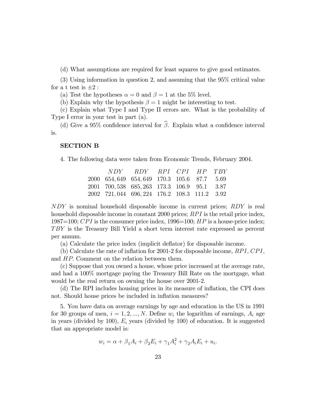(d) What assumptions are required for least squares to give good estimates.

(3) Using information in question 2, and assuming that the 95% critical value for a t test is  $\pm 2$  :

(a) Test the hypotheses  $\alpha = 0$  and  $\beta = 1$  at the 5% level.

(b) Explain why the hypothesis  $\beta = 1$  might be interesting to test.

(c) Explain what Type I and Type II errors are. What is the probability of Type I error in your test in part (a).

(d) Give a 95% confidence interval for  $\hat{\beta}$ . Explain what a confidence interval is.

#### SECTION B

4. The following data were taken from Economic Trends, February 2004.

|                                               | NDY RDY RPI CPI HP TBY |  |  |
|-----------------------------------------------|------------------------|--|--|
| 2000 654, 649 654, 649 170.3 105.6 87.7 5.69  |                        |  |  |
| 2001 700, 538 685, 263 173.3 106.9 95.1 3.87  |                        |  |  |
| 2002 721, 044 696, 224 176.2 108.3 111.2 3.92 |                        |  |  |

NDY is nominal household disposable income in current prices; RDY is real household disposable income in constant 2000 prices;  $RPI$  is the retail price index, 1987=100; CPI is the consumer price index, 1996=100;  $HP$  is a house-price index; TBY is the Treasury Bill Yield a short term interest rate expressed as percent per annum.

(a) Calculate the price index (implicit deáator) for disposable income.

(b) Calculate the rate of inflation for 2001-2 for disposable income,  $RPI$ ,  $CPI$ , and HP: Comment on the relation between them.

(c) Suppose that you owned a house, whose price increased at the average rate, and had a 100% mortgage paying the Treasury Bill Rate on the mortgage, what would be the real return on owning the house over 2001-2.

(d) The RPI includes housing prices in its measure of ináation, the CPI does not. Should house prices be included in inflation measures?

5. You have data on average earnings by age and education in the US in 1991 for 30 groups of men,  $i = 1, 2, ..., N$ . Define  $w_i$  the logarithm of earnings,  $A_i$  age in years (divided by 100),  $E_i$  years (divided by 100) of education. It is suggested that an appropriate model is:

 $w_i = \alpha + \beta_1 A_i + \beta_2 E_i + \gamma_1 A_i^2 + \gamma_2 A_i E_i + u_i.$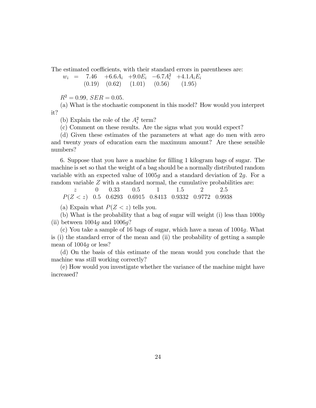The estimated coefficients, with their standard errors in parentheses are:

 $w_i$  = 7.46 +6.6A<sub>i</sub> +9.0E<sub>i</sub> -6.7A<sub>i</sub><sup>2</sup> +4.1A<sub>i</sub>E<sub>i</sub>  $(0.19)$   $(0.62)$   $(1.01)$   $(0.56)$   $(1.95)$ 

 $R^2 = 0.99$ ,  $SER = 0.05$ .

(a) What is the stochastic component in this model? How would you interpret it?

(b) Explain the role of the  $A_i^2$  term?

(c) Comment on these results. Are the signs what you would expect?

(d) Given these estimates of the parameters at what age do men with zero and twenty years of education earn the maximum amount? Are these sensible numbers?

6. Suppose that you have a machine for Ölling 1 kilogram bags of sugar. The machine is set so that the weight of a bag should be a normally distributed random variable with an expected value of 1005g and a standard deviation of 2g. For a random variable Z with a standard normal, the cumulative probabilities are:

 $z$  0 0.33 0.5 1 1.5 2 2.5  $P(Z < z)$  0.5 0.6293 0.6915 0.8413 0.9332 0.9772 0.9938

(a) Expain what  $P(Z \leq z)$  tells you.

(b) What is the probability that a bag of sugar will weight (i) less than 1000g (ii) between  $1004q$  and  $1006q$ ?

(c) You take a sample of 16 bags of sugar, which have a mean of 1004g: What is (i) the standard error of the mean and (ii) the probability of getting a sample mean of 1004g or less?

(d) On the basis of this estimate of the mean would you conclude that the machine was still working correctly?

(e) How would you investigate whether the variance of the machine might have increased?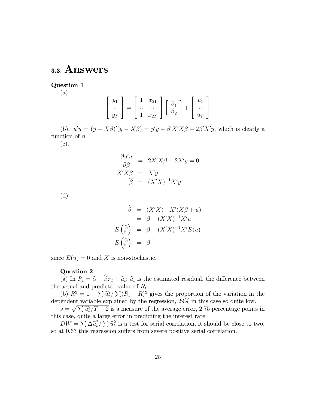# 3.3. Answers

Question 1 (a).

$$
\left[\begin{array}{c} y_1 \\ \ldots \\ y_T \end{array}\right] = \left[\begin{array}{ccc} 1 & x_{21} \\ \ldots & \ldots \\ 1 & x_{2T} \end{array}\right] \left[\begin{array}{c} \beta_1 \\ \beta_2 \end{array}\right] + \left[\begin{array}{c} u_1 \\ \ldots \\ u_T \end{array}\right]
$$

(b).  $u'u = (y - X\beta)'(y - X\beta) = y'y + \beta'X'X\beta - 2\beta'X'y$ , which is clearly a function of  $\beta$ .

(c).

$$
\frac{\partial u'u}{\partial \beta} = 2X'X\beta - 2X'y = 0
$$
  

$$
X'X\beta = X'y
$$
  

$$
\widehat{\beta} = (X'X)^{-1}X'y
$$

(d)

$$
\widehat{\beta} = (X'X)^{-1}X'(X\beta + u)
$$

$$
= \beta + (X'X)^{-1}X'u
$$

$$
E(\widehat{\beta}) = \beta + (X'X)^{-1}X'E(u)
$$

$$
E(\widehat{\beta}) = \beta
$$

since  $E(u) = 0$  and X is non-stochastic.

## Question 2

(a) In  $R_t = \hat{\alpha} + \beta \pi_t + \hat{u}_t$ ;  $\hat{u}_t$  is the estimated residual, the difference between the actual and predicted value of  $R_t$ .

(b)  $R^2 = 1 - \sum \hat{u}_t^2 / \sum (R_t - \overline{R})^2$  gives the proportion of the variation in the dependent variable explained by the regression, 29% in this case so quite low.

 $s = \sqrt{\sum \hat{u}_t^2/T - 2}$  is a measure of the average error, 2.75 percentage points in this case, quite a large error in predicting the interest rate;

 $DW = \sum \Delta \hat{u}_t^2 / \sum \hat{u}_t^2$  is a test for serial correlation, it should be close to two, so at  $0.63$  this regression suffers from severe positive serial correlation.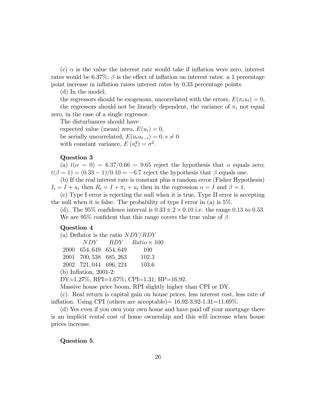(c)  $\alpha$  is the value the interest rate would take if inflation were zero, interest rates would be  $6.37\%$ ;  $\beta$  is the effect of inflation on interest rates: a 1 percentage point increase in inflation raises interest rates by 0.33 percentage points.

(d) In the model;

the regressors should be exogenous, uncorrelated with the errors,  $E(\pi_t u_t) = 0$ , the regressors should not be linearly dependent, the variance of  $\pi_t$  not equal zero, in the case of a single regressor.

The disturbances should have

expected value (mean) zero,  $E(u_t) = 0$ , be serially uncorrelated,  $E(u_t u_{t-s}) = 0, s \neq 0$ with constant variance,  $E(u_t^2) = \sigma^2$ .

#### Question 3

(a)  $t(\alpha = 0) = 6.37/0.66 = 9.65$  reject the hypothesis that  $\alpha$  equals zero;  $t(\beta = 1) = (0.33 - 1)/0.10 = -6.7$  reject the hypothesis that  $\beta$  equals one.

(b) If the real interest rate is constant plus a random error (Fisher Hypothesis)  $I_t = I + u_t$  then  $R_t = I + \pi_t + u_t$  then in the regression  $\alpha = I$  and  $\beta = 1$ .

(c) Type I error is rejecting the null when it is true, Type II error is accepting the null when it is false. The probability of type I error in (a) is 5%.

(d). The 95% confidence interval is  $0.33 \pm 2 \times 0.10$  i.e. the range 0.13 to 0.53. We are 95\% confident that this range covers the true value of  $\beta$ .

## Question 4

|                          |                        | (a) Deflator is the ratio $NDY/RDY$      |  |
|--------------------------|------------------------|------------------------------------------|--|
|                          |                        | $NDY$ $RDY$ $Ratio \times 100$           |  |
|                          | 2000 654, 649 654, 649 | <b>100</b>                               |  |
| 2001 700, 538 685, 263   |                        | 102.3                                    |  |
| 2002 721,044 696,224     |                        | 103.6                                    |  |
| $(b)$ Inflation, 2001-2: |                        |                                          |  |
|                          |                        | DY=1.27%, RPI=1.67%; CPI=1.31; HP=16.92. |  |

Massive house price boom, RPI slightly higher than CPI or DY.

(c). Real return is capital gain on house prices, less interest cost, less rate of inflation. Using CPI (others are acceptable) $= 16.92\times3.92\times1.31\times11.69\%$ .

(d) Yes even if you own your own home and have paid off your mortgage there is an implicit rental cost of home ownership and this will increase when house prices increase.

#### Question 5.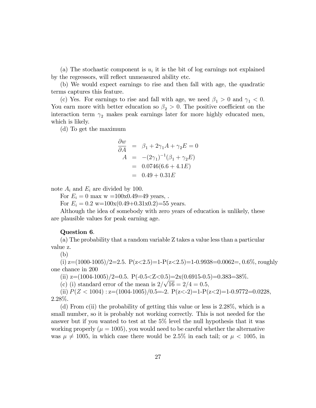(a) The stochastic component is  $u_i$  it is the bit of log earnings not explained by the regressors, will reflect unmeasured ability etc.

(b) We would expect earnings to rise and then fall with age, the quadratic terms captures this feature.

(c) Yes. For earnings to rise and fall with age, we need  $\beta_1 > 0$  and  $\gamma_1 < 0$ . You earn more with better education so  $\beta_2 > 0$ . The positive coefficient on the interaction term  $\gamma_2$  makes peak earnings later for more highly educated men, which is likely.

(d) To get the maximum

$$
\frac{\partial w}{\partial A} = \beta_1 + 2\gamma_1 A + \gamma_2 E = 0
$$
  
\n
$$
A = -(2\gamma_1)^{-1}(\beta_1 + \gamma_2 E)
$$
  
\n
$$
= 0.0746(6.6 + 4.1E)
$$
  
\n
$$
= 0.49 + 0.31E
$$

note  $A_i$  and  $E_i$  are divided by 100.

For  $E_i = 0$  max w = 100x0.49=49 years,.

For  $E_i = 0.2$  w=100x(0.49+0.31x0.2)=55 years.

Although the idea of somebody with zero years of education is unlikely, these are plausible values for peak earning age.

#### Question 6.

(a) The probability that a random variable Z takes a value less than a particular value z.

(b)

(i)  $z=(1000-1005)/2=2.5$ .  $P(z<2.5)=1-P(z<2.5)=1-0.9938=0.0062=0.06\%$ , roughly one chance in 200

(ii)  $z=(1004-1005)/2=0.5$ .  $P(-0.5.$ 

(c) (i) standard error of the mean is  $2/\sqrt{16} = 2/4 = 0.5$ ;

(ii)  $P(Z < 1004)$ : z= $(1004-1005)/0.5=$ -2.  $P(z < -2)=1-P(z < 2)=1-0.9772=0.0228$ , 2.28%.

(d) From c(ii) the probability of getting this value or less is 2.28%, which is a small number, so it is probably not working correctly. This is not needed for the answer but if you wanted to test at the 5% level the null hypothesis that it was working properly ( $\mu = 1005$ ), you would need to be careful whether the alternative was  $\mu \neq 1005$ , in which case there would be 2.5% in each tail; or  $\mu < 1005$ , in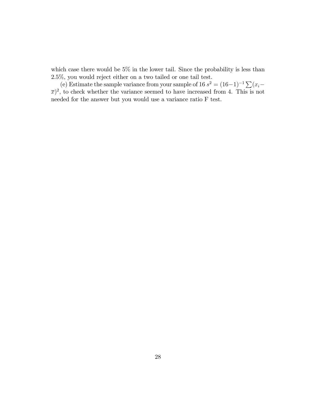which case there would be  $5\%$  in the lower tail. Since the probability is less than 2.5%, you would reject either on a two tailed or one tail test.

(e) Estimate the sample variance from your sample of 16  $s^2 = (16-1)^{-1} \sum_{i=1}^{n} (x_i (\overline{x})^2$ , to check whether the variance seemed to have increased from 4. This is not needed for the answer but you would use a variance ratio F test.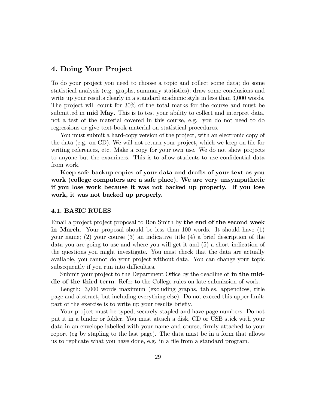## 4. Doing Your Project

To do your project you need to choose a topic and collect some data; do some statistical analysis (e.g. graphs, summary statistics); draw some conclusions and write up your results clearly in a standard academic style in less than 3,000 words. The project will count for 30% of the total marks for the course and must be submitted in mid May. This is to test your ability to collect and interpret data, not a test of the material covered in this course, e.g. you do not need to do regressions or give text-book material on statistical procedures.

You must submit a hard-copy version of the project, with an electronic copy of the data (e.g. on CD). We will not return your project, which we keep on file for writing references, etc. Make a copy for your own use. We do not show projects to anyone but the examiners. This is to allow students to use confidential data from work.

Keep safe backup copies of your data and drafts of your text as you work (college computers are a safe place). We are very unsympathetic if you lose work because it was not backed up properly. If you lose work, it was not backed up properly.

#### 4.1. BASIC RULES

Email a project project proposal to Ron Smith by the end of the second week in March. Your proposal should be less than 100 words. It should have (1) your name; (2) your course (3) an indicative title (4) a brief description of the data you are going to use and where you will get it and (5) a short indication of the questions you might investigate. You must check that the data are actually available, you cannot do your project without data. You can change your topic subsequently if you run into difficulties.

Submit your project to the Department Office by the deadline of in the middle of the third term. Refer to the College rules on late submission of work.

Length: 3,000 words maximum (excluding graphs, tables, appendices, title page and abstract, but including everything else). Do not exceed this upper limit: part of the exercise is to write up your results briefly.

Your project must be typed, securely stapled and have page numbers. Do not put it in a binder or folder. You must attach a disk, CD or USB stick with your data in an envelope labelled with your name and course, Örmly attached to your report (eg by stapling to the last page). The data must be in a form that allows us to replicate what you have done, e.g. in a file from a standard program.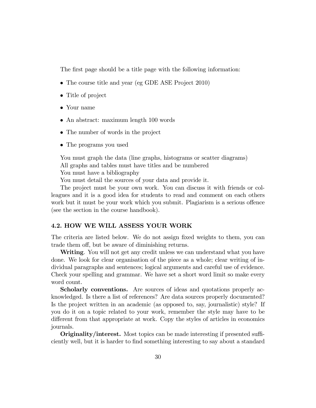The first page should be a title page with the following information:

- The course title and year (eg GDE ASE Project 2010)
- Title of project
- Your name
- An abstract: maximum length 100 words
- The number of words in the project
- The programs you used

You must graph the data (line graphs, histograms or scatter diagrams) All graphs and tables must have titles and be numbered You must have a bibliography

You must detail the sources of your data and provide it.

The project must be your own work. You can discuss it with friends or colleagues and it is a good idea for students to read and comment on each others work but it must be your work which you submit. Plagiarism is a serious offence (see the section in the course handbook).

#### 4.2. HOW WE WILL ASSESS YOUR WORK

The criteria are listed below. We do not assign fixed weights to them, you can trade them off, but be aware of diminishing returns.

Writing. You will not get any credit unless we can understand what you have done. We look for clear organisation of the piece as a whole; clear writing of individual paragraphs and sentences; logical arguments and careful use of evidence. Check your spelling and grammar. We have set a short word limit so make every word count.

Scholarly conventions. Are sources of ideas and quotations properly acknowledged. Is there a list of references? Are data sources properly documented? Is the project written in an academic (as opposed to, say, journalistic) style? If you do it on a topic related to your work, remember the style may have to be different from that appropriate at work. Copy the styles of articles in economics journals.

**Originality/interest.** Most topics can be made interesting if presented sufficiently well, but it is harder to Önd something interesting to say about a standard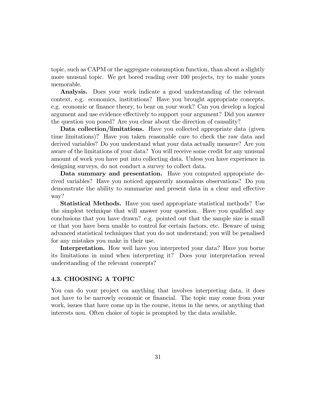topic, such as CAPM or the aggregate consumption function, than about a slightly more unusual topic. We get bored reading over 100 projects, try to make yours memorable.

Analysis. Does your work indicate a good understanding of the relevant context, e.g. economics, institutions? Have you brought appropriate concepts, e.g. economic or finance theory, to bear on your work? Can you develop a logical argument and use evidence effectively to support your argument? Did you answer the question you posed? Are you clear about the direction of causality?

Data collection/limitations. Have you collected appropriate data (given time limitations)? Have you taken reasonable care to check the raw data and derived variables? Do you understand what your data actually measure? Are you aware of the limitations of your data? You will receive some credit for any unusual amount of work you have put into collecting data. Unless you have experience in designing surveys, do not conduct a survey to collect data.

Data summary and presentation. Have you computed appropriate derived variables? Have you noticed apparently anomalous observations? Do you demonstrate the ability to summarize and present data in a clear and effective way?

Statistical Methods. Have you used appropriate statistical methods? Use the simplest technique that will answer your question. Have you qualified any conclusions that you have drawn? e.g. pointed out that the sample size is small or that you have been unable to control for certain factors, etc. Beware of using advanced statistical techniques that you do not understand; you will be penalised for any mistakes you make in their use.

Interpretation. How well have you interpreted your data? Have you borne its limitations in mind when interpreting it? Does your interpretation reveal understanding of the relevant concepts?

### 4.3. CHOOSING A TOPIC

You can do your project on anything that involves interpreting data, it does not have to be narrowly economic or financial. The topic may come from your work, issues that have come up in the course, items in the news, or anything that interests uou. Often choice of topic is prompted by the data available.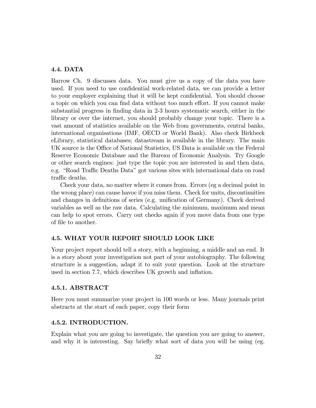## 4.4. DATA

Barrow Ch. 9 discusses data. You must give us a copy of the data you have used. If you need to use confidential work-related data, we can provide a letter to your employer explaining that it will be kept confidential. You should choose a topic on which you can find data without too much effort. If you cannot make substantial progress in finding data in 2-3 hours systematic search, either in the library or over the internet, you should probably change your topic. There is a vast amount of statistics available on the Web from governments, central banks, international organisations (IMF, OECD or World Bank). Also check Birkbeck eLibrary, statistical databases; datastream is available in the library. The main UK source is the Office of National Statistics, US Data is available on the Federal Reserve Economic Database and the Bureau of Economic Analysis. Try Google or other search engines: just type the topic you are interested in and then data, e.g. "Road Traffic Deaths Data" got various sites with international data on road traffic deaths.

Check your data, no matter where it comes from. Errors (eg a decimal point in the wrong place) can cause havoc if you miss them. Check for units, discontinuities and changes in definitions of series (e.g. unification of Germany). Check derived variables as well as the raw data. Calculating the minimum, maximum and mean can help to spot errors. Carry out checks again if you move data from one type of file to another.

## 4.5. WHAT YOUR REPORT SHOULD LOOK LIKE

Your project report should tell a story, with a beginning, a middle and an end. It is a story about your investigation not part of your autobiography. The following structure is a suggestion, adapt it to suit your question. Look at the structure used in section 7.7, which describes UK growth and inflation.

## 4.5.1. ABSTRACT

Here you must summarize your project in 100 words or less. Many journals print abstracts at the start of each paper, copy their form

## 4.5.2. INTRODUCTION.

Explain what you are going to investigate, the question you are going to answer, and why it is interesting. Say briefly what sort of data you will be using (eg.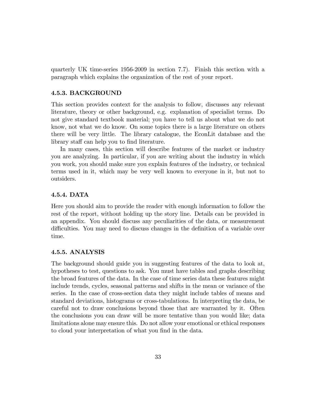quarterly UK time-series 1956-2009 in section 7.7). Finish this section with a paragraph which explains the organization of the rest of your report.

## 4.5.3. BACKGROUND

This section provides context for the analysis to follow, discusses any relevant literature, theory or other background, e.g. explanation of specialist terms. Do not give standard textbook material; you have to tell us about what we do not know, not what we do know. On some topics there is a large literature on others there will be very little. The library catalogue, the EconLit database and the library staff can help you to find literature.

In many cases, this section will describe features of the market or industry you are analyzing. In particular, if you are writing about the industry in which you work, you should make sure you explain features of the industry, or technical terms used in it, which may be very well known to everyone in it, but not to outsiders.

## 4.5.4. DATA

Here you should aim to provide the reader with enough information to follow the rest of the report, without holding up the story line. Details can be provided in an appendix. You should discuss any peculiarities of the data, or measurement difficulties. You may need to discuss changes in the definition of a variable over time.

## 4.5.5. ANALYSIS

The background should guide you in suggesting features of the data to look at, hypotheses to test, questions to ask. You must have tables and graphs describing the broad features of the data. In the case of time series data these features might include trends, cycles, seasonal patterns and shifts in the mean or variance of the series. In the case of cross-section data they might include tables of means and standard deviations, histograms or cross-tabulations. In interpreting the data, be careful not to draw conclusions beyond those that are warranted by it. Often the conclusions you can draw will be more tentative than you would like; data limitations alone may ensure this. Do not allow your emotional or ethical responses to cloud your interpretation of what you find in the data.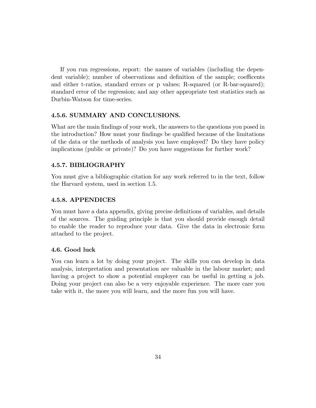If you run regressions, report: the names of variables (including the dependent variable); number of observations and definition of the sample; coefficents and either t-ratios, standard errors or p values; R-squared (or R-bar-squared); standard error of the regression; and any other appropriate test statistics such as Durbin-Watson for time-series.

## 4.5.6. SUMMARY AND CONCLUSIONS.

What are the main findings of your work, the answers to the questions you posed in the introduction? How must your findings be qualified because of the limitations of the data or the methods of analysis you have employed? Do they have policy implications (public or private)? Do you have suggestions for further work?

## 4.5.7. BIBLIOGRAPHY

You must give a bibliographic citation for any work referred to in the text, follow the Harvard system, used in section 1.5.

#### 4.5.8. APPENDICES

You must have a data appendix, giving precise definitions of variables, and details of the sources. The guiding principle is that you should provide enough detail to enable the reader to reproduce your data. Give the data in electronic form attached to the project.

#### 4.6. Good luck

You can learn a lot by doing your project. The skills you can develop in data analysis, interpretation and presentation are valuable in the labour market; and having a project to show a potential employer can be useful in getting a job. Doing your project can also be a very enjoyable experience. The more care you take with it, the more you will learn, and the more fun you will have.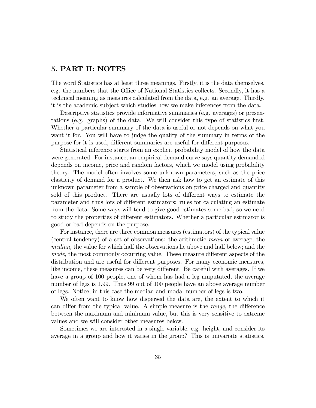# 5. PART II: NOTES

The word Statistics has at least three meanings. Firstly, it is the data themselves, e.g. the numbers that the Office of National Statistics collects. Secondly, it has a technical meaning as measures calculated from the data, e.g. an average. Thirdly, it is the academic subject which studies how we make inferences from the data.

Descriptive statistics provide informative summaries (e.g. averages) or presentations (e.g. graphs) of the data. We will consider this type of statistics Örst. Whether a particular summary of the data is useful or not depends on what you want it for. You will have to judge the quality of the summary in terms of the purpose for it is used, different summaries are useful for different purposes.

Statistical inference starts from an explicit probability model of how the data were generated. For instance, an empirical demand curve says quantity demanded depends on income, price and random factors, which we model using probability theory. The model often involves some unknown parameters, such as the price elasticity of demand for a product. We then ask how to get an estimate of this unknown parameter from a sample of observations on price charged and quantity sold of this product. There are usually lots of different ways to estimate the parameter and thus lots of different estimators: rules for calculating an estimate from the data. Some ways will tend to give good estimates some bad, so we need to study the properties of different estimators. Whether a particular estimator is good or bad depends on the purpose.

For instance, there are three common measures (estimators) of the typical value (central tendency) of a set of observations: the arithmetic mean or average; the median, the value for which half the observations lie above and half below; and the mode, the most commonly occurring value. These measure different aspects of the distribution and are useful for different purposes. For many economic measures, like income, these measures can be very different. Be careful with averages. If we have a group of 100 people, one of whom has had a leg amputated, the average number of legs is 1.99. Thus 99 out of 100 people have an above average number of legs. Notice, in this case the median and modal number of legs is two.

We often want to know how dispersed the data are, the extent to which it can differ from the typical value. A simple measure is the *range*, the difference between the maximum and minimum value, but this is very sensitive to extreme values and we will consider other measures below.

Sometimes we are interested in a single variable, e.g. height, and consider its average in a group and how it varies in the group? This is univariate statistics,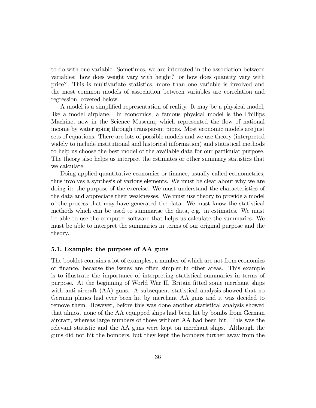to do with one variable. Sometimes, we are interested in the association between variables: how does weight vary with height? or how does quantity vary with price? This is multivariate statistics, more than one variable is involved and the most common models of association between variables are correlation and regression, covered below.

A model is a simplified representation of reality. It may be a physical model, like a model airplane. In economics, a famous physical model is the Phillips Machine, now in the Science Museum, which represented the flow of national income by water going through transparent pipes. Most economic models are just sets of equations. There are lots of possible models and we use theory (interpreted widely to include institutional and historical information) and statistical methods to help us choose the best model of the available data for our particular purpose. The theory also helps us interpret the estimates or other summary statistics that we calculate.

Doing applied quantitative economics or finance, usually called econometrics, thus involves a synthesis of various elements. We must be clear about why we are doing it: the purpose of the exercise. We must understand the characteristics of the data and appreciate their weaknesses. We must use theory to provide a model of the process that may have generated the data. We must know the statistical methods which can be used to summarise the data, e.g. in estimates. We must be able to use the computer software that helps us calculate the summaries. We must be able to interpret the summaries in terms of our original purpose and the theory.

#### 5.1. Example: the purpose of AA guns

The booklet contains a lot of examples, a number of which are not from economics or Önance, because the issues are often simpler in other areas. This example is to illustrate the importance of interpreting statistical summaries in terms of purpose. At the beginning of World War II, Britain fitted some merchant ships with anti-aircraft (AA) guns. A subsequent statistical analysis showed that no German planes had ever been hit by merchant AA guns and it was decided to remove them. However, before this was done another statistical analysis showed that almost none of the AA equipped ships had been hit by bombs from German aircraft, whereas large numbers of those without AA had been hit. This was the relevant statistic and the AA guns were kept on merchant ships. Although the guns did not hit the bombers, but they kept the bombers further away from the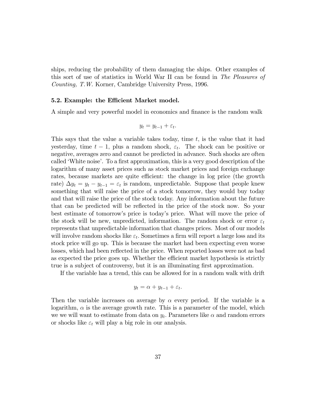ships, reducing the probability of them damaging the ships. Other examples of this sort of use of statistics in World War II can be found in The Pleasures of Counting, T.W. Korner, Cambridge University Press, 1996.

#### 5.2. Example: the Efficient Market model.

A simple and very powerful model in economics and finance is the random walk

$$
y_t = y_{t-1} + \varepsilon_t.
$$

This says that the value a variable takes today, time  $t$ , is the value that it had yesterday, time  $t-1$ , plus a random shock,  $\varepsilon_t$ . The shock can be positive or negative, averages zero and cannot be predicted in advance. Such shocks are often called 'White noise'. To a first approximation, this is a very good description of the logarithm of many asset prices such as stock market prices and foreign exchange rates, because markets are quite efficient: the change in log price (the growth rate)  $\Delta y_t = y_t - y_{t-1} = \varepsilon_t$  is random, unpredictable. Suppose that people knew something that will raise the price of a stock tomorrow, they would buy today and that will raise the price of the stock today. Any information about the future that can be predicted will be reflected in the price of the stock now. So your best estimate of tomorrowís price is todayís price. What will move the price of the stock will be new, unpredicted, information. The random shock or error  $\varepsilon_t$ represents that unpredictable information that changes prices. Most of our models will involve random shocks like  $\varepsilon_t$ . Sometimes a firm will report a large loss and its stock price will go up. This is because the market had been expecting even worse losses, which had been reflected in the price. When reported losses were not as bad as expected the price goes up. Whether the efficient market hypothesis is strictly true is a subject of controversy, but it is an illuminating first approximation.

If the variable has a trend, this can be allowed for in a random walk with drift

$$
y_t = \alpha + y_{t-1} + \varepsilon_t.
$$

Then the variable increases on average by  $\alpha$  every period. If the variable is a logarithm,  $\alpha$  is the average growth rate. This is a parameter of the model, which we we will want to estimate from data on  $y_t$ . Parameters like  $\alpha$  and random errors or shocks like  $\varepsilon_t$  will play a big role in our analysis.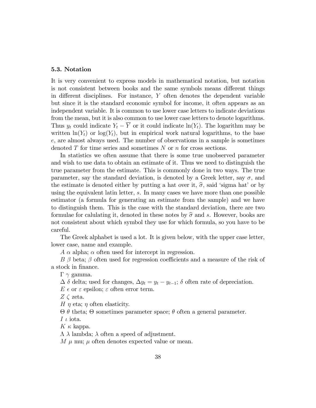## 5.3. Notation

It is very convenient to express models in mathematical notation, but notation is not consistent between books and the same symbols means different things in different disciplines. For instance,  $Y$  often denotes the dependent variable but since it is the standard economic symbol for income, it often appears as an independent variable. It is common to use lower case letters to indicate deviations from the mean, but it is also common to use lower case letters to denote logarithms. Thus  $y_t$  could indicate  $Y_t - \overline{Y}$  or it could indicate  $\ln(Y_t)$ . The logarithm may be written  $\ln(Y_t)$  or  $\log(Y_t)$ , but in empirical work natural logarithms, to the base e, are almost always used. The number of observations in a sample is sometimes denoted T for time series and sometimes N or n for cross sections.

In statistics we often assume that there is some true unobserved parameter and wish to use data to obtain an estimate of it. Thus we need to distinguish the true parameter from the estimate. This is commonly done in two ways. The true parameter, say the standard deviation, is denoted by a Greek letter, say  $\sigma$ , and the estimate is denoted either by putting a hat over it,  $\hat{\sigma}$ , said 'sigma hat' or by using the equivalent latin letter, s. In many cases we have more than one possible estimator (a formula for generating an estimate from the sample) and we have to distinguish them. This is the case with the standard deviation, there are two formulae for calulating it, denoted in these notes by  $\hat{\sigma}$  and s. However, books are not consistent about which symbol they use for which formula, so you have to be careful.

The Greek alphabet is used a lot. It is given below, with the upper case letter, lower case, name and example.

 $A \alpha$  alpha;  $\alpha$  often used for intercept in regression.

 $B \beta$  beta;  $\beta$  often used for regression coefficients and a measure of the risk of a stock in finance.

 $\Gamma \gamma$  gamma.

 $\Delta \delta$  delta; used for changes,  $\Delta y_t = y_t - y_{t-1}$ ;  $\delta$  often rate of depreciation.

 $E \in \text{or } \varepsilon$  epsilon;  $\varepsilon$  often error term.

 $Z \zeta$  zeta.

H  $\eta$  eta;  $\eta$  often elasticity.

 $\Theta$   $\theta$  theta;  $\Theta$  sometimes parameter space;  $\theta$  often a general parameter.

I  $\iota$  iota.

 $K \kappa$  kappa.

 $\Lambda$   $\lambda$  lambda;  $\lambda$  often a speed of adjustment.

M  $\mu$  mu;  $\mu$  often denotes expected value or mean.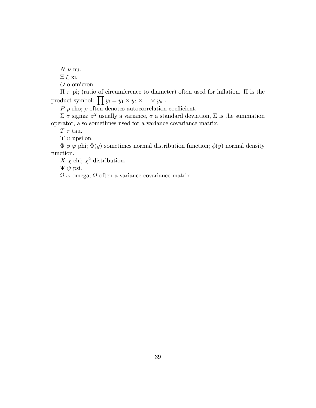$N \nu$  nu.

 $E \xi$  xi.

O o omicron.

 $\Pi \pi$  pi; (ratio of circumference to diameter) often used for inflation.  $\Pi$  is the product symbol:  $\prod y_i = y_1 \times y_2 \times ... \times y_n$ .

 $P \rho$  rho;  $\rho$  often denotes autocorrelation coefficient.

 $\Sigma \sigma$  sigma;  $\sigma^2$  usually a variance,  $\sigma$  a standard deviation,  $\Sigma$  is the summation operator, also sometimes used for a variance covariance matrix.

 $T \tau$  tau.

 $\Upsilon$  v upsilon.

 $\Phi \phi \varphi$  phi;  $\Phi(y)$  sometimes normal distribution function;  $\phi(y)$  normal density function.

 $X \chi$  chi;  $\chi^2$  distribution.

 $\Psi \psi$  psi.

 $\Omega \omega$  omega;  $\Omega$  often a variance covariance matrix.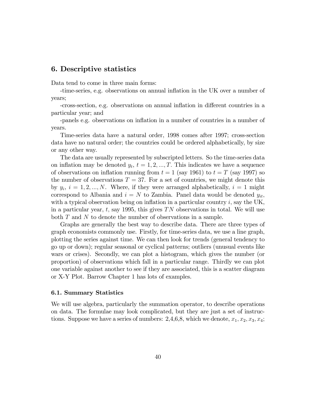# 6. Descriptive statistics

Data tend to come in three main forms:

-time-series, e.g. observations on annual ináation in the UK over a number of years;

-cross-section, e.g. observations on annual ináation in di§erent countries in a particular year; and

-panels e.g. observations on ináation in a number of countries in a number of years.

Time-series data have a natural order, 1998 comes after 1997; cross-section data have no natural order; the countries could be ordered alphabetically, by size or any other way.

The data are usually represented by subscripted letters. So the time-series data on inflation may be denoted  $y_t$ ,  $t = 1, 2, ..., T$ . This indicates we have a sequence of observations on inflation running from  $t = 1$  (say 1961) to  $t = T$  (say 1997) so the number of observations  $T = 37$ . For a set of countries, we might denote this by  $y_i$ ,  $i = 1, 2, ..., N$ . Where, if they were arranged alphabetically,  $i = 1$  might correspond to Albania and  $i = N$  to Zambia. Panel data would be denoted  $y_{it}$ , with a typical observation being on inflation in a particular country  $i$ , say the UK, in a particular year,  $t$ , say 1995, this gives TN observations in total. We will use both T and N to denote the number of observations in a sample.

Graphs are generally the best way to describe data. There are three types of graph economists commonly use. Firstly, for time-series data, we use a line graph, plotting the series against time. We can then look for trends (general tendency to go up or down); regular seasonal or cyclical patterns; outliers (unusual events like wars or crises). Secondly, we can plot a histogram, which gives the number (or proportion) of observations which fall in a particular range. Thirdly we can plot one variable against another to see if they are associated, this is a scatter diagram or X-Y Plot. Barrow Chapter 1 has lots of examples.

## 6.1. Summary Statistics

We will use algebra, particularly the summation operator, to describe operations on data. The formulae may look complicated, but they are just a set of instructions. Suppose we have a series of numbers: 2,4,6,8, which we denote,  $x_1, x_2, x_3, x_4$ ;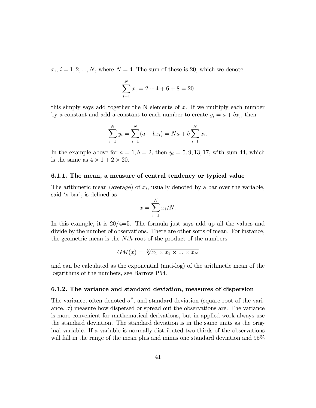$x_i, i = 1, 2, ..., N$ , where  $N = 4$ . The sum of these is 20, which we denote

$$
\sum_{i=1}^{N} x_i = 2 + 4 + 6 + 8 = 20
$$

this simply says add together the N elements of  $x$ . If we multiply each number by a constant and add a constant to each number to create  $y_i = a + bx_i$ , then

$$
\sum_{i=1}^{N} y_i = \sum_{i=1}^{N} (a + bx_i) = Na + b \sum_{i=1}^{N} x_i.
$$

In the example above for  $a = 1, b = 2$ , then  $y_i = 5, 9, 13, 17$ , with sum 44, which is the same as  $4 \times 1 + 2 \times 20$ .

## 6.1.1. The mean, a measure of central tendency or typical value

The arithmetic mean (average) of  $x_i$ , usually denoted by a bar over the variable, said 'x bar', is defined as

$$
\overline{x} = \sum_{i=1}^{N} x_i / N.
$$

In this example, it is  $20/4=5$ . The formula just says add up all the values and divide by the number of observations. There are other sorts of mean. For instance, the geometric mean is the  $N<sup>th</sup>$  root of the product of the numbers

$$
GM(x) = \sqrt[N]{x_1 \times x_2 \times ... \times x_N}
$$

and can be calculated as the exponential (anti-log) of the arithmetic mean of the logarithms of the numbers, see Barrow P54.

### 6.1.2. The variance and standard deviation, measures of dispersion

The variance, often denoted  $\sigma^2$ , and standard deviation (square root of the variance,  $\sigma$ ) measure how dispersed or spread out the observations are. The variance is more convenient for mathematical derivations, but in applied work always use the standard deviation. The standard deviation is in the same units as the original variable. If a variable is normally distributed two thirds of the observations will fall in the range of the mean plus and minus one standard deviation and 95%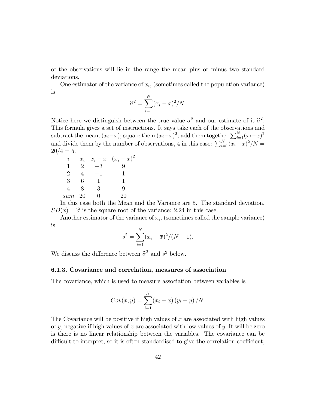of the observations will lie in the range the mean plus or minus two standard deviations.

One estimator of the variance of  $x_i$ , (sometimes called the population variance) is

$$
\widehat{\sigma}^2 = \sum_{i=1}^N (x_i - \overline{x})^2 / N.
$$

Notice here we distinguish between the true value  $\sigma^2$  and our estimate of it  $\hat{\sigma}^2$ . This formula gives a set of instructions. It says take each of the observations and subtract the mean,  $(x_i-\overline{x});$  square them  $(x_i-\overline{x})^2$ ; add them together  $\sum_{i=1}^N (x_i-\overline{x})^2$ and divide them by the number of observations, 4 in this case:  $\sum_{i=1}^{N} (x_i - \overline{x})^2/N =$  $20/4 = 5.$ 

| İ,  | $x_i$         |      | $x_i - \overline{x} \quad (x_i - \overline{x})^2$ |
|-----|---------------|------|---------------------------------------------------|
| 1   | $\mathcal{P}$ | $-3$ | Q                                                 |
| 2   |               | -1   |                                                   |
| 3   | հ             | -1   | 1                                                 |
| 4   | 8             | З    | Q                                                 |
| sum | 20            |      | 20                                                |

In this case both the Mean and the Variance are 5. The standard deviation,  $SD(x) = \hat{\sigma}$  is the square root of the variance: 2.24 in this case.

Another estimator of the variance of  $x_i$ , (sometimes called the sample variance) is

$$
s^{2} = \sum_{i=1}^{N} (x_{i} - \overline{x})^{2} / (N - 1).
$$

We discuss the difference between  $\hat{\sigma}^2$  and  $s^2$  below.

## 6.1.3. Covariance and correlation, measures of association

The covariance, which is used to measure association between variables is

$$
Cov(x, y) = \sum_{i=1}^{N} (x_i - \overline{x})(y_i - \overline{y})/N.
$$

The Covariance will be positive if high values of  $x$  are associated with high values of y, negative if high values of x are associated with low values of y. It will be zero is there is no linear relationship between the variables. The covariance can be difficult to interpret, so it is often standardised to give the correlation coefficient,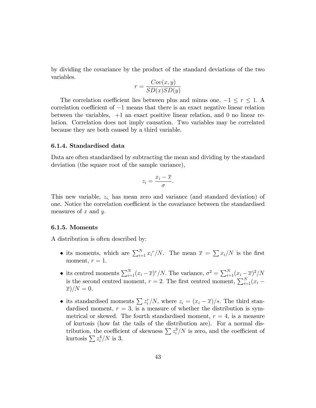by dividing the covariance by the product of the standard deviations of the two variables.

$$
r = \frac{Cov(x, y)}{SD(x)SD(y)}
$$

The correlation coefficient lies between plus and minus one,  $-1 \le r \le 1$ . A correlation coefficient of  $-1$  means that there is an exact negative linear relation between the variables, +1 an exact positive linear relation, and 0 no linear relation. Correlation does not imply causation. Two variables may be correlated because they are both caused by a third variable.

### 6.1.4. Standardised data

Data are often standardised by subtracting the mean and dividing by the standard deviation (the square root of the sample variance),

$$
z_i = \frac{x_i - \overline{x}}{\sigma}.
$$

This new variable,  $z_i$ , has mean zero and variance (and standard deviation) of one. Notice the correlation coefficient is the covariance between the standardised measures of  $x$  and  $y$ .

## 6.1.5. Moments

A distribution is often described by:

- its moments, which are  $\sum_{i=1}^{N} x_i^r/N$ . The mean  $\overline{x} = \sum_{i=1}^{N} x_i^r/N$  is the first moment,  $r = 1$ .
- its centred moments  $\sum_{i=1}^{N}(x_i-\overline{x})^r/N$ . The variance,  $\sigma^2 = \sum_{i=1}^{N}(x_i-\overline{x})^2/N$ is the second centred moment,  $r = 2$ . The first centred moment,  $\sum_{i=1}^{N} (x_i \overline{x})/N = 0.$
- its standardised moments  $\sum_{i} z_i^r/N$ , where  $z_i = (x_i \overline{x})/s$ . The third standardised moment,  $r = 3$ , is a measure of whether the distribution is symmetrical or skewed. The fourth standardised moment,  $r = 4$ , is a measure of kurtosis (how fat the tails of the distribution are). For a normal distribution, the coefficient of skewness  $\sum z_i^3/N$  is zero, and the coefficient of kurtosis  $\sum z_i^4/N$  is 3.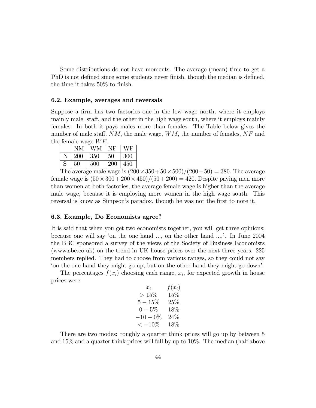Some distributions do not have moments. The average (mean) time to get a PhD is not defined since some students never finish, though the median is defined, the time it takes  $50\%$  to finish.

## 6.2. Example, averages and reversals

Suppose a firm has two factories one in the low wage north, where it employs mainly male staff, and the other in the high wage south, where it employs mainly females. In both it pays males more than females. The Table below gives the number of male staff,  $NM$ , the male wage,  $WM$ , the number of females,  $NF$  and the female wage  $WF$ .

|   | NΜ     | WМ  | VF  | WF  |
|---|--------|-----|-----|-----|
|   | 200    | 350 | 50  | 300 |
| S | $50\,$ | 500 | 200 | 450 |

The average male wage is  $(200 \times 350 + 50 \times 500)/(200 + 50) = 380$ . The average female wage is  $(50 \times 300 + 200 \times 450)/(50 + 200) = 420$ . Despite paying men more than women at both factories, the average female wage is higher than the average male wage, because it is employing more women in the high wage south. This reversal is know as Simpson's paradox, though he was not the first to note it.

#### 6.3. Example, Do Economists agree?

It is said that when you get two economists together, you will get three opinions; because one will say 'on the one hand  $\dots$ , on the other hand  $\dots$ '. In June 2004 the BBC sponsored a survey of the views of the Society of Business Economists (www.sbe.co.uk) on the trend in UK house prices over the next three years. 225 members replied. They had to choose from various ranges, so they could not say ëon the one hand they might go up, but on the other hand they might go downí.

The percentages  $f(x_i)$  choosing each range,  $x_i$ , for expected growth in house prices were

| $f(x_i)$ |
|----------|
|          |
|          |
|          |
|          |
|          |
|          |

There are two modes: roughly a quarter think prices will go up by between 5 and 15% and a quarter think prices will fall by up to 10%. The median (half above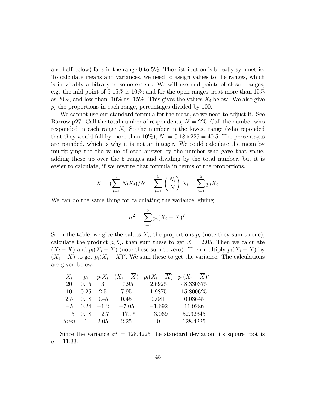and half below) falls in the range 0 to 5%. The distribution is broadly symmetric. To calculate means and variances, we need to assign values to the ranges, which is inevitably arbitrary to some extent. We will use mid-points of closed ranges, e.g. the mid point of 5-15% is 10%; and for the open ranges treat more than 15% as 20%, and less than -10% as -15%. This gives the values  $X_i$  below. We also give  $p_i$  the proportions in each range, percentages divided by 100.

We cannot use our standard formula for the mean, so we need to adjust it. See Barrow p27. Call the total number of respondents,  $N = 225$ . Call the number who responded in each range  $N_i$ . So the number in the lowest range (who reponded that they would fall by more than  $10\%, N_1 = 0.18 * 225 = 40.5$ . The percentages are rounded, which is why it is not an integer. We could calculate the mean by multiplying the the value of each answer by the number who gave that value, adding those up over the 5 ranges and dividing by the total number, but it is easier to calculate, if we rewrite that formula in terms of the proportions.

$$
\overline{X} = (\sum_{i=1}^{5} N_i X_i) / N = \sum_{i=1}^{5} \left( \frac{N_i}{N} \right) X_i = \sum_{i=1}^{5} p_i X_i.
$$

We can do the same thing for calculating the variance, giving

$$
\sigma^2 = \sum_{i=1}^5 p_i (X_i - \overline{X})^2.
$$

So in the table, we give the values  $X_i$ ; the proportions  $p_i$  (note they sum to one); calculate the product  $p_i X_i$ , then sum these to get  $X = 2.05$ . Then we calculate  $(X_i - \overline{X})$  and  $p_i(X_i - \overline{X})$  (note these sum to zero). Then multiply  $p_i(X_i - \overline{X})$  by  $(X_i - \overline{X})$  to get  $p_i(X_i - \overline{X})^2$ . We sum these to get the variance. The calculations are given below.

| $X_i$ | $p_i$       |                   |          |           | $p_i X_i$ $(X_i - \overline{X})$ $p_i (X_i - \overline{X})$ $p_i (X_i - \overline{X})^2$ |
|-------|-------------|-------------------|----------|-----------|------------------------------------------------------------------------------------------|
| 20    | 0.15        | 3                 | 17.95    | 2.6925    | 48.330375                                                                                |
| 10    | 0.25        | 2.5               | 7.95     | 1.9875    | 15.800625                                                                                |
| 2.5   |             | $0.18$ 0.45       | 0.45     | 0.081     | 0.03645                                                                                  |
|       |             | $-5$ 0.24 $-1.2$  | $-7.05$  | $-1.692$  | 11.9286                                                                                  |
|       |             | $-15$ 0.18 $-2.7$ | $-17.05$ | $-3.069$  | 52.32645                                                                                 |
| Sum   | $1 \t 2.05$ |                   | 2.25     | $\bigcup$ | 128.4225                                                                                 |

Since the variance  $\sigma^2 = 128.4225$  the standard deviation, its square root is  $\sigma = 11.33.$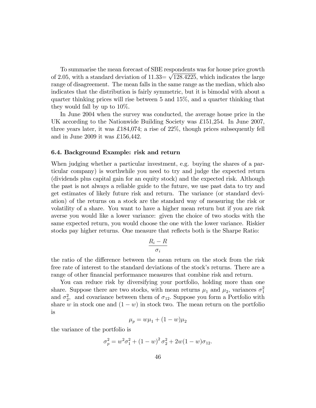To summarise the mean forecast of SBE respondents was for house price growth of 2.05, with a standard deviation of  $11.33 = \sqrt{128.4225}$ , which indicates the large range of disagreement. The mean falls in the same range as the median, which also indicates that the distribution is fairly symmetric, but it is bimodal with about a quarter thinking prices will rise between 5 and 15%, and a quarter thinking that they would fall by up to 10%.

In June 2004 when the survey was conducted, the average house price in the UK according to the Nationwide Building Society was £151,254. In June 2007, three years later, it was  $\pounds 184,074$ ; a rise of  $22\%$ , though prices subsequently fell and in June 2009 it was £156,442.

#### 6.4. Background Example: risk and return

When judging whether a particular investment, e.g. buying the shares of a particular company) is worthwhile you need to try and judge the expected return (dividends plus capital gain for an equity stock) and the expected risk. Although the past is not always a reliable guide to the future, we use past data to try and get estimates of likely future risk and return. The variance (or standard deviation) of the returns on a stock are the standard way of measuring the risk or volatility of a share. You want to have a higher mean return but if you are risk averse you would like a lower variance: given the choice of two stocks with the same expected return, you would choose the one with the lower variance. Riskier stocks pay higher returns. One measure that reflects both is the Sharpe Ratio:

$$
\frac{R_i - R}{\sigma_i}
$$

the ratio of the difference between the mean return on the stock from the risk free rate of interest to the standard deviations of the stock's returns. There are a range of other financial performance measures that combine risk and return.

You can reduce risk by diversifying your portfolio, holding more than one share. Suppose there are two stocks, with mean returns  $\mu_1$  and  $\mu_2$ , variances  $\sigma_1^2$ and  $\sigma_2^2$ , and covariance between them of  $\sigma_{12}$ . Suppose you form a Portfolio with share w in stock one and  $(1 - w)$  in stock two. The mean return on the portfolio is

$$
\mu_p = w\mu_1 + (1 - w)\mu_2
$$

the variance of the portfolio is

$$
\sigma_p^2 = w^2 \sigma_1^2 + (1 - w)^2 \sigma_2^2 + 2w(1 - w)\sigma_{12}.
$$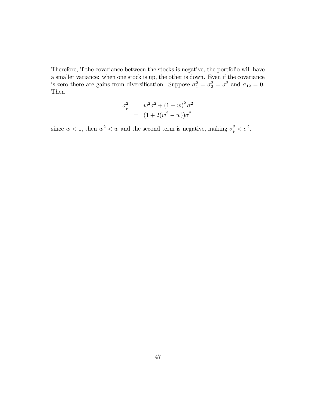Therefore, if the covariance between the stocks is negative, the portfolio will have a smaller variance: when one stock is up, the other is down. Even if the covariance is zero there are gains from diversification. Suppose  $\sigma_1^2 = \sigma_2^2 = \sigma^2$  and  $\sigma_{12} = 0$ . Then

$$
\sigma_p^2 = w^2 \sigma^2 + (1 - w)^2 \sigma^2
$$
  
= 
$$
(1 + 2(w^2 - w)) \sigma^2
$$

since  $w < 1$ , then  $w^2 < w$  and the second term is negative, making  $\sigma_p^2 < \sigma^2$ .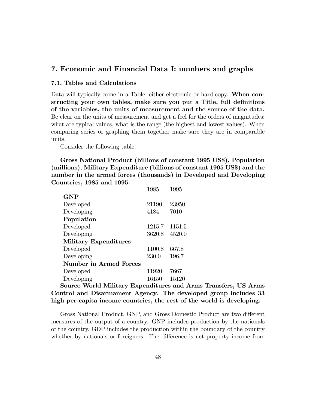# 7. Economic and Financial Data I: numbers and graphs

### 7.1. Tables and Calculations

Data will typically come in a Table, either electronic or hard-copy. When constructing your own tables, make sure you put a Title, full definitions of the variables, the units of measurement and the source of the data. Be clear on the units of measurement and get a feel for the orders of magnitudes: what are typical values, what is the range (the highest and lowest values). When comparing series or graphing them together make sure they are in comparable units.

Consider the following table.

Gross National Product (billions of constant 1995 US\$), Population (millions), Military Expenditure (billions of constant 1995 US\$) and the number in the armed forces (thousands) in Developed and Developing Countries, 1985 and 1995.

|        | 1995   |
|--------|--------|
|        |        |
| 21190  | 23950  |
| 4184   | 7010   |
|        |        |
| 1215.7 | 1151.5 |
| 3620.8 | 4520.0 |
|        |        |
| 1100.8 | 667.8  |
| 230.0  | 196.7  |
|        |        |
| 11920  | 7667   |
| 16150  | 15120  |
|        | 1985   |

Source World Military Expenditures and Arms Transfers, US Arms Control and Disarmament Agency. The developed group includes 33 high per-capita income countries, the rest of the world is developing.

Gross National Product, GNP, and Gross Domestic Product are two different measures of the output of a country. GNP includes production by the nationals of the country, GDP includes the production within the boundary of the country whether by nationals or foreigners. The difference is net property income from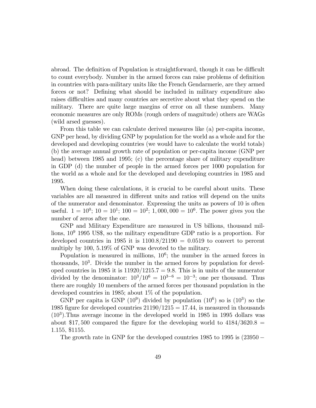abroad. The definition of Population is straightforward, though it can be difficult to count everybody. Number in the armed forces can raise problems of definition in countries with para-military units like the French Gendarmerie, are they armed forces or not? Defining what should be included in military expenditure also raises difficulties and many countries are secretive about what they spend on the military. There are quite large margins of error on all these numbers. Many economic measures are only ROMs (rough orders of magnitude) others are WAGs (wild arsed guesses).

From this table we can calculate derived measures like (a) per-capita income, GNP per head, by dividing GNP by population for the world as a whole and for the developed and developing countries (we would have to calculate the world totals) (b) the average annual growth rate of population or per-capita income (GNP per head) between 1985 and 1995; (c) the percentage share of military expenditure in GDP (d) the number of people in the armed forces per 1000 population for the world as a whole and for the developed and developing countries in 1985 and 1995.

When doing these calculations, it is crucial to be careful about units. These variables are all measured in different units and ratios will depend on the units of the numerator and denominator. Expressing the units as powers of 10 is often useful.  $1 = 10^0$ ;  $10 = 10^1$ ;  $100 = 10^2$ ;  $1,000,000 = 10^6$ . The power gives you the number of zeros after the one.

GNP and Military Expenditure are measured in US billions, thousand millions,  $10^9$  1995 US\$, so the military expenditure GDP ratio is a proportion. For developed countries in 1985 it is  $1100.8/21190 = 0.0519$  to convert to percent multiply by 100, 5.19% of GNP was devoted to the military.

Population is measured in millions,  $10^6$ ; the number in the armed forces in thousands,  $10<sup>3</sup>$ . Divide the number in the armed forces by population for developed countries in 1985 it is  $11920/1215.7 = 9.8$ . This is in units of the numerator divided by the denominator:  $10^3/10^6 = 10^{3-6} = 10^{-3}$ ; one per thousand. Thus there are roughly 10 members of the armed forces per thousand population in the developed countries in 1985; about 1% of the population.

GNP per capita is GNP  $(10^9)$  divided by population  $(10^6)$  so is  $(10^3)$  so the 1985 figure for developed countries  $21190/1215 = 17.44$ , is measured in thousands  $(10<sup>3</sup>)$ . Thus average income in the developed world in 1985 in 1995 dollars was about \$17,500 compared the figure for the developing world to  $4184/3620.8$  = 1:155; \$1155:

The growth rate in GNP for the developed countries  $1985$  to  $1995$  is  $(23950 -$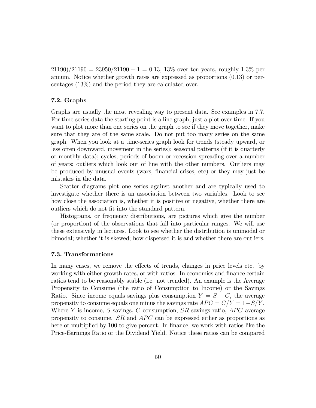$21190)/21190 = 23950/21190 - 1 = 0.13, 13\%$  over ten years, roughly 1.3% per annum. Notice whether growth rates are expressed as proportions (0:13) or percentages (13%) and the period they are calculated over.

# 7.2. Graphs

Graphs are usually the most revealing way to present data. See examples in 7.7. For time-series data the starting point is a line graph, just a plot over time. If you want to plot more than one series on the graph to see if they move together, make sure that they are of the same scale. Do not put too many series on the same graph. When you look at a time-series graph look for trends (steady upward, or less often downward, movement in the series); seasonal patterns (if it is quarterly or monthly data); cycles, periods of boom or recession spreading over a number of years; outliers which look out of line with the other numbers. Outliers may be produced by unusual events (wars, Önancial crises, etc) or they may just be mistakes in the data.

Scatter diagrams plot one series against another and are typically used to investigate whether there is an association between two variables. Look to see how close the association is, whether it is positive or negative, whether there are outliers which do not fit into the standard pattern.

Histograms, or frequency distributions, are pictures which give the number (or proportion) of the observations that fall into particular ranges. We will use these extensively in lectures. Look to see whether the distribution is unimodal or bimodal; whether it is skewed; how dispersed it is and whether there are outliers.

# 7.3. Transformations

In many cases, we remove the effects of trends, changes in price levels etc. by working with either growth rates, or with ratios. In economics and finance certain ratios tend to be reasonably stable (i.e. not trended). An example is the Average Propensity to Consume (the ratio of Consumption to Income) or the Savings Ratio. Since income equals savings plus consumption  $Y = S + C$ , the average propensity to consume equals one minus the savings rate  $APC = C/Y = 1-S/Y$ . Where Y is income, S savings, C consumption,  $SR$  savings ratio,  $APC$  average propensity to consume.  $SR$  and  $APC$  can be expressed either as proportions as here or multiplied by 100 to give percent. In finance, we work with ratios like the Price-Earnings Ratio or the Dividend Yield. Notice these ratios can be compared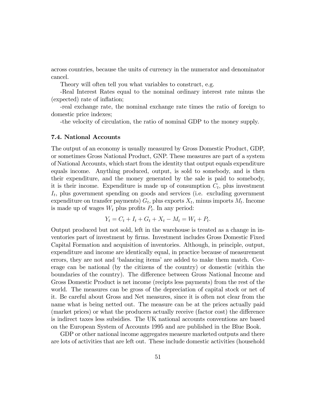across countries, because the units of currency in the numerator and denominator cancel.

Theory will often tell you what variables to construct, e.g.

-Real Interest Rates equal to the nominal ordinary interest rate minus the (expected) rate of inflation;

-real exchange rate, the nominal exchange rate times the ratio of foreign to domestic price indexes;

-the velocity of circulation, the ratio of nominal GDP to the money supply.

#### 7.4. National Accounts

The output of an economy is usually measured by Gross Domestic Product, GDP, or sometimes Gross National Product, GNP. These measures are part of a system of National Accounts, which start from the identity that output equals expenditure equals income. Anything produced, output, is sold to somebody, and is then their expenditure, and the money generated by the sale is paid to somebody, it is their income. Expenditure is made up of consumption  $C_t$ , plus investment  $I_t$ , plus government spending on goods and services (i.e. excluding government expenditure on transfer payments)  $G_t$ , plus exports  $X_t$ , minus imports  $M_t$ . Income is made up of wages  $W_t$  plus profits  $P_t$ . In any period:

$$
Y_t = C_t + I_t + G_t + X_t - M_t = W_t + P_t.
$$

Output produced but not sold, left in the warehouse is treated as a change in inventories part of investment by Örms. Investment includes Gross Domestic Fixed Capital Formation and acquisition of inventories. Although, in principle, output, expenditure and income are identically equal, in practice because of measurement errors, they are not and 'balancing items' are added to make them match. Coverage can be national (by the citizens of the country) or domestic (within the boundaries of the country). The difference between Gross National Income and Gross Domestic Product is net income (recipts less payments) from the rest of the world. The measures can be gross of the depreciation of capital stock or net of it. Be careful about Gross and Net measures, since it is often not clear from the name what is being netted out. The measure can be at the prices actually paid (market prices) or what the producers actually receive (factor cost) the difference is indirect taxes less subsidies. The UK national accounts conventions are based on the European System of Accounts 1995 and are published in the Blue Book.

GDP or other national income aggregates measure marketed outputs and there are lots of activities that are left out. These include domestic activities (household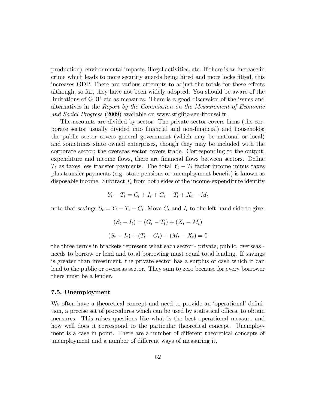production), environmental impacts, illegal activities, etc. If there is an increase in crime which leads to more security guards being hired and more locks Ötted, this increases GDP. There are various attempts to adjust the totals for these effects although, so far, they have not been widely adopted. You should be aware of the limitations of GDP etc as measures. There is a good discussion of the issues and alternatives in the Report by the Commission on the Measurement of Economic and Social Progress (2009) available on www.stiglitz-sen-fitoussi.fr.

The accounts are divided by sector. The private sector covers firms (the corporate sector usually divided into Önancial and non-Önancial) and households; the public sector covers general government (which may be national or local) and sometimes state owned enterprises, though they may be included with the corporate sector; the overseas sector covers trade. Corresponding to the output, expenditure and income flows, there are financial flows between sectors. Define  $T_t$  as taxes less transfer payments. The total  $Y_t - T_t$  factor income minus taxes plus transfer payments (e.g. state pensions or unemployment benefit) is known as disposable income. Subtract  $T_t$  from both sides of the income-expenditure identity

$$
Y_t - T_t = C_t + I_t + G_t - T_t + X_t - M_t
$$

note that savings  $S_t = Y_t - T_t - C_t$ . Move  $C_t$  and  $I_t$  to the left hand side to give:

$$
(S_t - I_t) = (G_t - T_t) + (X_t - M_t)
$$
  

$$
(S_t - I_t) + (T_t - G_t) + (M_t - X_t) = 0
$$

the three terms in brackets represent what each sector - private, public, overseas needs to borrow or lend and total borrowing must equal total lending. If savings is greater than investment, the private sector has a surplus of cash which it can lend to the public or overseas sector. They sum to zero because for every borrower there must be a lender.

## 7.5. Unemployment

We often have a theoretical concept and need to provide an 'operational' definition, a precise set of procedures which can be used by statistical offices, to obtain measures. This raises questions like what is the best operational measure and how well does it correspond to the particular theoretical concept. Unemployment is a case in point. There are a number of different theoretical concepts of unemployment and a number of different ways of measuring it.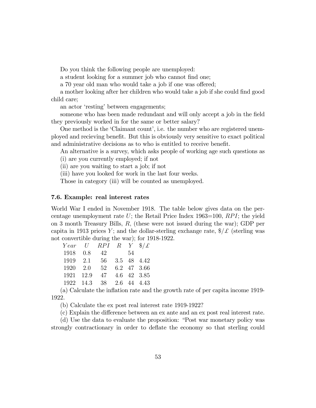Do you think the following people are unemployed:

a student looking for a summer job who cannot find one;

a 70 year old man who would take a job if one was offered;

a mother looking after her children who would take a job if she could find good child care;

an actor 'resting' between engagements;

someone who has been made redundant and will only accept a job in the field they previously worked in for the same or better salary?

One method is the 'Claimant count', i.e. the number who are registered unemployed and recieving benefit. But this is obviously very sensitive to exact political and administrative decisions as to who is entitled to receive benefit.

An alternative is a survey, which asks people of working age such questions as (i) are you currently employed; if not

(ii) are you waiting to start a job; if not

(iii) have you looked for work in the last four weeks.

Those in category (iii) will be counted as unemployed.

#### 7.6. Example: real interest rates

World War I ended in November 1918. The table below gives data on the percentage unemployment rate  $U$ ; the Retail Price Index 1963=100,  $RPI$ ; the yield on 3 month Treasury Bills, R; (these were not issued during the war); GDP per capita in 1913 prices Y; and the dollar-sterling exchange rate,  $\frac{1}{2}$  (sterling was not convertible during the war); for 1918-1922.

|           |     | Year U RPI R Y $\frac{1}{2}\mathcal{L}$ |  |             |
|-----------|-----|-----------------------------------------|--|-------------|
| 1918      | 0.8 | 42 54                                   |  |             |
| 1919 2.1  |     | - 56                                    |  | 3.5 48 4.42 |
|           |     | 1920 2.0 52 6.2 47 3.66                 |  |             |
| 1921 12.9 |     | 47 4.6 42 3.85                          |  |             |
|           |     | 1922 14.3 38 2.6 44 4.43                |  |             |

(a) Calculate the ináation rate and the growth rate of per capita income 1919- 1922.

(b) Calculate the ex post real interest rate 1919-1922?

(c) Explain the difference between an ex ante and an ex post real interest rate.

(d) Use the data to evaluate the proposition: "Post war monetary policy was strongly contractionary in order to deflate the economy so that sterling could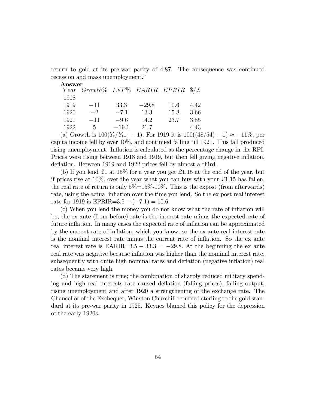return to gold at its pre-war parity of 4.87. The consequence was continued recession and mass unemployment."

| $\operatorname{Answer}$ |                                                |         |         |      |      |
|-------------------------|------------------------------------------------|---------|---------|------|------|
|                         | Year Growth% INF% EARIR EPRIR $\frac{1}{2}$ /£ |         |         |      |      |
| 1918                    |                                                |         |         |      |      |
| 1919                    | $-11$                                          | 33.3    | $-29.8$ | 10.6 | 4.42 |
| 1920                    | $-2$                                           | $-7.1$  | 13.3    | 15.8 | 3.66 |
| 1921                    | $-11$                                          | $-9.6$  | 14.2    | 23.7 | 3.85 |
| 1922                    | 5.                                             | $-19.1$ | 21.7    |      | 4.43 |
|                         |                                                |         |         |      |      |

(a) Growth is  $100(Y_t/Y_{t-1} - 1)$ . For 1919 it is  $100((48/54) - 1) \approx -11\%$ , per capita income fell by over 10%, and continued falling till 1921. This fall produced rising unemployment. Inflation is calculated as the percentage change in the RPI. Prices were rising between 1918 and 1919, but then fell giving negative inflation, deflation. Between 1919 and 1922 prices fell by almost a third.

(b) If you lend £1 at  $15\%$  for a year you get £1.15 at the end of the year, but if prices rise at  $10\%$ , over the year what you can buy with your £1.15 has fallen, the real rate of return is only  $5\% = 15\% \cdot 10\%$ . This is the expost (from afterwards) rate, using the actual inflation over the time you lend. So the ex post real interest rate for 1919 is EPRIR= $3.5 - (-7.1) = 10.6$ .

(c) When you lend the money you do not know what the rate of ináation will be, the ex ante (from before) rate is the interest rate minus the expected rate of future inflation. In many cases the expected rate of inflation can be approximated by the current rate of inflation, which you know, so the ex ante real interest rate is the nominal interest rate minus the current rate of ináation. So the ex ante real interest rate is  $\text{EARIR}=3.5 - 33.3 = -29.8$ . At the beginning the ex ante real rate was negative because inflation was higher than the nominal interest rate, subsequently with quite high nominal rates and deflation (negative inflation) real rates became very high.

(d) The statement is true; the combination of sharply reduced military spending and high real interests rate caused deflation (falling prices), falling output, rising unemployment and after 1920 a strengthening of the exchange rate. The Chancellor of the Exchequer, Winston Churchill returned sterling to the gold standard at its pre-war parity in 1925. Keynes blamed this policy for the depression of the early 1920s.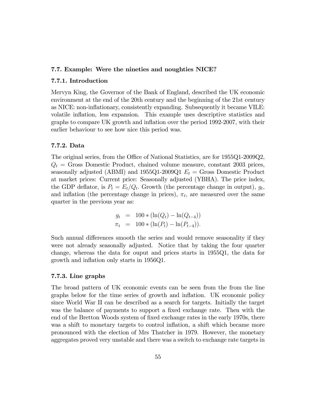## 7.7. Example: Were the nineties and noughties NICE?

### 7.7.1. Introduction

Mervyn King, the Governor of the Bank of England, described the UK economic environment at the end of the 20th century and the beginning of the 21st century as NICE: non-ináationary, consistently expanding. Subsequently it became VILE: volatile inflation, less expansion. This example uses descriptive statistics and graphs to compare UK growth and inflation over the period 1992-2007, with their earlier behaviour to see how nice this period was.

## 7.7.2. Data

The original series, from the Office of National Statistics, are for 1955Q1-2009Q2,  $Q_t$  = Gross Domestic Product, chained volume measure, constant 2003 prices, seasonally adjusted (ABMI) and 1955Q1-2009Q1  $E_t =$  Gross Domestic Product at market prices: Current price: Seasonally adjusted (YBHA). The price index, the GDP deflator, is  $P_t = E_t/Q_t$ . Growth (the percentage change in output),  $g_t$ , and inflation (the percentage change in prices),  $\pi_t$ , are measured over the same quarter in the previous year as:

$$
g_t = 100 * (\ln(Q_t) - \ln(Q_{t-4}))
$$
  

$$
\pi_t = 100 * (\ln(P_t) - \ln(P_{t-4})).
$$

Such annual differences smooth the series and would remove seasonality if they were not already seasonally adjusted. Notice that by taking the four quarter change, whereas the data for ouput and prices starts in 1955Q1, the data for growth and inflation only starts in 1956Q1.

## 7.7.3. Line graphs

The broad pattern of UK economic events can be seen from the from the line graphs below for the time series of growth and ináation. UK economic policy since World War II can be described as a search for targets. Initially the target was the balance of payments to support a fixed exchange rate. Then with the end of the Bretton Woods system of fixed exchange rates in the early 1970s, there was a shift to monetary targets to control inflation, a shift which became more pronounced with the election of Mrs Thatcher in 1979. However, the monetary aggregates proved very unstable and there was a switch to exchange rate targets in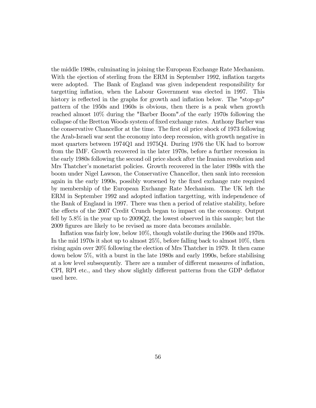the middle 1980s, culminating in joining the European Exchange Rate Mechanism. With the ejection of sterling from the ERM in September 1992, inflation targets were adopted. The Bank of England was given independent responsibility for targetting inflation, when the Labour Government was elected in 1997. This history is reflected in the graphs for growth and inflation below. The "stop-go" pattern of the 1950s and 1960s is obvious, then there is a peak when growth reached almost 10% during the "Barber Boom".of the early 1970s following the collapse of the Bretton Woods system of fixed exchange rates. Anthony Barber was the conservative Chancellor at the time. The first oil price shock of 1973 following the Arab-Israeli war sent the economy into deep recession, with growth negative in most quarters between 1974Q1 and 1975Q4. During 1976 the UK had to borrow from the IMF. Growth recovered in the later 1970s, before a further recession in the early 1980s following the second oil price shock after the Iranian revolution and Mrs Thatcher's monetarist policies. Growth recovered in the later 1980s with the boom under Nigel Lawson, the Conservative Chancellor, then sank into recession again in the early 1990s, possibly worsened by the Öxed exchange rate required by membership of the European Exchange Rate Mechanism. The UK left the ERM in September 1992 and adopted inflation targetting, with independence of the Bank of England in 1997. There was then a period of relative stability, before the effects of the 2007 Credit Crunch began to impact on the economy. Output fell by 5.8% in the year up to 2009Q2, the lowest observed in this sample; but the 2009 figures are likely to be revised as more data becomes available.

Inflation was fairly low, below  $10\%$ , though volatile during the 1960s and 1970s. In the mid 1970s it shot up to almost 25%, before falling back to almost 10%, then rising again over 20% following the election of Mrs Thatcher in 1979. It then came down below 5%, with a burst in the late 1980s and early 1990s, before stabilising at a low level subsequently. There are a number of different measures of inflation, CPI, RPI etc., and they show slightly different patterns from the GDP deflator used here.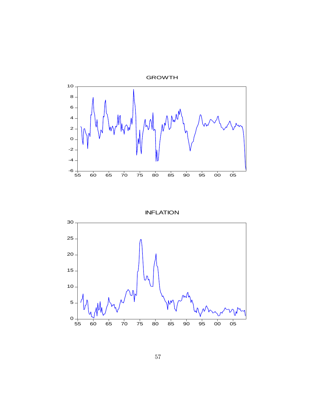

INFLATION

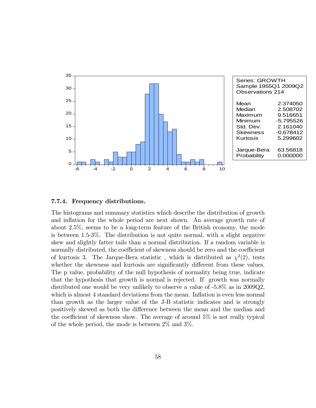

### 7.7.4. Frequency distributions.

The histograms and summary statistics which describe the distribution of growth and inflation for the whole period are next shown. An average growth rate of about 2.5%, seems to be a long-term feature of the British economy, the mode is between 1.5-3%. The distribution is not quite normal, with a slight negative skew and slightly fatter tails than a normal distribution. If a random variable is normally distributed, the coefficient of skewness should be zero and the coefficient of kurtosis 3. The Jarque-Bera statistic, which is distributed as  $\chi^2(2)$ , tests whether the skewness and kurtosis are significantly different from these values. The p value, probability of the null hypothesis of normality being true, indicate that the hypothesis that growth is normal is rejected. If growth was normally distributed one would be very unlikely to observe a value of -5.8% as in 2009Q2, which is almost 4 standard deviations from the mean. Inflation is even less normal than growth as the larger value of the J-B statistic indicates and is strongly positively skewed as both the difference between the mean and the median and the coefficient of skewness show. The average of around  $5\%$  is not really typical of the whole period, the mode is between 2% and 3%.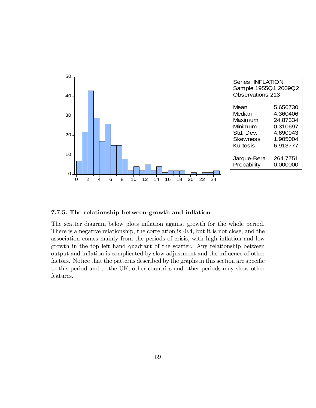

# 7.7.5. The relationship between growth and inflation

The scatter diagram below plots inflation against growth for the whole period. There is a negative relationship, the correlation is -0.4, but it is not close, and the association comes mainly from the periods of crisis, with high inflation and low growth in the top left hand quadrant of the scatter. Any relationship between output and ináation is complicated by slow adjustment and the ináuence of other factors. Notice that the patterns described by the graphs in this section are specific to this period and to the UK; other countries and other periods may show other features.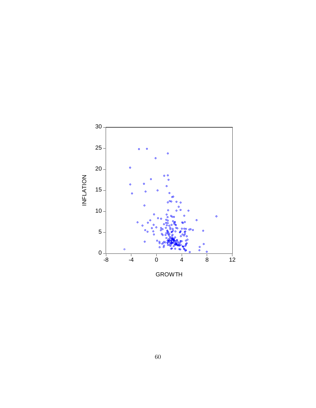

GROWTH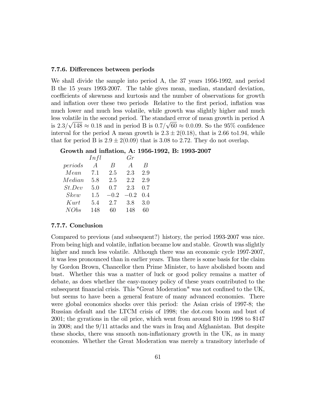#### 7.7.6. Differences between periods

We shall divide the sample into period A, the 37 years 1956-1992, and period B the 15 years 1993-2007. The table gives mean, median, standard deviation, coefficients of skewness and kurtosis and the number of observations for growth and inflation over these two periods Relative to the first period, inflation was much lower and much less volatile, while growth was slightly higher and much less volatile in the second period. The standard error of mean growth in period A is  $2.3/\sqrt{148} \approx 0.18$  and in period B is  $0.7/\sqrt{60} \approx 0.0.09$ . So the 95% confidence interval for the period A mean growth is  $2.3 \pm 2(0.18)$ , that is 2.66 to1.94, while that for period B is  $2.9 \pm 2(0.09)$  that is 3.08 to 2.72. They do not overlap.

### Growth and inflation, A: 1956-1992, B: 1993-2007

|         | Infl           |        | $G_r$          |     |
|---------|----------------|--------|----------------|-----|
| periods | $\overline{A}$ | B      | $\overline{A}$ | B   |
| Mean    | 7.1            | 2.5    | 2.3            | 2.9 |
| Median  | 5.8            | 2.5    | 2.2            | 2.9 |
| St. Dev | 5.0            | 0.7    | 2.3            | 0.7 |
| Skew    | 1.5            | $-0.2$ | $-0.2$         | 0.4 |
| Kurt    | 5.4            | 2.7    | 3.8            | 3.0 |
| NObs    | 148            | 60     | 148            | 60  |

## 7.7.7. Conclusion

Compared to previous (and subsequent?) history, the period 1993-2007 was nice. From being high and volatile, inflation became low and stable. Growth was slightly higher and much less volatile. Although there was an economic cycle 1997-2007, it was less pronounced than in earlier years. Thus there is some basis for the claim by Gordon Brown, Chancellor then Prime Minister, to have abolished boom and bust. Whether this was a matter of luck or good policy remains a matter of debate, as does whether the easy-money policy of these years contributed to the subsequent financial crisis. This "Great Moderation" was not confined to the UK, but seems to have been a general feature of many advanced economies. There were global economics shocks over this period: the Asian crisis of 1997-8; the Russian default and the LTCM crisis of 1998; the dot.com boom and bust of 2001; the gyrations in the oil price, which went from around \$10 in 1998 to \$147 in 2008; and the 9/11 attacks and the wars in Iraq and Afghanistan. But despite these shocks, there was smooth non-inflationary growth in the UK, as in many economies. Whether the Great Moderation was merely a transitory interlude of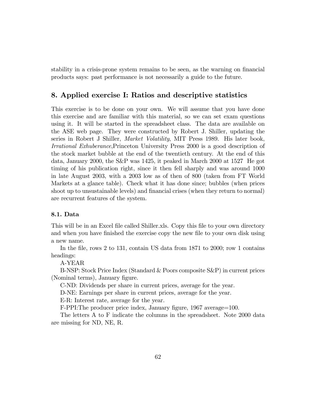stability in a crisis-prone system remains to be seen, as the warning on financial products says: past performance is not necessarily a guide to the future.

# 8. Applied exercise I: Ratios and descriptive statistics

This exercise is to be done on your own. We will assume that you have done this exercise and are familiar with this material, so we can set exam questions using it. It will be started in the spreadsheet class. The data are available on the ASE web page. They were constructed by Robert J. Shiller, updating the series in Robert J Shiller, Market Volatility, MIT Press 1989. His later book, Irrational Exhuberance,Princeton University Press 2000 is a good description of the stock market bubble at the end of the twentieth century. At the end of this data, January 2000, the S&P was 1425, it peaked in March 2000 at 1527 He got timing of his publication right, since it then fell sharply and was around 1000 in late August 2003, with a 2003 low as of then of 800 (taken from FT World Markets at a glance table). Check what it has done since; bubbles (when prices shoot up to unsustainable levels) and financial crises (when they return to normal) are recurrent features of the system.

## 8.1. Data

This will be in an Excel file called Shiller.xls. Copy this file to your own directory and when you have finished the exercise copy the new file to your own disk using a new name.

In the file, rows 2 to 131, contain US data from  $1871$  to  $2000$ ; row 1 contains headings:

A-YEAR

B-NSP: Stock Price Index (Standard & Poors composite S&P) in current prices (Nominal terms), January figure.

C-ND: Dividends per share in current prices, average for the year.

D-NE: Earnings per share in current prices, average for the year.

E-R: Interest rate, average for the year.

F-PPI: The producer price index, January figure, 1967 average=100.

The letters A to F indicate the columns in the spreadsheet. Note 2000 data are missing for ND, NE, R.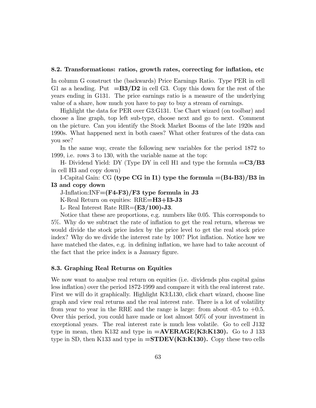#### 8.2. Transformations: ratios, growth rates, correcting for inflation, etc.

In column G construct the (backwards) Price Earnings Ratio. Type PER in cell G1 as a heading. Put  $=B3/D2$  in cell G3. Copy this down for the rest of the years ending in G131. The price earnings ratio is a measure of the underlying value of a share, how much you have to pay to buy a stream of earnings.

Highlight the data for PER over G3:G131. Use Chart wizard (on toolbar) and choose a line graph, top left sub-type, choose next and go to next. Comment on the picture. Can you identify the Stock Market Booms of the late 1920s and 1990s. What happened next in both cases? What other features of the data can you see?

In the same way, create the following new variables for the period 1872 to 1999, i.e. rows 3 to 130, with the variable name at the top:

H- Dividend Yield: DY (Type DY in cell H1 and type the formula  $=C3/B3$ in cell H3 and copy down)

I-Capital Gain: CG (type CG in I1) type the formula  $=(B4-B3)/B3$  in I3 and copy down

J-Inflation:INF= $(F4-F3)/F3$  type formula in J3

K-Real Return on equities: RRE=H3+I3-J3

L- Real Interest Rate  $\text{RIR} = \left(\text{E3}/100\right)$ -J3.

Notice that these are proportions, e.g. numbers like 0.05. This corresponds to 5%. Why do we subtract the rate of ináation to get the real return, whereas we would divide the stock price index by the price level to get the real stock price index? Why do we divide the interest rate by 100? Plot inflation. Notice how we have matched the dates, e.g. in defining inflation, we have had to take account of the fact that the price index is a January figure.

#### 8.3. Graphing Real Returns on Equities

We now want to analyse real return on equities (i.e. dividends plus capital gains less inflation) over the period 1872-1999 and compare it with the real interest rate. First we will do it graphically. Highlight K3:L130, click chart wizard, choose line graph and view real returns and the real interest rate. There is a lot of volatility from year to year in the RRE and the range is large: from about  $-0.5$  to  $+0.5$ . Over this period, you could have made or lost almost 50% of your investment in exceptional years. The real interest rate is much less volatile. Go to cell J132 type in mean, then K132 and type in  $=\text{AVERAGE}(\text{K3:K130})$ . Go to J 133 type in SD, then K133 and type in  $=\text{STDEV}(K3:K130)$ . Copy these two cells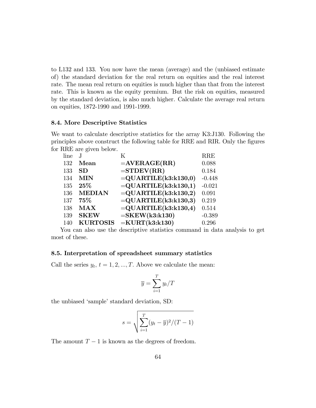to L132 and 133. You now have the mean (average) and the (unbiased estimate of) the standard deviation for the real return on equities and the real interest rate. The mean real return on equities is much higher than that from the interest rate. This is known as the equity premium. But the risk on equities, measured by the standard deviation, is also much higher. Calculate the average real return on equities, 1872-1990 and 1991-1999.

## 8.4. More Descriptive Statistics

We want to calculate descriptive statistics for the array K3:J130. Following the principles above construct the following table for RRE and RIR. Only the figures for RRE are given below.

| line |                 | K                       | <b>RRE</b> |
|------|-----------------|-------------------------|------------|
| 132  | Mean            | $=$ AVERAGE(RR)         | 0.088      |
| 133  | SD              | $=$ STDEV(RR)           | 0.184      |
| 134  | <b>MIN</b>      | $=$ QUARTILE(k3:k130,0) | $-0.448$   |
| 135  | $25\%$          | $=$ QUARTILE(k3:k130,1) | $-0.021$   |
| 136  | <b>MEDIAN</b>   | $=$ QUARTILE(k3:k130,2) | 0.091      |
| 137  | 75%             | $=$ QUARTILE(k3:k130,3) | 0.219      |
| 138  | <b>MAX</b>      | $=$ QUARTILE(k3:k130,4) | 0.514      |
| 139  | <b>SKEW</b>     | $=$ SKEW(k3:k130)       | $-0.389$   |
| 140  | <b>KURTOSIS</b> | $=$ KURT $(k3:k130)$    | 0.296      |

You can also use the descriptive statistics command in data analysis to get most of these.

## 8.5. Interpretation of spreadsheet summary statistics

Call the series  $y_t$ ,  $t = 1, 2, ..., T$ . Above we calculate the mean:

$$
\overline{y} = \sum_{i=1}^{T} y_i / T
$$

the unbiased 'sample' standard deviation, SD:

$$
s = \sqrt{\sum_{i=1}^{T} (y_t - \overline{y})^2 / (T - 1)}
$$

The amount  $T-1$  is known as the degrees of freedom.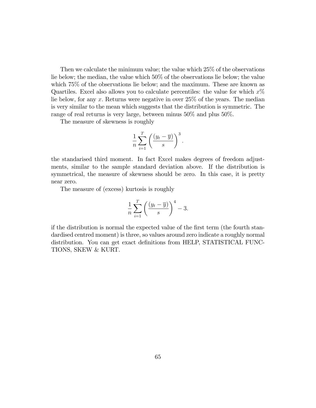Then we calculate the minimum value; the value which 25% of the observations lie below; the median, the value which 50% of the observations lie below; the value which  $75\%$  of the observations lie below; and the maximum. These are known as Quartiles. Excel also allows you to calculate percentiles: the value for which  $x\%$ lie below, for any x: Returns were negative in over 25% of the years. The median is very similar to the mean which suggests that the distribution is symmetric. The range of real returns is very large, between minus 50% and plus 50%.

The measure of skewness is roughly

$$
\frac{1}{n}\sum_{i=1}^T\left(\frac{(y_t-\overline{y})}{s}\right)^3.
$$

the standarised third moment. In fact Excel makes degrees of freedom adjustments, similar to the sample standard deviation above. If the distribution is symmetrical, the measure of skewness should be zero. In this case, it is pretty near zero.

The measure of (excess) kurtosis is roughly

$$
\frac{1}{n}\sum_{i=1}^{T}\left(\frac{(y_t-\overline{y})}{s}\right)^4-3.
$$

if the distribution is normal the expected value of the first term (the fourth standardised centred moment) is three, so values around zero indicate a roughly normal distribution. You can get exact definitions from HELP, STATISTICAL FUNC-TIONS, SKEW & KURT.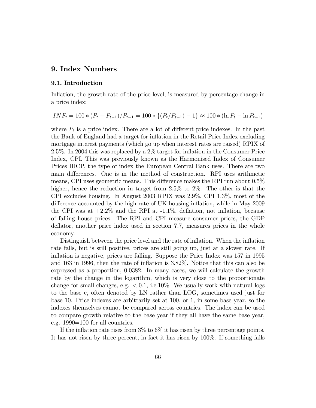# 9. Index Numbers

## 9.1. Introduction

Inflation, the growth rate of the price level, is measured by percentage change in a price index:

$$
INF_t = 100 * (P_t - P_{t-1})/P_{t-1} = 100 * \{(P_t/P_{t-1}) - 1\} \approx 100 * (\ln P_t - \ln P_{t-1})
$$

where  $P_t$  is a price index. There are a lot of different price indexes. In the past the Bank of England had a target for inflation in the Retail Price Index excluding mortgage interest payments (which go up when interest rates are raised) RPIX of 2.5%. In 2004 this was replaced by a 2% target for ináation in the Consumer Price Index, CPI. This was previously known as the Harmonised Index of Consumer Prices HICP, the type of index the European Central Bank uses. There are two main differences. One is in the method of construction. RPI uses arithmetic means, CPI uses geometric means. This difference makes the RPI run about  $0.5\%$ higher, hence the reduction in target from 2.5% to 2%. The other is that the CPI excludes housing. In August 2003 RPIX was 2.9%, CPI 1.3%, most of the difference accounted by the high rate of UK housing inflation, while in May 2009 the CPI was at  $+2.2\%$  and the RPI at  $-1.1\%$ , deflation, not inflation, because of falling house prices. The RPI and CPI measure consumer prices, the GDP deflator, another price index used in section 7.7, measures prices in the whole economy.

Distinguish between the price level and the rate of inflation. When the inflation rate falls, but is still positive, prices are still going up, just at a slower rate. If inflation is negative, prices are falling. Suppose the Price Index was 157 in 1995 and 163 in 1996, then the rate of ináation is 3.82%. Notice that this can also be expressed as a proportion, 0.0382. In many cases, we will calculate the growth rate by the change in the logarithm, which is very close to the proportionate change for small changes, e.g.  $< 0.1$ , i.e.10%. We usually work with natural logs to the base e, often denoted by LN rather than LOG, sometimes used just for base 10. Price indexes are arbitrarily set at 100, or 1, in some base year, so the indexes themselves cannot be compared across countries. The index can be used to compare growth relative to the base year if they all have the same base year, e.g. 1990=100 for all countries.

If the inflation rate rises from  $3\%$  to  $6\%$  it has risen by three percentage points. It has not risen by three percent, in fact it has risen by 100%. If something falls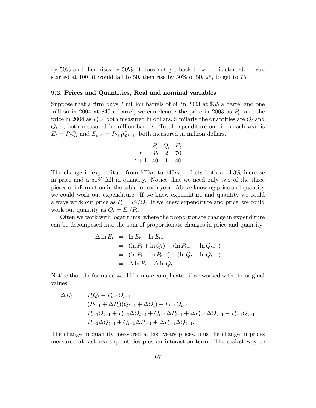by 50% and then rises by 50%, it does not get back to where it started. If you started at 100, it would fall to 50, then rise by 50% of 50, 25, to get to 75.

#### 9.2. Prices and Quantities, Real and nominal variables

Suppose that a firm buys 2 million barrels of oil in 2003 at \$35 a barrel and one million in 2004 at \$40 a barrel, we can denote the price in 2003 as  $P_t$ , and the price in 2004 as  $P_{t+1}$  both measured in dollars. Similarly the quantities are  $Q_t$  and  $Q_{t+1}$ , both measured in million barrels. Total expenditure on oil in each year is  $E_t = P_t Q_t$  and  $E_{t+1} = P_{t+1} Q_{t+1}$ , both measured in million dollars.

$$
\begin{array}{ccc}\nP_t & Q_t & E_t \\
t & 35 & 2 & 70 \\
t+1 & 40 & 1 & 40\n\end{array}
$$

The change in expenditure from \$70 $m$  to \$40 $m$ , reflects both a 14.3 $\%$  increase in price and a 50% fall in quantity. Notice that we need only two of the three pieces of information in the table for each year. Above knowing price and quantity we could work out expenditure. If we knew expenditure and quantity we could always work out price as  $P_t = E_t/Q_t$ . If we knew expenditure and price, we could work out quantity as  $Q_t = E_t/P_t$ .

Often we work with logarithms, where the proportionate change in expenditure can be decomposed into the sum of proportionate changes in price and quantity

$$
\Delta \ln E_t = \ln E_t - \ln E_{t-1}
$$
  
=  $(\ln P_t + \ln Q_t) - (\ln P_{t-1} + \ln Q_{t-1})$   
=  $(\ln P_t - \ln P_{t-1}) + (\ln Q_t - \ln Q_{t-1})$   
=  $\Delta \ln P_t + \Delta \ln Q_t$ 

Notice that the formulae would be more complicated if we worked with the original values

$$
\Delta E_t = P_t Q_t - P_{t-1} Q_{t-1}
$$
  
=  $(P_{t-1} + \Delta P_t)(Q_{t-1} + \Delta Q_t) - P_{t-1} Q_{t-1}$   
=  $P_{t-1} Q_{t-1} + P_{t-1} \Delta Q_{t-1} + Q_{t-1} \Delta P_{t-1} + \Delta P_{t-1} \Delta Q_{t-1} - P_{t-1} Q_{t-1}$   
=  $P_{t-1} \Delta Q_{t-1} + Q_{t-1} \Delta P_{t-1} + \Delta P_{t-1} \Delta Q_{t-1}.$ 

The change in quantity measured at last years prices, plus the change in prices measured at last years quantities plus an interaction term. The easiest way to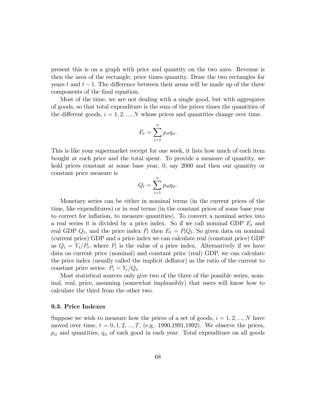present this is on a graph with price and quantity on the two axes. Revenue is then the area of the rectangle, price times quantity. Draw the two rectangles for years t and  $t-1$ . The difference between their areas will be made up of the three components of the final equation.

Most of the time, we are not dealing with a single good, but with aggregates of goods, so that total expenditure is the sum of the prices times the quantities of the different goods,  $i = 1, 2, ..., N$  whose prices and quantities change over time.

$$
E_t = \sum_{i=1}^n p_{it} q_{it}.
$$

This is like your supermarket receipt for one week, it lists how much of each item bought at each price and the total spent. To provide a measure of quantity, we hold prices constant at some base year, 0, say 2000 and then our quantity or constant price measure is

$$
Q_t = \sum_{i=1}^n p_{i0} q_{it}.
$$

Monetary series can be either in nominal terms (in the current prices of the time, like expenditures) or in real terms (in the constant prices of some base year to correct for ináation, to measure quantities). To convert a nominal series into a real series it is divided by a price index. So if we call nominal GDP  $E_t$  and real GDP  $Q_t$ , and the price index  $P_t$  then  $E_t = P_t Q_t$ . So given data on nominal (current price) GDP and a price index we can calculate real (constant price) GDP as  $Q_t = Y_t/P_t$ , where  $P_t$  is the value of a price index. Alternatively if we have data on current price (nominal) and constant price (real) GDP, we can calculate the price index (usually called the implicit deáator) as the ratio of the current to constant price series:  $P_t = Y_t/Q_t$ .

Most statistical sources only give two of the three of the possible series, nominal, real, price, assuming (somewhat implausibly) that users will know how to calculate the third from the other two.

## 9.3. Price Indexes

Suppose we wish to measure how the prices of a set of goods,  $i = 1, 2, ..., N$  have moved over time,  $t = 0, 1, 2, ..., T$ , (e.g. 1990,1991,1992). We observe the prices,  $p_{it}$  and quantities,  $q_{it}$  of each good in each year. Total expenditure on all goods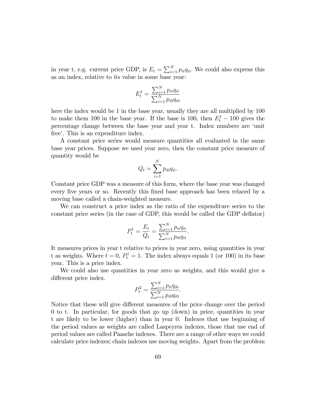in year t, e.g. current price GDP, is  $E_t = \sum_{i=1}^{N} p_{it} q_{it}$ . We could also express this as an index, relative to its value in some base year:

$$
E_t^I = \frac{\sum_{i=1}^{N} p_{it} q_{it}}{\sum_{i=1}^{N} p_{i0} q_{i0}}
$$

here the index would be 1 in the base year, usually they are all multiplied by 100 to make them 100 in the base year. If the base is 100, then  $E_t^I - 100$  gives the percentage change between the base year and year t. Index numbers are 'unit free'. This is an expenditure index.

A constant price series would measure quantities all evaluated in the same base year prices. Suppose we used year zero, then the constant price measure of quantity would be

$$
Q_t = \sum_{i=1}^N p_{i0} q_{it}.
$$

Constant price GDP was a measure of this form, where the base year was changed every five years or so. Recently this fixed base approach has been relaced by a moving base called a chain-weighted measure.

We can construct a price index as the ratio of the expenditure series to the constant price series (in the case of GDP, this would be called the GDP deflator)

$$
P_t^1 = \frac{E_t}{Q_t} = \frac{\sum_{i=1}^N p_{it} q_{it}}{\sum_{i=1}^N p_{i0} q_{it}}.
$$

It measures prices in year t relative to prices in year zero, using quantities in year t as weights. Where  $t = 0$ ,  $P_t^1 = 1$ . The index always equals 1 (or 100) in its base year. This is a price index.

We could also use quantities in year zero as weights, and this would give a different price index.

$$
P_t^2 = \frac{\sum_{i=1}^N p_{it} q_{i0}}{\sum_{i=1}^N p_{i0} q_{i0}}.
$$

Notice that these will give different measures of the price change over the period 0 to t. In particular, for goods that go up (down) in price, quantities in year t are likely to be lower (higher) than in year 0. Indexes that use beginning of the period values as weights are called Laspeyres indexes, those that use end of period values are called Paasche indexes. There are a range of other ways we could calculate price indexes; chain indexes use moving weights. Apart from the problem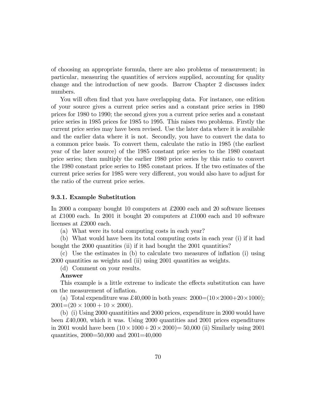of choosing an appropriate formula, there are also problems of measurement; in particular, measuring the quantities of services supplied, accounting for quality change and the introduction of new goods. Barrow Chapter 2 discusses index numbers.

You will often find that you have overlapping data. For instance, one edition of your source gives a current price series and a constant price series in 1980 prices for 1980 to 1990; the second gives you a current price series and a constant price series in 1985 prices for 1985 to 1995. This raises two problems. Firstly the current price series may have been revised. Use the later data where it is available and the earlier data where it is not. Secondly, you have to convert the data to a common price basis. To convert them, calculate the ratio in 1985 (the earliest year of the later source) of the 1985 constant price series to the 1980 constant price series; then multiply the earlier 1980 price series by this ratio to convert the 1980 constant price series to 1985 constant prices. If the two estimates of the current price series for 1985 were very different, you would also have to adjust for the ratio of the current price series.

### 9.3.1. Example Substitution

In 2000 a company bought 10 computers at £2000 each and 20 software licenses at £1000 each. In 2001 it bought 20 computers at £1000 each and 10 software licenses at £2000 each.

(a) What were its total computing costs in each year?

(b) What would have been its total computing costs in each year (i) if it had bought the 2000 quantities (ii) if it had bought the 2001 quantities?

 $(c)$  Use the estimates in  $(b)$  to calculate two measures of inflation  $(i)$  using 2000 quantities as weights and (ii) using 2001 quantities as weights.

(d) Comment on your results.

# Answer

This example is a little extreme to indicate the effects substitution can have on the measurement of inflation.

(a) Total expenditure was £40,000 in both years:  $2000=(10\times2000+20\times1000)$ ;  $2001 = (20 \times 1000 + 10 \times 2000).$ 

(b) (i) Using 2000 quantitities and 2000 prices, expenditure in 2000 would have been £ 40,000, which it was. Using 2000 quantities and 2001 prices expenditures in 2001 would have been  $(10 \times 1000 + 20 \times 2000) = 50,000$  (ii) Similarly using 2001 quantities, 2000=50,000 and 2001=40,000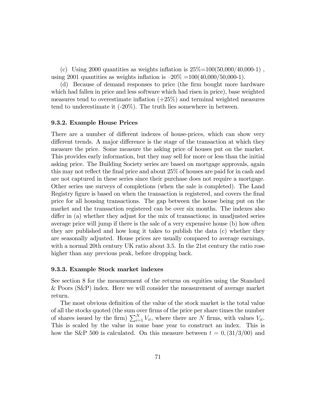(c) Using 2000 quantities as weights inflation is  $25\% = 100(50,000/40,000-1)$ , using 2001 quantities as weights inflation is  $-20\% = 100(40,000/50,000-1)$ .

(d) Because of demand responses to price (the Örm bought more hardware which had fallen in price and less software which had risen in price), base weighted measures tend to overestimate inflation  $(+25%)$  and terminal weighted measures tend to underestimate it  $(-20\%)$ . The truth lies somewhere in between.

#### 9.3.2. Example House Prices

There are a number of different indexes of house-prices, which can show very different trends. A major difference is the stage of the transaction at which they measure the price. Some measure the asking price of houses put on the market. This provides early information, but they may sell for more or less than the initial asking price. The Building Society series are based on mortgage approvals, again this may not reflect the final price and about  $25\%$  of houses are paid for in cash and are not captured in these series since their purchase does not require a mortgage. Other series use surveys of completions (when the sale is completed). The Land Registry figure is based on when the transaction is registered, and covers the final price for all housing transactions. The gap between the house being put on the market and the transaction registered can be over six months. The indexes also differ in (a) whether they adjust for the mix of transactions; in unadjusted series average price will jump if there is the sale of a very expensive house (b) how often they are published and how long it takes to publish the data (c) whether they are seasonally adjusted. House prices are usually compared to average earnings, with a normal 20th century UK ratio about 3.5. In the 21st century the ratio rose higher than any previous peak, before dropping back.

#### 9.3.3. Example Stock market indexes

See section 8 for the measurement of the returns on equities using the Standard & Poors (S&P) index. Here we will consider the measurement of average market return.

The most obvious definition of the value of the stock market is the total value of all the stocks quoted (the sum over firms of the price per share times the number of shares issued by the firm)  $\sum_{i=1}^{N} V_{it}$ , where there are N firms, with values  $V_{it}$ . This is scaled by the value in some base year to construct an index. This is how the S&P 500 is calculated. On this measure between  $t = 0$ , (31/3/00) and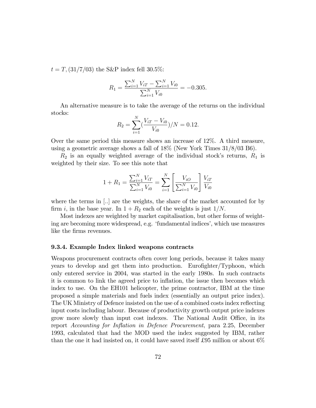$t = T$ ,  $\left(\frac{31}{7}\right)$  the S&P index fell 30.5%:

$$
R_1 = \frac{\sum_{i=1}^{N} V_{iT} - \sum_{i=1}^{N} V_{i0}}{\sum_{i=1}^{N} V_{i0}} = -0.305.
$$

An alternative measure is to take the average of the returns on the individual stocks:

$$
R_2 = \sum_{i=1}^{N} \left( \frac{V_{iT} - V_{i0}}{V_{i0}} \right) / N = 0.12.
$$

Over the same period this measure shows an increase of 12%. A third measure, using a geometric average shows a fall of 18% (New York Times 31/8/03 B6).

 $R_2$  is an equally weighted average of the individual stock's returns,  $R_1$  is weighted by their size. To see this note that

$$
1 + R_1 = \frac{\sum_{i=1}^{N} V_{iT}}{\sum_{i=1}^{N} V_{i0}} = \sum_{i=1}^{N} \left[ \frac{V_{iO}}{\sum_{i=1}^{N} V_{i0}} \right] \frac{V_{iT}}{V_{i0}}
$$

where the terms in  $\left[.. \right]$  are the weights, the share of the market accounted for by firm i, in the base year. In  $1 + R_2$  each of the weights is just  $1/N$ .

Most indexes are weighted by market capitalisation, but other forms of weighting are becoming more widespread, e.g. 'fundamental indices', which use measures like the firms revenues.

#### 9.3.4. Example Index linked weapons contracts

Weapons procurement contracts often cover long periods, because it takes many years to develop and get them into production. Eurofighter/Typhoon, which only entered service in 2004, was started in the early 1980s. In such contracts it is common to link the agreed price to inflation, the issue then becomes which index to use. On the EH101 helicopter, the prime contractor, IBM at the time proposed a simple materials and fuels index (essentially an output price index). The UK Ministry of Defence insisted on the use of a combined costs index reflecting input costs including labour. Because of productivity growth output price indexes grow more slowly than input cost indexes. The National Audit Office, in its report Accounting for Inflation in Defence Procurement, para 2.25, December 1993, calculated that had the MOD used the index suggested by IBM, rather than the one it had insisted on, it could have saved itself £95 million or about  $6\%$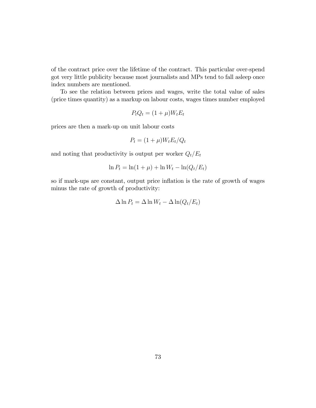of the contract price over the lifetime of the contract. This particular over-spend got very little publicity because most journalists and MPs tend to fall asleep once index numbers are mentioned.

To see the relation between prices and wages, write the total value of sales (price times quantity) as a markup on labour costs, wages times number employed

$$
P_t Q_t = (1 + \mu) W_t E_t
$$

prices are then a mark-up on unit labour costs

$$
P_t = (1 + \mu)W_t E_t/Q_t
$$

and noting that productivity is output per worker  $Q_t/E_t$ 

$$
\ln P_t = \ln(1+\mu) + \ln W_t - \ln(Q_t/E_t)
$$

so if mark-ups are constant, output price inflation is the rate of growth of wages minus the rate of growth of productivity:

$$
\Delta \ln P_t = \Delta \ln W_t - \Delta \ln (Q_t/E_t)
$$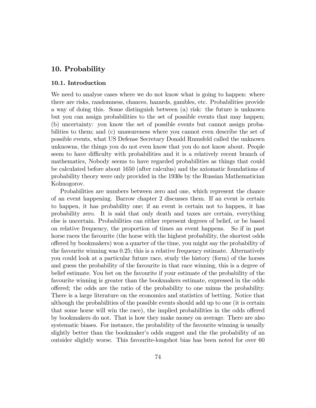## 10. Probability

#### 10.1. Introduction

We need to analyse cases where we do not know what is going to happen: where there are risks, randomness, chances, hazards, gambles, etc. Probabilities provide a way of doing this. Some distinguish between (a) risk: the future is unknown but you can assign probabilities to the set of possible events that may happen; (b) uncertainty: you know the set of possible events but cannot assign probabilities to them; and (c) unawareness where you cannot even describe the set of possible events, what US Defense Secretary Donald Rumsfeld called the unknown unknowns, the things you do not even know that you do not know about. People seem to have difficulty with probabilities and it is a relatively recent branch of mathematics, Nobody seems to have regarded probabilities as things that could be calculated before about 1650 (after calculus) and the axiomatic foundations of probability theory were only provided in the 1930s by the Russian Mathematician Kolmogorov.

Probabilities are numbers between zero and one, which represent the chance of an event happening. Barrow chapter 2 discusses them. If an event is certain to happen, it has probability one; if an event is certain not to happen, it has probability zero. It is said that only death and taxes are certain, everything else is uncertain. Probabilities can either represent degrees of belief, or be based on relative frequency, the proportion of times an event happens. So if in past horse races the favourite (the horse with the highest probability, the shortest odds o§ered by bookmakers) won a quarter of the time, you might say the probability of the favourite winning was 0.25; this is a relative frequency estimate. Alternatively you could look at a particular future race, study the history (form) of the horses and guess the probability of the favourite in that race winning, this is a degree of belief estimate. You bet on the favourite if your estimate of the probability of the favourite winning is greater than the bookmakers estimate, expressed in the odds o§ered; the odds are the ratio of the probability to one minus the probability. There is a large literature on the economics and statistics of betting. Notice that although the probabilities of the possible events should add up to one (it is certain that some horse will win the race), the implied probabilities in the odds offered by bookmakers do not. That is how they make money on average. There are also systematic biases. For instance, the probability of the favourite winning is usually slightly better than the bookmaker's odds suggest and the the probability of an outsider slightly worse. This favourite-longshot bias has been noted for over 60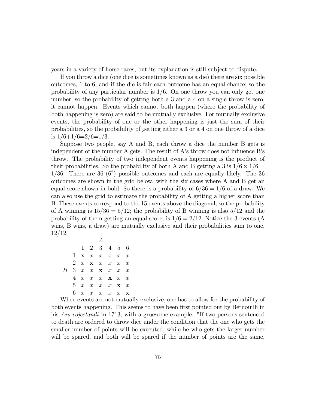years in a variety of horse-races, but its explanation is still subject to dispute.

If you throw a dice (one dice is sometimes known as a die) there are six possible outcomes, 1 to 6, and if the die is fair each outcome has an equal chance; so the probability of any particular number is  $1/6$ . On one throw you can only get one number, so the probability of getting both a 3 and a 4 on a single throw is zero, it cannot happen. Events which cannot both happen (where the probability of both happening is zero) are said to be mutually exclusive. For mutually exclusive events, the probability of one or the other happening is just the sum of their probabilities, so the probability of getting either a 3 or a 4 on one throw of a dice is  $1/6+1/6=2/6=1/3$ .

Suppose two people, say A and B, each throw a dice the number B gets is independent of the number A gets. The result of  $A$ 's throw does not influence B's throw. The probability of two independent events happening is the product of their probabilities. So the probability of both A and B getting a 3 is  $1/6 \times 1/6 =$  $1/36$ . There are 36 (6<sup>2</sup>) possible outcomes and each are equally likely. The 36 outcomes are shown in the grid below, with the six cases where A and B get an equal score shown in bold. So there is a probability of  $6/36 = 1/6$  of a draw. We can also use the grid to estimate the probability of A getting a higher score than B. These events correspond to the 15 events above the diagonal, so the probability of A winning is  $15/36 = 5/12$ ; the probability of B winning is also  $5/12$  and the probability of them getting an equal score, is  $1/6 = 2/12$ . Notice the 3 events (A wins, B wins, a draw) are mutually exclusive and their probabilities sum to one,  $12/12$ .

|    |                  | $1\quad 2\quad 3\quad 4\quad 5\quad 6$ |  |                  |
|----|------------------|----------------------------------------|--|------------------|
| 1  |                  | $\mathbf{x}$ x x x x                   |  | $\boldsymbol{x}$ |
|    |                  | 2 $x \times x \times x$                |  | $\boldsymbol{x}$ |
|    |                  | $3 \quad x \quad x \quad x \quad x$    |  | $\boldsymbol{x}$ |
| 4  |                  | $x \quad x \quad x \quad x$            |  | $\boldsymbol{x}$ |
| 5. |                  | $x \quad x \quad x \quad x \quad x$    |  |                  |
|    | $\boldsymbol{x}$ | $x \quad x \quad x$                    |  | $\mathbf x$      |

When events are not mutually exclusive, one has to allow for the probability of both events happening. This seems to have been first pointed out by Bernouilli in his Ars cojectandi in 1713, with a gruesome example. "If two persons sentenced to death are ordered to throw dice under the condition that the one who gets the smaller number of points will be executed, while he who gets the larger number will be spared, and both will be spared if the number of points are the same,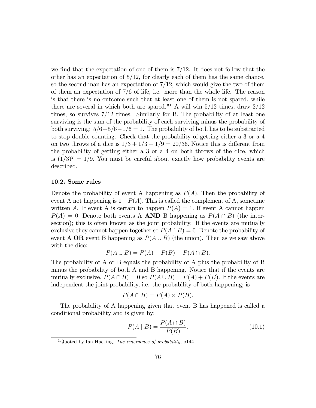we find that the expectation of one of them is  $7/12$ . It does not follow that the other has an expectation of  $5/12$ , for clearly each of them has the same chance, so the second man has an expectation of  $7/12$ , which would give the two of them of them an expectation of 7/6 of life, i.e. more than the whole life. The reason is that there is no outcome such that at least one of them is not spared, while there are several in which both are spared."<sup>1</sup> A will win  $5/12$  times, draw  $2/12$ times, so survives  $7/12$  times. Similarly for B. The probability of at least one surviving is the sum of the probability of each surviving minus the probability of both surviving:  $5/6+5/6-1/6=1$ . The probability of both has to be substracted to stop double counting. Check that the probability of getting either a 3 or a 4 on two throws of a dice is  $1/3 + 1/3 - 1/9 = 20/36$ . Notice this is different from the probability of getting either a 3 or a 4 on both throws of the dice, which is  $(1/3)^2 = 1/9$ . You must be careful about exactly how probability events are described.

#### 10.2. Some rules

Denote the probability of event A happening as  $P(A)$ . Then the probability of event A not happening is  $1-P(A)$ . This is called the complement of A, sometime written A. If event A is certain to happen  $P(A) = 1$ . If event A cannot happen  $P(A) = 0$ . Denote both events A **AND** B happening as  $P(A \cap B)$  (the intersection); this is often known as the joint probability. If the events are mutually exclusive they cannot happen together so  $P(A\cap B) = 0$ . Denote the probability of event A **OR** event B happening as  $P(A \cup B)$  (the union). Then as we saw above with the dice:

$$
P(A \cup B) = P(A) + P(B) - P(A \cap B).
$$

The probability of A or B equals the probability of A plus the probability of B minus the probability of both A and B happening. Notice that if the events are mutually exclusive,  $P(A \cap B) = 0$  so  $P(A \cup B) = P(A) + P(B)$ . If the events are independent the joint probability, i.e. the probability of both happening; is

$$
P(A \cap B) = P(A) \times P(B).
$$

The probability of A happening given that event B has happened is called a conditional probability and is given by:

$$
P(A \mid B) = \frac{P(A \cap B)}{P(B)}.
$$
\n(10.1)

<sup>&</sup>lt;sup>1</sup>Quoted by Ian Hacking, *The emergence of probability*, p144.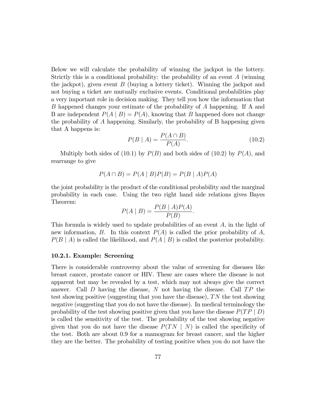Below we will calculate the probability of winning the jackpot in the lottery. Strictly this is a conditional probability: the probability of an event A (winning the jackpot), given event  $B$  (buying a lottery ticket). Winning the jackpot and not buying a ticket are mutually exclusive events. Conditional probabilities play a very important role in decision making. They tell you how the information that B happened changes your estimate of the probability of A happening. If A and B are independent  $P(A | B) = P(A)$ , knowing that B happened does not change the probability of A happening: Similarly, the probability of B happening given that A happens is:

$$
P(B \mid A) = \frac{P(A \cap B)}{P(A)}.\tag{10.2}
$$

Multiply both sides of (10.1) by  $P(B)$  and both sides of (10.2) by  $P(A)$ , and rearrange to give

$$
P(A \cap B) = P(A | B)P(B) = P(B | A)P(A)
$$

the joint probability is the product of the conditional probability and the marginal probability in each case. Using the two right hand side relations gives Bayes Theorem:

$$
P(A \mid B) = \frac{P(B \mid A)P(A)}{P(B)}.
$$

This formula is widely used to update probabilities of an event A, in the light of new information, B. In this context  $P(A)$  is called the prior probability of A,  $P(B \mid A)$  is called the likelihood, and  $P(A \mid B)$  is called the posterior probability.

#### 10.2.1. Example: Screening

There is considerable controversy about the value of screening for diseases like breast cancer, prostate cancer or HIV. These are cases where the disease is not apparent but may be revealed by a test, which may not always give the correct answer. Call  $D$  having the disease,  $N$  not having the disease. Call  $TP$  the test showing positive (suggesting that you have the disease),  $TN$  the test showing negative (suggesting that you do not have the disease). In medical terminology the probability of the test showing positive given that you have the disease  $P(T P | D)$ is called the sensitivity of the test. The probability of the test showing negative given that you do not have the disease  $P(T N \mid N)$  is called the specificity of the test. Both are about 0.9 for a mamogram for breast cancer, and the higher they are the better. The probability of testing positive when you do not have the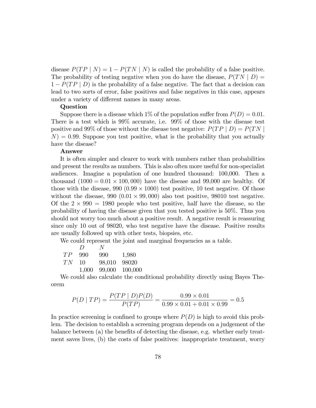disease  $P(TP | N) = 1 - P(TN | N)$  is called the probability of a false positive. The probability of testing negative when you do have the disease,  $P(T N | D) =$  $1 - P(TP | D)$  is the probability of a false negative. The fact that a decision can lead to two sorts of error, false positives and false negatives in this case, appears under a variety of different names in many areas.

#### Question

Suppose there is a disease which 1% of the population suffer from  $P(D) = 0.01$ . There is a test which is 99% accurate, i.e. 99% of those with the disease test positive and 99% of those without the disease test negative:  $P(T P | D) = P(T N | D)$  $N$ ) = 0.99. Suppose you test positive, what is the probability that you actually have the disease?

### Answer

It is often simpler and clearer to work with numbers rather than probabilities and present the results as numbers. This is also often more useful for non-specialist audiences. Imagine a population of one hundred thousand: 100,000. Then a thousand  $(1000 = 0.01 \times 100, 000)$  have the disease and 99,000 are healthy. Of those with the disease,  $990 (0.99 \times 1000)$  test positive, 10 test negative. Of those without the disease,  $990 (0.01 \times 99,000)$  also test positive,  $98010$  test negative. Of the  $2 \times 990 = 1980$  people who test positive, half have the disease, so the probability of having the disease given that you tested positive is 50%. Thus you should not worry too much about a positive result. A negative result is reassuring since only 10 out of 98020, who test negative have the disease. Positive results are usually followed up with other tests, biopsies, etc.

We could represent the joint and marginal frequencies as a table.

|    | $\left( \right)$ | N      |         |
|----|------------------|--------|---------|
| TP | 990              | 990    | 1,980   |
| TN | 10               | 98,010 | 98020   |
|    | 1,000            | 99,000 | 100,000 |

We could also calculate the conditional probability directly using Bayes Theorem

$$
P(D \mid TP) = \frac{P(TP \mid D)P(D)}{P(TP)} = \frac{0.99 \times 0.01}{0.99 \times 0.01 + 0.01 \times 0.99} = 0.5
$$

In practice screening is confined to groups where  $P(D)$  is high to avoid this problem. The decision to establish a screening program depends on a judgement of the balance between  $(a)$  the benefits of detecting the disease, e.g. whether early treatment saves lives, (b) the costs of false positives: inappropriate treatment, worry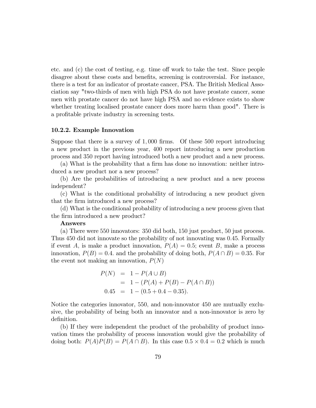etc. and  $(c)$  the cost of testing, e.g. time off work to take the test. Since people disagree about these costs and benefits, screening is controversial. For instance, there is a test for an indicator of prostate cancer, PSA. The British Medical Association say "two-thirds of men with high PSA do not have prostate cancer, some men with prostate cancer do not have high PSA and no evidence exists to show whether treating localised prostate cancer does more harm than good". There is a profitable private industry in screening tests.

#### 10.2.2. Example Innovation

Suppose that there is a survey of  $1,000$  firms. Of these 500 report introducing a new product in the previous year, 400 report introducing a new production process and 350 report having introduced both a new product and a new process.

(a) What is the probability that a firm has done no innovation: neither introduced a new product nor a new process?

(b) Are the probabilities of introducing a new product and a new process independent?

(c) What is the conditional probability of introducing a new product given that the firm introduced a new process?

(d) What is the conditional probability of introducing a new process given that the firm introduced a new product?

#### Answers

(a) There were 550 innovators: 350 did both, 150 just product, 50 just process. Thus 450 did not innovate so the probability of not innovating was 0:45: Formally if event A, is make a product innovation,  $P(A) = 0.5$ ; event B, make a process innovation,  $P(B) = 0.4$  and the probability of doing both,  $P(A \cap B) = 0.35$ . For the event not making an innovation,  $P(N)$ 

$$
P(N) = 1 - P(A \cup B)
$$
  
= 1 - (P(A) + P(B) - P(A \cap B))  
0.45 = 1 - (0.5 + 0.4 - 0.35).

Notice the categories innovator, 550; and non-innovator 450 are mutually exclusive, the probability of being both an innovator and a non-innovator is zero by definition.

(b) If they were independent the product of the probability of product innovation times the probability of process innovation would give the probability of doing both:  $P(A)P(B) = P(A \cap B)$ . In this case  $0.5 \times 0.4 = 0.2$  which is much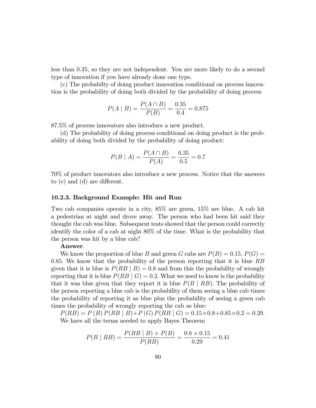less than 0:35, so they are not independent. You are more likely to do a second type of innovation if you have already done one type.

(c) The probabilty of doing product innovation conditional on process innovation is the probability of doing both divided by the probability of doing process

$$
P(A \mid B) = \frac{P(A \cap B)}{P(B)} = \frac{0.35}{0.4} = 0.875
$$

87.5% of process innovators also introduce a new product.

(d) The probability of doing process conditional on doing product is the probability of doing both divided by the probability of doing product:

$$
P(B \mid A) = \frac{P(A \cap B)}{P(A)} = \frac{0.35}{0.5} = 0.7
$$

70% of product innovators also introduce a new process. Notice that the answers to  $(c)$  and  $(d)$  are different.

#### 10.2.3. Background Example: Hit and Run

Two cab companies operate in a city, 85% are green, 15% are blue. A cab hit a pedestrian at night and drove away. The person who had been hit said they thought the cab was blue. Subsequent tests showed that the person could correctly identify the color of a cab at night 80% of the time. What is the probability that the person was hit by a blue cab?

#### Answer.

We know the proportion of blue B and green G cabs are  $P(B) = 0.15$ ,  $P(G) =$ 0.85. We know that the probability of the person reporting that it is blue  $RB$ given that it is blue is  $P(RB | B) = 0.8$  and from this the probability of wrongly reporting that it is blue  $P(RB | G) = 0.2$ . What we need to know is the probability that it was blue given that they report it is blue  $P(B | RB)$ . The probability of the person reporting a blue cab is the probability of them seeing a blue cab times the probability of reporting it as blue plus the probability of seeing a green cab times the probability of wrongly reporting the cab as blue:

 $P(RB) = P(B) P(RB | B) + P(G) P(RB | G) = 0.15 \times 0.8 + 0.85 \times 0.2 = 0.29.$ We have all the terms needed to apply Bayes Theorem

$$
P(B \mid RB) = \frac{P(RB \mid B) \times P(B)}{P(RB)} = \frac{0.8 \times 0.15}{0.29} = 0.41
$$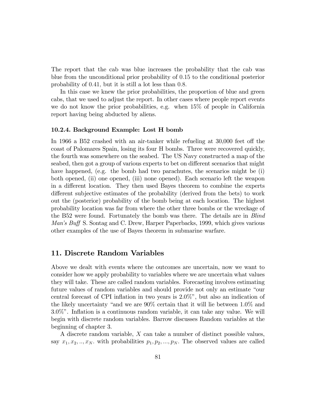The report that the cab was blue increases the probability that the cab was blue from the unconditional prior probability of 0:15 to the conditional posterior probability of 0.41, but it is still a lot less than 0.8.

In this case we knew the prior probabilities, the proportion of blue and green cabs, that we used to adjust the report. In other cases where people report events we do not know the prior probabilities, e.g. when 15% of people in California report having being abducted by aliens.

#### 10.2.4. Background Example: Lost H bomb

In 1966 a B52 crashed with an air-tanker while refueling at  $30,000$  feet off the coast of Palomares Spain, losing its four H bombs. Three were recovered quickly, the fourth was somewhere on the seabed. The US Navy constructed a map of the seabed, then got a group of various experts to bet on different scenarios that might have happened, (e.g. the bomb had two parachutes, the scenarios might be (i) both opened, (ii) one opened, (iii) none opened). Each scenario left the weapon in a different location. They then used Bayes theorem to combine the experts different subjective estimates of the probability (derived from the bets) to work out the (posterior) probability of the bomb being at each location. The highest probability location was far from where the other three bombs or the wreckage of the B52 were found. Fortunately the bomb was there. The details are in *Blind* Man's Buff S. Sontag and C. Drew, Harper Paperbacks, 1999, which gives various other examples of the use of Bayes theorem in submarine warfare.

# 11. Discrete Random Variables

Above we dealt with events where the outcomes are uncertain, now we want to consider how we apply probability to variables where we are uncertain what values they will take. These are called random variables. Forecasting involves estimating future values of random variables and should provide not only an estimate "our central forecast of CPI inflation in two years is  $2.0\%$ ", but also an indication of the likely uncertainty "and we are  $90\%$  certain that it will lie between  $1.0\%$  and 3.0%î. Ináation is a continuous random variable, it can take any value. We will begin with discrete random variables. Barrow discusses Random variables at the beginning of chapter 3.

A discrete random variable, X can take a number of distinct possible values, say  $x_1, x_2, \ldots, x_N$  with probabilities  $p_1, p_2, \ldots, p_N$ . The observed values are called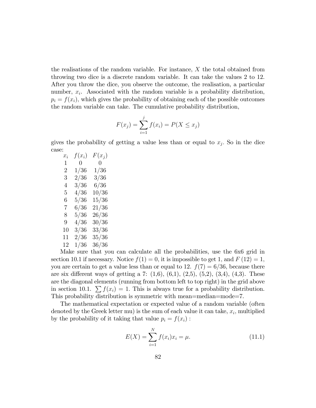the realisations of the random variable. For instance, X the total obtained from throwing two dice is a discrete random variable. It can take the values 2 to 12. After you throw the dice, you observe the outcome, the realisation, a particular number,  $x_i$ . Associated with the random variable is a probability distribution,  $p_i = f(x_i)$ , which gives the probability of obtaining each of the possible outcomes the random variable can take. The cumulative probability distribution,

$$
F(x_j) = \sum_{i=1}^{j} f(x_i) = P(X \le x_j)
$$

gives the probability of getting a value less than or equal to  $x_j$ . So in the dice case:

| $x_i$ | $f(x_i)$       | $F(x_j)$       |
|-------|----------------|----------------|
| 1     | $\overline{0}$ | $\overline{0}$ |
| 2     | 1/36           | 1/36           |
| 3     | 2/36           | 3/36           |
| 4     | 3/36           | 6/36           |
| 5     | 4/36           | 10/36          |
| 6     | 5/36           | 15/36          |
| 7     | 6/36           | 21/36          |
| 8     | 5/36           | 26/36          |
| 9     | 4/36           | 30/36          |
| 10    | 3/36           | 33/36          |
| 11    | 2/36           | 35/36          |
| 12    | 1/36           | 36/36          |
| л.    |                |                |

Make sure that you can calculate all the probabilities, use the 6x6 grid in section 10.1 if necessary. Notice  $f(1) = 0$ , it is impossible to get 1, and  $F(12) = 1$ , you are certain to get a value less than or equal to 12.  $f(7) = 6/36$ , because there are six different ways of getting a 7:  $(1,6)$ ,  $(6,1)$ ,  $(2,5)$ ,  $(5,2)$ ,  $(3,4)$ ,  $(4,3)$ . These are the diagonal elements (running from bottom left to top right) in the grid above in section 10.1.  $\sum f(x_i) = 1$ . This is always true for a probability distribution. This probability distribution is symmetric with mean=median=mode=7.

The mathematical expectation or expected value of a random variable (often denoted by the Greek letter mu) is the sum of each value it can take,  $x_i$ , multiplied by the probability of it taking that value  $p_i = f(x_i)$ :

$$
E(X) = \sum_{i=1}^{N} f(x_i)x_i = \mu.
$$
 (11.1)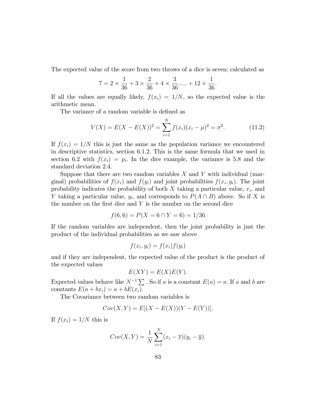The expected value of the score from two throws of a dice is seven; calculated as

$$
7 = 2 \times \frac{1}{36} + 3 \times \frac{2}{36} + 4 \times \frac{3}{36} + \dots + 12 \times \frac{1}{36}
$$

If all the values are equally likely,  $f(x_i) = 1/N$ , so the expected value is the arithmetic mean.

The variance of a random variable is defined as

$$
V(X) = E(X - E(X))^2 = \sum_{i=1}^{N} f(x_i)(x_i - \mu)^2 = \sigma^2.
$$
 (11.2)

:

If  $f(x_i) = 1/N$  this is just the same as the population variance we encountered in descriptive statistics, section 6.1.2: This is the same formula that we used in section 6.2 with  $f(x_i) = p_i$ . In the dice example, the variance is 5.8 and the standard deviation 2.4.

Suppose that there are two random variables  $X$  and  $Y$  with individual (marginal) probabilities of  $f(x_i)$  and  $f(y_i)$  and joint probabilities  $f(x_i, y_i)$ . The joint probability indicates the probability of both  $X$  taking a particular value,  $x_i$ , and Y taking a particular value,  $y_i$ , and corresponds to  $P(A \cap B)$  above. So if X is the number on the first dice and  $Y$  is the number on the second dice

$$
f(6,6) = P(X = 6 \cap Y = 6) = 1/36
$$

If the random variables are independent, then the joint probability is just the product of the individual probabilities as we saw above

$$
f(x_i, y_i) = f(x_i)f(y_i)
$$

and if they are independent, the expected value of the product is the product of the expected values

$$
E(XY) = E(X)E(Y).
$$

Expected values behave like  $N^{-1} \sum$ . So if a is a constant  $E(a) = a$ . If a and b are constants  $E(a + bx_i) = a + bE(x_i)$ .

The Covariance between two random variables is

$$
Cov(X, Y) = E[(X - E(X))(Y - E(Y))].
$$

If  $f(x_i) = 1/N$  this is

$$
Cov(X,Y) = \frac{1}{N} \sum_{i=1}^{N} (x_i - \overline{x})(y_i - \overline{y}).
$$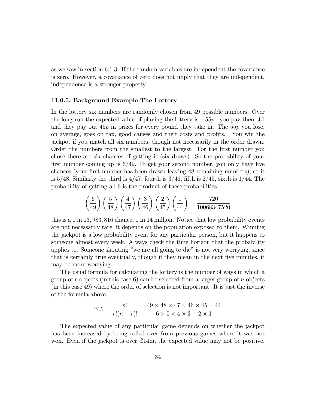as we saw in section 6.1.3. If the random variables are independent the covariance is zero. However, a covariance of zero does not imply that they are independent, independence is a stronger property.

#### 11.0.5. Background Example The Lottery

In the lottery six numbers are randomly chosen from 49 possible numbers. Over the long-run the expected value of playing the lottery is  $-55p$ : you pay them £1 and they pay out  $45p$  in prizes for every pound they take in. The  $55p$  you lose, on average, goes on tax, good causes and their costs and profits. You win the jackpot if you match all six numbers, though not necessarily in the order drawn. Order the numbers from the smallest to the largest. For the first number you chose there are six chances of getting it (six draws). So the probability of your first number coming up is  $6/49$ . To get your second number, you only have five chances (your first number has been drawn leaving 48 remaining numbers), so it is  $5/48$ . Similarly the third is  $4/47$ , fourth is  $3/46$ , fifth is  $2/45$ , sixth is  $1/44$ . The probability of getting all 6 is the product of these probabilities

$$
\left(\frac{6}{49}\right)\left(\frac{5}{48}\right)\left(\frac{4}{47}\right)\left(\frac{3}{46}\right)\left(\frac{2}{45}\right)\left(\frac{1}{44}\right) = \frac{720}{10068347520}
$$

this is a 1 in 13; 983; 816 chance, 1 in 14 million. Notice that low probability events are not necessarily rare, it depends on the population exposed to them. Winning the jackpot is a low probability event for any particular person, but it happens to someone almost every week. Always check the time horizon that the probability applies to. Someone shouting "we are all going to die" is not very worrying, since that is certainly true eventually, though if they mean in the next five minutes, it may be more worrying.

The usual formula for calculating the lottery is the number of ways in which a group of r objects (in this case 6) can be selected from a larger group of n objects (in this case 49) where the order of selection is not important. It is just the inverse of the formula above.

$$
{}^{n}C_{r} = \frac{n!}{r!(n-r)!} = \frac{49 \times 48 \times 47 \times 46 \times 45 \times 44}{6 \times 5 \times 4 \times 3 \times 2 \times 1}
$$

The expected value of any particular game depends on whether the jackpot has been increased by being rolled over from previous games where it was not won. Even if the jackpot is over  $\pounds 14m$ , the expected value may not be positive,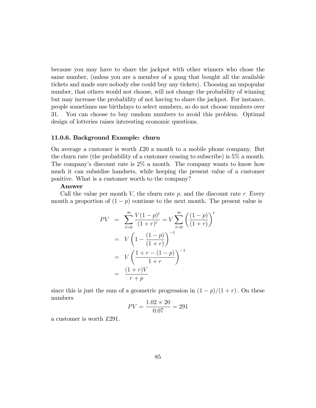because you may have to share the jackpot with other winners who chose the same number, (unless you are a member of a gang that bought all the available tickets and made sure nobody else could buy any tickets). Choosing an unpopular number, that others would not choose, will not change the probability of winning but may increase the probability of not having to share the jackpot. For instance, people sometimes use birthdays to select numbers, so do not choose numbers over 31. You can choose to buy random numbers to avoid this problem. Optimal design of lotteries raises interesting economic questions.

#### 11.0.6. Background Example: churn

On average a customer is worth  $\pounds 20$  a month to a mobile phone company. But the churn rate (the probability of a customer ceasing to subscribe) is 5% a month. The company's discount rate is  $2\%$  a month. The company wants to know how much it can subsidise handsets, while keeping the present value of a customer positive. What is a customer worth to the company?

#### Answer

Call the value per month V, the churn rate  $p$ , and the discount rate  $r$ . Every month a proportion of  $(1 - p)$  continue to the next month. The present value is

$$
PV = \sum_{t=0}^{\infty} \frac{V(1-p)^t}{(1+r)^t} = V \sum_{t=0}^{\infty} \left( \frac{(1-p)}{(1+r)} \right)^t
$$
  
=  $V \left( 1 - \frac{(1-p)}{(1+r)} \right)^{-1}$   
=  $V \left( \frac{1+r-(1-p)}{1+r} \right)^{-1}$   
=  $\frac{(1+r)V}{r+p}$ 

since this is just the sum of a geometric progression in  $(1 - p)/(1 + r)$ . On these numbers  $1.02$ 

$$
PV = \frac{1.02 \times 20}{0.07} = 291
$$

a customer is worth £291.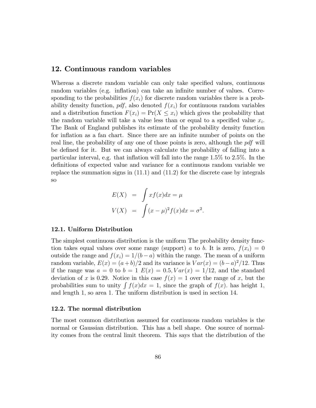### 12. Continuous random variables

Whereas a discrete random variable can only take specified values, continuous random variables (e.g. inflation) can take an infinite number of values. Corresponding to the probabilities  $f(x_i)$  for discrete random variables there is a probability density function,  $pdf$ , also denoted  $f(x<sub>i</sub>)$  for continuous random variables and a distribution function  $F(x_i) = Pr(X \leq x_i)$  which gives the probability that the random variable will take a value less than or equal to a specified value  $x_i$ . The Bank of England publishes its estimate of the probability density function for inflation as a fan chart. Since there are an infinite number of points on the real line, the probability of any one of those points is zero, although the pdf will be defined for it. But we can always calculate the probability of falling into a particular interval, e.g. that inflation will fall into the range  $1.5\%$  to  $2.5\%$ . In the definitions of expected value and variance for a continuous random variable we replace the summation signs in (11:1) and (11:2) for the discrete case by integrals so

$$
E(X) = \int xf(x)dx = \mu
$$
  

$$
V(X) = \int (x - \mu)^2 f(x)dx = \sigma^2.
$$

#### 12.1. Uniform Distribution

The simplest continuous distribution is the uniform The probability density function takes equal values over some range (support) a to b. It is zero,  $f(x_i) = 0$ outside the range and  $f(x_i) = 1/(b - a)$  within the range. The mean of a uniform random variable,  $E(x) = (a+b)/2$  and its variance is  $Var(x) = (b-a)^2/12$ . Thus if the range was  $a = 0$  to  $b = 1$   $E(x) = 0.5$ ,  $Var(x) = 1/12$ , and the standard deviation of x is 0.29. Notice in this case  $f(x) = 1$  over the range of x, but the probabilities sum to unity  $\int f(x)dx = 1$ , since the graph of  $f(x)$ . has height 1, and length 1, so area 1. The uniform distribution is used in section 14.

#### 12.2. The normal distribution

The most common distribution assumed for continuous random variables is the normal or Gaussian distribution. This has a bell shape. One source of normality comes from the central limit theorem. This says that the distribution of the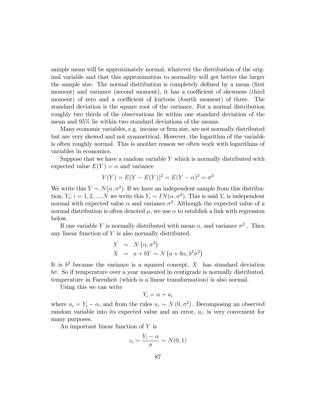sample mean will be approximately normal, whatever the distribution of the original variable and that this approximation to normality will get better the larger the sample size. The normal distribution is completely defined by a mean (first moment) and variance (second moment), it has a coefficient of skewness (third moment) of zero and a coefficient of kurtosis (fourth moment) of three. The standard deviation is the square root of the variance. For a normal distribution roughly two thirds of the observations lie within one standard deviation of the mean and 95% lie within two standard deviations of the means.

Many economic variables, e.g. income or firm size, are not normally distributed but are very skewed and not symmetrical. However, the logarithm of the variable is often roughly normal. This is another reason we often work with logarithms of variables in economics.

Suppose that we have a random variable  $Y$  which is normally distributed with expected value  $E(Y) = \alpha$  and variance

$$
V(Y) = E(Y - E(Y))^{2} = E(Y - \alpha)^{2} = \sigma^{2}
$$

We write this  $Y \sim N(\alpha, \sigma^2)$ . If we have an independent sample from this distribution,  $Y_i$ ;  $i = 1, 2, ..., N$  we write this  $Y_i \sim IN(\alpha, \sigma^2)$ . This is said  $Y_i$  is independent normal with expected value  $\alpha$  and variance  $\sigma^2$ . Although the expected value of a normal distribution is often denoted  $\mu$ , we use  $\alpha$  to establish a link with regression below.

If one variable Y is normally distributed with mean  $\alpha$ , and variance  $\sigma^2$ . Then any linear function of Y is also normally distributed.

$$
Y \sim N(\alpha, \sigma^2)
$$
  

$$
X = a + bY \sim N(a + b\alpha, b^2\sigma^2)
$$

It is  $b^2$  because the variance is a squared concept, X has standard deviation  $b\sigma$ . So if temperature over a year measured in centigrade is normally distributed, temperature in Farenheit (which is a linear transformation) is also normal.

Using this we can write

$$
Y_i = \alpha + u_i
$$

where  $u_i = Y_i - \alpha$ , and from the rules  $u_i \sim N(0, \sigma^2)$ . Decomposing an observed random variable into its expected value and an error,  $u_i$ , is very convenient for many purposes.

An important linear function of Y is

$$
z_i = \frac{Y_i - \alpha}{\sigma} \sim N(0, 1)
$$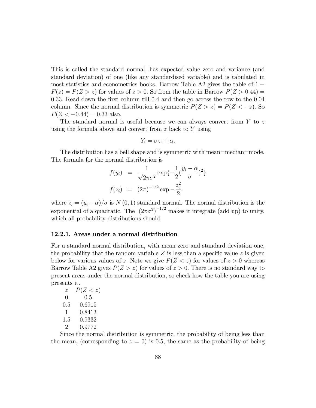This is called the standard normal, has expected value zero and variance (and standard deviation) of one (like any standardised variable) and is tabulated in most statistics and econometrics books. Barrow Table  $A2$  gives the table of  $1 F(z) = P(Z > z)$  for values of  $z > 0$ . So from the table in Barrow  $P(Z > 0.44)$ 0.33. Read down the first column till 0.4 and then go across the row to the 0.04 column. Since the normal distribution is symmetric  $P(Z > z) = P(Z < -z)$ . So  $P(Z < -0.44) = 0.33$  also.

The standard normal is useful because we can always convert from  $Y$  to  $z$ using the formula above and convert from  $z$  back to  $Y$  using

$$
Y_i = \sigma z_i + \alpha.
$$

The distribution has a bell shape and is symmetric with mean=median=mode. The formula for the normal distribution is

$$
f(y_i) = \frac{1}{\sqrt{2\pi\sigma^2}} \exp\{-\frac{1}{2}(\frac{y_i - \alpha}{\sigma})^2\}
$$

$$
f(z_i) = (2\pi)^{-1/2} \exp{-\frac{z_i^2}{2}}
$$

where  $z_i = (y_i - \alpha)/\sigma$  is  $N(0, 1)$  standard normal. The normal distribution is the exponential of a quadratic. The  $(2\pi\sigma^2)^{-1/2}$  makes it integrate (add up) to unity, which all probability distributions should.

#### 12.2.1. Areas under a normal distribution

For a standard normal distribution, with mean zero and standard deviation one, the probability that the random variable  $Z$  is less than a specific value  $z$  is given below for various values of z. Note we give  $P(Z \leq z)$  for values of  $z > 0$  whereas Barrow Table A2 gives  $P(Z > z)$  for values of  $z > 0$ . There is no standard way to present areas under the normal distribution, so check how the table you are using presents it.

| $\tilde{z}$      | P(Z < z) |
|------------------|----------|
| $\left( \right)$ | 0.5      |
| 0.5              | 0.6915   |
| 1                | 0.8413   |
| 1.5              | 0.9332   |
| 2                | 0.9772   |

Since the normal distribution is symmetric, the probability of being less than the mean, (corresponding to  $z = 0$ ) is 0.5, the same as the probability of being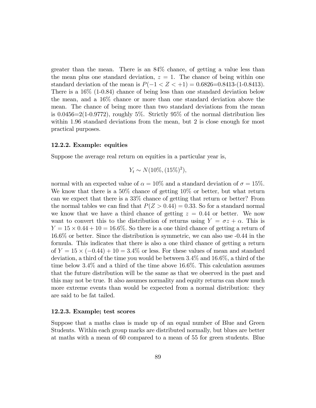greater than the mean. There is an 84% chance, of getting a value less than the mean plus one standard deviation,  $z = 1$ . The chance of being within one standard deviation of the mean is  $P(-1 < Z < +1) = 0.6826=0.8413(1-0.8413)$ . There is a 16% (1-0.84) chance of being less than one standard deviation below the mean, and a 16% chance or more than one standard deviation above the mean. The chance of being more than two standard deviations from the mean is  $0.0456=2(1-0.9772)$ , roughly 5%. Strictly 95% of the normal distribution lies within 1.96 standard deviations from the mean, but 2 is close enough for most practical purposes.

#### 12.2.2. Example: equities

Suppose the average real return on equities in a particular year is,

$$
Y_t \sim N(10\%, (15\%)^2),
$$

normal with an expected value of  $\alpha = 10\%$  and a standard deviation of  $\sigma = 15\%$ . We know that there is a 50% chance of getting 10% or better, but what return can we expect that there is a 33% chance of getting that return or better? From the normal tables we can find that  $P(Z > 0.44) = 0.33$ . So for a standard normal we know that we have a third chance of getting  $z = 0.44$  or better. We now want to convert this to the distribution of returns using  $Y = \sigma z + \alpha$ . This is  $Y = 15 \times 0.44 + 10 = 16.6\%$ . So there is a one third chance of getting a return of 16.6% or better. Since the distribution is symmetric, we can also use -0.44 in the formula. This indicates that there is also a one third chance of getting a return of  $Y = 15 \times (-0.44) + 10 = 3.4\%$  or less. For these values of mean and standard deviation, a third of the time you would be between 3:4% and 16:6%, a third of the time below 3.4% and a third of the time above 16.6%. This calculation assumes that the future distribution will be the same as that we observed in the past and this may not be true. It also assumes normality and equity returns can show much more extreme events than would be expected from a normal distribution: they are said to be fat tailed.

#### 12.2.3. Example; test scores

Suppose that a maths class is made up of an equal number of Blue and Green Students. Within each group marks are distributed normally, but blues are better at maths with a mean of 60 compared to a mean of 55 for green students. Blue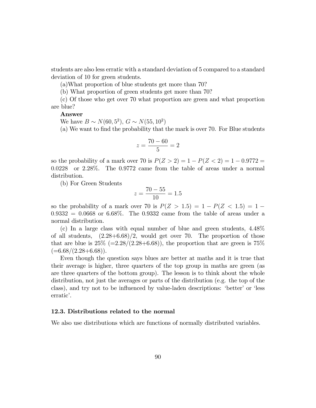students are also less erratic with a standard deviation of 5 compared to a standard deviation of 10 for green students.

(a)What proportion of blue students get more than 70?

(b) What proportion of green students get more than 70?

(c) Of those who get over 70 what proportion are green and what proportion are blue?

#### Answer

We have  $B \sim N(60, 5^2)$ ,  $G \sim N(55, 10^2)$ 

(a) We want to Önd the probability that the mark is over 70. For Blue students

$$
z = \frac{70 - 60}{5} = 2
$$

so the probability of a mark over 70 is  $P(Z > 2) = 1 - P(Z < 2) = 1 - 0.9772 =$ 0:0228 or 2.28%. The 0.9772 came from the table of areas under a normal distribution.

(b) For Green Students

$$
z = \frac{70 - 55}{10} = 1.5
$$

so the probability of a mark over 70 is  $P(Z > 1.5) = 1 - P(Z < 1.5) = 1 0.9332 = 0.0668$  or 6.68%. The 0.9332 came from the table of areas under a normal distribution.

(c) In a large class with equal number of blue and green students, 4.48% of all students,  $(2.28+6.68)/2$ , would get over 70. The proportion of those that are blue is  $25\%$  (=2.28/(2.28+6.68)), the proportion that are green is 75%  $(=6.68/(2.28+6.68)).$ 

Even though the question says blues are better at maths and it is true that their average is higher, three quarters of the top group in maths are green (as are three quarters of the bottom group). The lesson is to think about the whole distribution, not just the averages or parts of the distribution (e.g. the top of the class), and try not to be influenced by value-laden descriptions: 'better' or 'less erratic'.

#### 12.3. Distributions related to the normal

We also use distributions which are functions of normally distributed variables.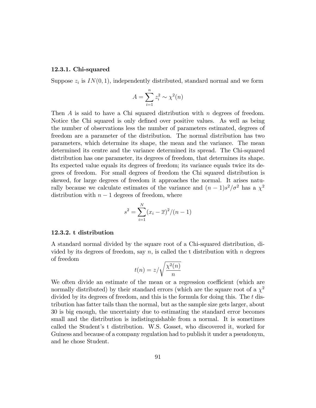#### 12.3.1. Chi-squared

Suppose  $z_i$  is  $IN(0, 1)$ , independently distributed, standard normal and we form

$$
A = \sum_{i=1}^{n} z_i^2 \sim \chi^2(n)
$$

Then  $A$  is said to have a Chi squared distribution with  $n$  degrees of freedom. Notice the Chi squared is only defined over positive values. As well as being the number of observations less the number of parameters estimated, degrees of freedom are a parameter of the distribution. The normal distribution has two parameters, which determine its shape, the mean and the variance. The mean determined its centre and the variance determined its spread. The Chi-squared distribution has one parameter, its degrees of freedom, that determines its shape. Its expected value equals its degrees of freedom; its variance equals twice its degrees of freedom. For small degrees of freedom the Chi squared distribution is skewed, for large degrees of freedom it approaches the normal. It arises naturally because we calculate estimates of the variance and  $(n-1)s^2/\sigma^2$  has a  $\chi^2$ distribution with  $n - 1$  degrees of freedom, where

$$
s^{2} = \sum_{i=1}^{N} (x_{i} - \overline{x})^{2} / (n - 1)
$$

#### 12.3.2. t distribution

A standard normal divided by the square root of a Chi-squared distribution, divided by its degrees of freedom, say  $n$ , is called the t distribution with  $n$  degrees of freedom

$$
t(n) = z/\sqrt{\frac{\chi^2(n)}{n}}
$$

We often divide an estimate of the mean or a regression coefficient (which are normally distributed) by their standard errors (which are the square root of a  $\chi^2$ divided by its degrees of freedom, and this is the formula for doing this. The t distribution has fatter tails than the normal, but as the sample size gets larger, about 30 is big enough, the uncertainty due to estimating the standard error becomes small and the distribution is indistinguishable from a normal. It is sometimes called the Student's t distribution. W.S. Gosset, who discovered it, worked for Guiness and because of a company regulation had to publish it under a pseudonym, and he chose Student.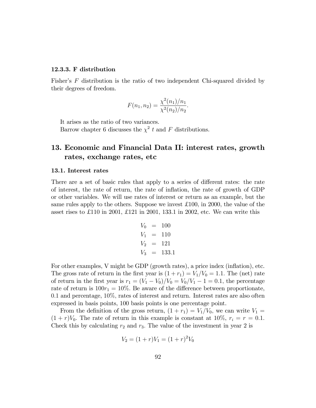#### 12.3.3. F distribution

Fisher's  $F$  distribution is the ratio of two independent Chi-squared divided by their degrees of freedom.

$$
F(n_1, n_2) = \frac{\chi^2(n_1)/n_1}{\chi^2(n_2)/n_2}.
$$

It arises as the ratio of two variances.

Barrow chapter 6 discusses the  $\chi^2$  t and F distributions.

# 13. Economic and Financial Data II: interest rates, growth rates, exchange rates, etc

#### 13.1. Interest rates

There are a set of basic rules that apply to a series of different rates: the rate of interest, the rate of return, the rate of ináation, the rate of growth of GDP or other variables. We will use rates of interest or return as an example, but the same rules apply to the others. Suppose we invest £ 100, in 2000, the value of the asset rises to £110 in 2001, £121 in 2001, 133.1 in 2002, etc. We can write this

$$
V_0 = 100 \nV_1 = 110 \nV_2 = 121 \nV_3 = 133.1
$$

For other examples, V might be GDP (growth rates), a price index (inflation), etc. The gross rate of return in the first year is  $(1 + r_1) = V_1/V_0 = 1.1$ . The (net) rate of return in the first year is  $r_1 = (V_1 - V_0)/V_0 = V_0/V_1 - 1 = 0.1$ , the percentage rate of return is  $100r_1 = 10\%$ . Be aware of the difference between proportionate,  $0.1$  and percentage,  $10\%$ , rates of interest and return. Interest rates are also often expressed in basis points, 100 basis points is one percentage point.

From the definition of the gross return,  $(1 + r_1) = V_1/V_0$ , we can write  $V_1 =$  $(1 + r)V_0$ . The rate of return in this example is constant at 10\%,  $r_i = r = 0.1$ . Check this by calculating  $r_2$  and  $r_3$ . The value of the investment in year 2 is

$$
V_2 = (1+r)V_1 = (1+r)^2 V_0
$$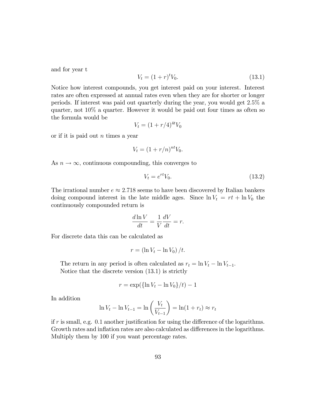and for year t

$$
V_t = (1+r)^t V_0.
$$
\n(13.1)

Notice how interest compounds, you get interest paid on your interest. Interest rates are often expressed at annual rates even when they are for shorter or longer periods. If interest was paid out quarterly during the year, you would get 2:5% a quarter, not 10% a quarter. However it would be paid out four times as often so the formula would be

$$
V_t = (1 + r/4)^{4t} V_0
$$

or if it is paid out  $n$  times a year

$$
V_t = (1 + r/n)^{nt} V_0.
$$

As  $n \to \infty$ , continuous compounding, this converges to

$$
V_t = e^{rt}V_0. \t\t(13.2)
$$

The irrational number  $e \approx 2.718$  seems to have been discovered by Italian bankers doing compound interest in the late middle ages. Since  $\ln V_t = rt + \ln V_0$  the continuously compounded return is

$$
\frac{d\ln V}{dt} = \frac{1}{V}\frac{dV}{dt} = r.
$$

For discrete data this can be calculated as

$$
r = \left(\ln V_t - \ln V_0\right)/t.
$$

The return in any period is often calculated as  $r_t = \ln V_t - \ln V_{t-1}$ . Notice that the discrete version (13.1) is strictly

$$
r = \exp(\{\ln V_t - \ln V_0\}/t) - 1
$$

In addition

$$
\ln V_t - \ln V_{t-1} = \ln \left(\frac{V_t}{V_{t-1}}\right) = \ln(1 + r_t) \approx r_t
$$

if r is small, e.g. 0.1 another justification for using the difference of the logarithms. Growth rates and inflation rates are also calculated as differences in the logarithms. Multiply them by 100 if you want percentage rates.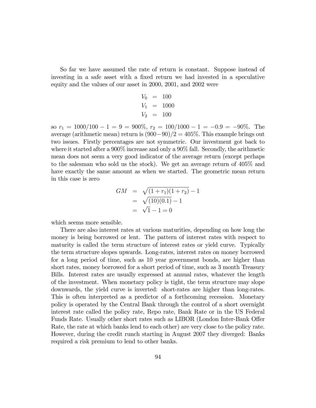So far we have assumed the rate of return is constant. Suppose instead of investing in a safe asset with a fixed return we had invested in a speculative equity and the values of our asset in 2000, 2001, and 2002 were

$$
V_0 = 100 \nV_1 = 1000 \nV_2 = 100
$$

so  $r_1 = 1000/100 - 1 = 9 = 900\%, r_2 = 100/1000 - 1 = -0.9 = -90\%.$  The average (arithmetic mean) return is  $(900-90)/2 = 405\%$ . This example brings out two issues. Firstly percentages are not symmetric. Our investment got back to where it started after a 900% increase and only a 90% fall. Secondly, the arithmetic mean does not seem a very good indicator of the average return (except perhaps to the salesman who sold us the stock). We get an average return of 405% and have exactly the same amount as when we started. The geometric mean return in this case is zero

$$
GM = \sqrt{(1+r_1)(1+r_2)} - 1
$$
  
=  $\sqrt{(10)(0.1)} - 1$   
=  $\sqrt{1} - 1 = 0$ 

which seems more sensible.

There are also interest rates at various maturities, depending on how long the money is being borrowed or lent. The pattern of interest rates with respect to maturity is called the term structure of interest rates or yield curve. Typically the term structure slopes upwards. Long-rates, interest rates on money borrowed for a long period of time, such as 10 year government bonds, are higher than short rates, money borrowed for a short period of time, such as 3 month Treasury Bills. Interest rates are usually expressed at annual rates, whatever the length of the investment. When monetary policy is tight, the term structure may slope downwards, the yield curve is inverted: short-rates are higher than long-rates. This is often interpreted as a predictor of a forthcoming recession. Monetary policy is operated by the Central Bank through the control of a short overnight interest rate called the policy rate, Repo rate, Bank Rate or in the US Federal Funds Rate. Usually other short rates such as LIBOR (London Inter-Bank Offer Rate, the rate at which banks lend to each other) are very close to the policy rate. However, during the credit runch starting in August 2007 they diverged: Banks required a risk premium to lend to other banks.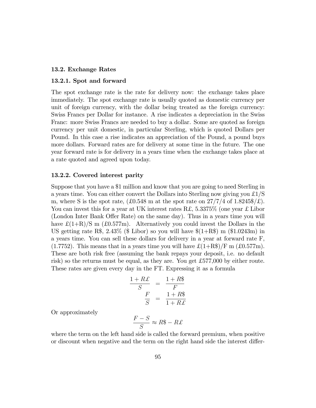#### 13.2. Exchange Rates

#### 13.2.1. Spot and forward

The spot exchange rate is the rate for delivery now: the exchange takes place immediately. The spot exchange rate is usually quoted as domestic currency per unit of foreign currency, with the dollar being treated as the foreign currency: Swiss Francs per Dollar for instance. A rise indicates a depreciation in the Swiss Franc: more Swiss Francs are needed to buy a dollar. Some are quoted as foreign currency per unit domestic, in particular Sterling, which is quoted Dollars per Pound. In this case a rise indicates an appreciation of the Pound, a pound buys more dollars. Forward rates are for delivery at some time in the future. The one year forward rate is for delivery in a years time when the exchange takes place at a rate quoted and agreed upon today.

#### 13.2.2. Covered interest parity

Suppose that you have a \$1 million and know that you are going to need Sterling in a years time. You can either convert the Dollars into Sterling now giving you  $\pounds$ 1/S m, where S is the spot rate,  $(\text{\pounds}0.548 \text{ m at the spot rate on } 27/7/4 \text{ of } 1.8245\text{\pounds}/\text{\pounds})$ . You can invest this for a year at UK interest rates R.f.  $5.3375\%$  (one year £ Libor (London Inter Bank Offer Rate) on the same day). Thus in a years time you will have  $\mathcal{L}(1+\mathcal{R})/\mathcal{S}$  m (£0.577m). Alternatively you could invest the Dollars in the US getting rate R\$, 2.43% (\$ Libor) so you will have  $(1+R\$  m  $(1.0243m)$  in a years time. You can sell these dollars for delivery in a year at forward rate F,  $(1.7752)$ . This means that in a years time you will have  $\mathcal{L}(1+\text{RS})/\text{F}$  m  $(\mathcal{L}0.577\text{m})$ . These are both risk free (assuming the bank repays your deposit, i.e. no default risk) so the returns must be equal, as they are. You get £577,000 by either route. These rates are given every day in the FT. Expressing it as a formula

$$
\frac{1+R\pounds}{S} = \frac{1+R\$\mathcal{F}}{F}
$$

$$
\frac{F}{S} = \frac{1+R\$\mathcal{F}}{1+R\pounds}
$$

Or approximately

$$
\frac{F-S}{S} \approx R\$\ - R\pounds
$$

where the term on the left hand side is called the forward premium, when positive or discount when negative and the term on the right hand side the interest differ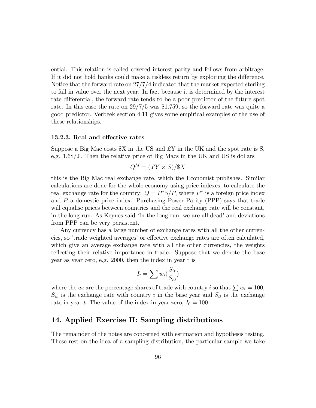ential. This relation is called covered interest parity and follows from arbitrage. If it did not hold banks could make a riskless return by exploiting the difference. Notice that the forward rate on 27/7/4 indicated that the market expected sterling to fall in value over the next year. In fact because it is determined by the interest rate differential, the forward rate tends to be a poor predictor of the future spot rate. In this case the rate on 29/7/5 was \$1.759, so the forward rate was quite a good predictor. Verbeek section 4.11 gives some empirical examples of the use of these relationships.

#### 13.2.3. Real and effective rates

Suppose a Big Mac costs  $X$  in the US and  $EY$  in the UK and the spot rate is S, e.g.  $1.6\%/\mathcal{L}$ . Then the relative price of Big Macs in the UK and US is dollars

$$
Q^M = (\pounds Y \times S) / \$X
$$

this is the Big Mac real exchange rate, which the Economist publishes. Similar calculations are done for the whole economy using price indexes, to calculate the real exchange rate for the country:  $Q = P^*S/P$ , where  $P^*$  is a foreign price index and P a domestic price index. Purchasing Power Parity (PPP) says that trade will equalise prices between countries and the real exchange rate will be constant, in the long run. As Keynes said 'In the long run, we are all dead' and deviations from PPP can be very persistent.

Any currency has a large number of exchange rates with all the other currencies, so 'trade weighted averages' or effective exchange rates are often calculated, which give an average exchange rate with all the other currencies, the weights reflecting their relative importance in trade. Suppose that we denote the base year as year zero, e.g. 2000, then the index in year t is

$$
I_t = \sum w_i \left( \frac{S_{it}}{S_{i0}} \right)
$$

where the  $w_i$  are the percentage shares of trade with country i so that  $\sum w_i = 100$ ,  $S_{io}$  is the exchange rate with country i in the base year and  $S_{it}$  is the exchange rate in year t. The value of the index in year zero,  $I_0 = 100$ .

### 14. Applied Exercise II: Sampling distributions

The remainder of the notes are concerned with estimation and hypothesis testing. These rest on the idea of a sampling distribution, the particular sample we take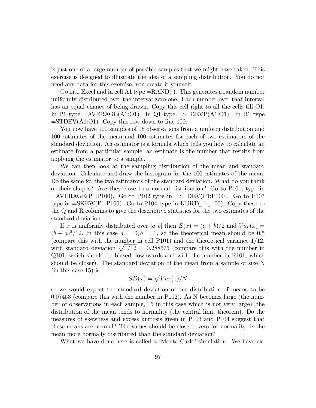is just one of a large number of possible samples that we might have taken. This exercise is designed to illustrate the idea of a sampling distribution. You do not need any data for this exercise, you create it yourself.

Go into Excel and in cell A1 type  $=$ RAND(). This generates a random number uniformly distributed over the interval zero-one. Each number over that interval has an equal chance of being drawn. Copy this cell right to all the cells till O1. In P1 type  $=$  AVERAGE(A1:O1). In Q1 type  $=$  STDEVP(A1:O1). In R1 type  $=$ STDEV(A1:O1). Copy this row down to line 100.

You now have 100 samples of 15 observations from a uniform distribution and 100 estimates of the mean and 100 estimates for each of two estimators of the standard deviation. An estimator is a formula which tells you how to calculate an estimate from a particular sample; an estimate is the number that results from applying the estimator to a sample.

We can then look at the sampling distribution of the mean and standard deviation. Calculate and draw the histogram for the 100 estimates of the mean. Do the same for the two estimators of the standard deviation. What do you think of their shapes? Are they close to a normal distribution? Go to P101, type in  $=$ AVERAGE(P1:P100). Go to P102 type in  $=$ STDEV(P1:P100). Go to P103 type in  $=\text{SKEW}(P1:P100)$ . Go to P104 type in KURT(p1:p100). Copy these to the Q and R columns to give the descriptive statistics for the two estimates of the standard deviation.

If x is uniformly distributed over  $[a, b]$  then  $E(x) = (a + b)/2$  and  $Var(x) =$  $(b-a)^2/12$ . In this case  $a = 0, b = 1$ , so the theoretical mean should be 0.5 (compare this with the number in cell P101) and the theoretical variance 1/12, with standard deviation  $\sqrt{1/12}$  = 0.288675 (compare this with the number in Q101, which should be biased downwards and with the number in R101, which should be closer). The standard deviation of the mean from a sample of size N (in this case 15) is

$$
SD(\overline{x}) = \sqrt{Var(x)/N}
$$

so we would expect the standard deviation of our distribution of means to be 0.07453 (compare this with the number in P102). As N becomes large (the number of observations in each sample, 15 in this case which is not very large), the distribution of the mean tends to normality (the central limit theorem). Do the measures of skewness and excess kurtosis given in P103 and P104 suggest that these means are normal? The values should be close to zero for normality. Is the mean more normally distributed than the standard deviation?

What we have done here is called a 'Monte Carlo' simulation. We have ex-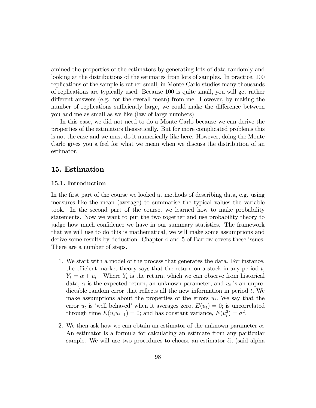amined the properties of the estimators by generating lots of data randomly and looking at the distributions of the estimates from lots of samples. In practice, 100 replications of the sample is rather small, in Monte Carlo studies many thousands of replications are typically used. Because 100 is quite small, you will get rather different answers (e.g. for the overall mean) from me. However, by making the number of replications sufficiently large, we could make the difference between you and me as small as we like (law of large numbers).

In this case, we did not need to do a Monte Carlo because we can derive the properties of the estimators theoretically. But for more complicated problems this is not the case and we must do it numerically like here. However, doing the Monte Carlo gives you a feel for what we mean when we discuss the distribution of an estimator.

## 15. Estimation

#### 15.1. Introduction

In the first part of the course we looked at methods of describing data, e.g. using measures like the mean (average) to summarise the typical values the variable took. In the second part of the course, we learned how to make probability statements. Now we want to put the two together and use probability theory to judge how much confidence we have in our summary statistics. The framework that we will use to do this is mathematical, we will make some assumptions and derive some results by deduction. Chapter 4 and 5 of Barrow covers these issues. There are a number of steps.

- 1. We start with a model of the process that generates the data. For instance, the efficient market theory says that the return on a stock in any period  $t$ ,  $Y_t = \alpha + u_t$  Where  $Y_t$  is the return, which we can observe from historical data,  $\alpha$  is the expected return, an unknown parameter, and  $u_t$  is an unpredictable random error that reflects all the new information in period  $t$ . We make assumptions about the properties of the errors  $u_t$ . We say that the error  $u_t$  is 'well behaved' when it averages zero,  $E(u_t) = 0$ ; is uncorrelated through time  $E(u_t u_{t-1}) = 0$ ; and has constant variance,  $E(u_t^2) = \sigma^2$ .
- 2. We then ask how we can obtain an estimator of the unknown parameter  $\alpha$ . An estimator is a formula for calculating an estimate from any particular sample. We will use two procedures to choose an estimator  $\hat{\alpha}$ , (said alpha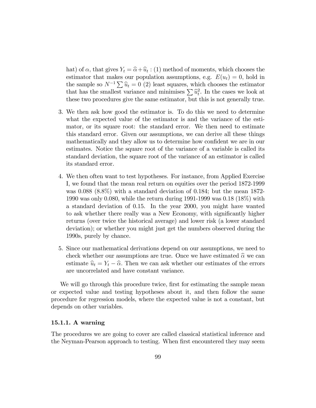hat) of  $\alpha$ , that gives  $Y_t = \widehat{\alpha} + \widehat{u}_t$ : (1) method of moments, which chooses the estimator that makes our population assumptions, e.g.  $E(u_t) = 0$ , hold in the sample so  $N^{-1} \sum \hat{u}_t = 0$  (2) least squares, which chooses the estimator that has the smallest variance and minimises  $\sum \hat{u}_t^2$ . In the cases we look at these two procedures give the same estimator, but this is not generally true.

- 3. We then ask how good the estimator is. To do this we need to determine what the expected value of the estimator is and the variance of the estimator, or its square root: the standard error. We then need to estimate this standard error. Given our assumptions, we can derive all these things mathematically and they allow us to determine how confident we are in our estimates. Notice the square root of the variance of a variable is called its standard deviation, the square root of the variance of an estimator is called its standard error.
- 4. We then often want to test hypotheses. For instance, from Applied Exercise I, we found that the mean real return on equities over the period 1872-1999 was 0.088 (8.8%) with a standard deviation of 0.184; but the mean 1872- 1990 was only 0.080, while the return during 1991-1999 was 0.18 (18%) with a standard deviation of 0.15. In the year 2000, you might have wanted to ask whether there really was a New Economy, with significantly higher returns (over twice the historical average) and lower risk (a lower standard deviation); or whether you might just get the numbers observed during the 1990s, purely by chance.
- 5. Since our mathematical derivations depend on our assumptions, we need to check whether our assumptions are true. Once we have estimated  $\hat{\alpha}$  we can estimate  $\hat{u}_t = Y_t - \hat{\alpha}$ . Then we can ask whether our estimates of the errors are uncorrelated and have constant variance.

We will go through this procedure twice, first for estimating the sample mean or expected value and testing hypotheses about it, and then follow the same procedure for regression models, where the expected value is not a constant, but depends on other variables.

### 15.1.1. A warning

The procedures we are going to cover are called classical statistical inference and the Neyman-Pearson approach to testing. When first encountered they may seem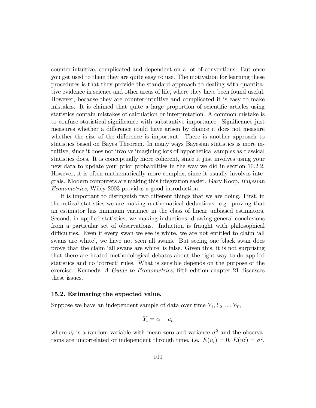counter-intuitive, complicated and dependent on a lot of conventions. But once you get used to them they are quite easy to use. The motivation for learning these procedures is that they provide the standard approach to dealing with quantitative evidence in science and other areas of life, where they have been found useful. However, because they are counter-intuitive and complicated it is easy to make mistakes. It is claimed that quite a large proportion of scientific articles using statistics contain mistakes of calculation or interpretation. A common mistake is to confuse statistical significance with substantive importance. Significance just measures whether a difference could have arisen by chance it does not measure whether the size of the difference is important. There is another approach to statistics based on Bayes Theorem. In many ways Bayesian statistics is more intuitive, since it does not involve imagining lots of hypothetical samples as classical statistics does. It is conceptually more coherent, since it just involves using your new data to update your prior probabilities in the way we did in section 10.2.2. However, it is often mathematically more complex, since it usually involves integrals. Modern computers are making this integration easier. Gary Koop, Bayesian Econometrics, Wiley 2003 provides a good introduction.

It is important to distinguish two different things that we are doing. First, in theoretical statistics we are making mathematical deductions: e.g. proving that an estimator has minimum variance in the class of linear unbiased estimators. Second, in applied statistics, we making inductions, drawing general conclusions from a particular set of observations. Induction is fraught with philosophical difficulties. Even if every swan we see is white, we are not entitled to claim 'all swans are white', we have not seen all swans. But seeing one black swan does prove that the claim 'all swans are white' is false. Given this, it is not surprising that there are heated methodological debates about the right way to do applied statistics and no 'correct' rules. What is sensible depends on the purpose of the exercise. Kennedy, A Guide to Econometrics, fifth edition chapter 21 discusses these issues.

#### 15.2. Estimating the expected value.

Suppose we have an independent sample of data over time  $Y_1, Y_2, ..., Y_T$ ,

$$
Y_t = \alpha + u_t
$$

where  $u_t$  is a random variable with mean zero and variance  $\sigma^2$  and the observations are uncorrelated or independent through time, i.e.  $E(u_t) = 0$ ,  $E(u_t^2) = \sigma^2$ ,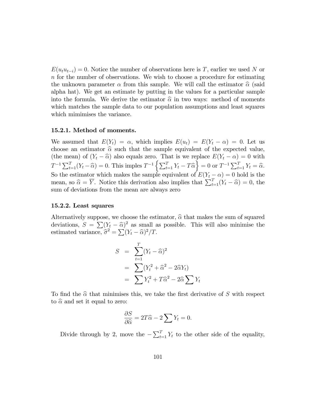$E(u_t u_{t-i}) = 0.$  Notice the number of observations here is T, earlier we used N or n for the number of observations. We wish to choose a procedure for estimating the unknown parameter  $\alpha$  from this sample. We will call the estimator  $\hat{\alpha}$  (said alpha hat). We get an estimate by putting in the values for a particular sample into the formula. We derive the estimator  $\hat{\alpha}$  in two ways: method of moments which matches the sample data to our population assumptions and least squares which mimimises the variance.

#### 15.2.1. Method of moments.

We assumed that  $E(Y_t) = \alpha$ , which implies  $E(u_t) = E(Y_t - \alpha) = 0$ . Let us choose an estimator  $\hat{\alpha}$  such that the sample equivalent of the expected value, (the mean) of  $(Y_t - \hat{\alpha})$  also equals zero. That is we replace  $E(Y_t - \alpha) = 0$  with  $T^{-1} \sum_{t=1}^{T} (Y_t - \hat{\alpha}) = 0.$  This imples  $T^{-1} \left\{ \sum_{t=1}^{T} Y_t - T \hat{\alpha} \right\} = 0$  or  $T^{-1} \sum_{t=1}^{T} Y_t = \hat{\alpha}.$ So the estimator which makes the sample equivalent of  $E(Y_t - \alpha) = 0$  hold is the mean, so  $\hat{\alpha} = \overline{Y}$ . Notice this derivation also implies that  $\sum_{t=1}^{T} (Y_t - \hat{\alpha}) = 0$ , the sum of deviations from the mean are always zero

#### 15.2.2. Least squares

Alternatively suppose, we choose the estimator,  $\hat{\alpha}$  that makes the sum of squared deviations,  $S = \sum (Y_t - \hat{\alpha})^2$  as small as possible. This will also minimise the estimated variance,  $\hat{\sigma}^2 = \sum (Y_t - \hat{\alpha})^2 / T$ .

$$
S = \sum_{t=1}^{T} (Y_t - \widehat{\alpha})^2
$$
  
= 
$$
\sum (Y_t^2 + \widehat{\alpha}^2 - 2\widehat{\alpha} Y_t)
$$
  
= 
$$
\sum Y_t^2 + T\widehat{\alpha}^2 - 2\widehat{\alpha} \sum Y_t
$$

To find the  $\hat{\alpha}$  that minimises this, we take the first derivative of S with respect to  $\hat{\alpha}$  and set it equal to zero:

$$
\frac{\partial S}{\partial \widehat{\alpha}} = 2T\widehat{\alpha} - 2\sum Y_t = 0.
$$

Divide through by 2, move the  $-\sum_{t=1}^{T} Y_t$  to the other side of the equality,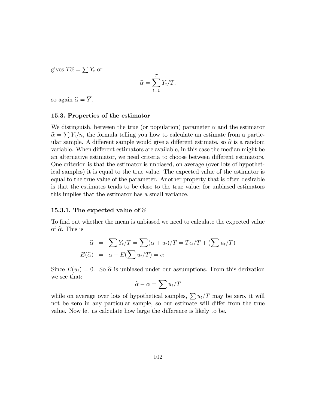gives  $T\hat{\alpha} = \sum Y_t$  or

$$
\widehat{\alpha} = \sum_{t=1}^{T} Y_t / T.
$$

so again  $\widehat{\alpha} = \overline{Y}$ .

### 15.3. Properties of the estimator

We distinguish, between the true (or population) parameter  $\alpha$  and the estimator  $\hat{\alpha} = \sum Y_i/n$ , the formula telling you how to calculate an estimate from a particular sample. A different sample would give a different estimate, so  $\hat{\alpha}$  is a random variable. When different estimators are available, in this case the median might be an alternative estimator, we need criteria to choose between different estimators. One criterion is that the estimator is unbiased, on average (over lots of hypothetical samples) it is equal to the true value. The expected value of the estimator is equal to the true value of the parameter. Another property that is often desirable is that the estimates tends to be close to the true value; for unbiased estimators this implies that the estimator has a small variance.

#### 15.3.1. The expected value of  $\hat{\alpha}$

To find out whether the mean is unbiased we need to calculate the expected value of  $\hat{\alpha}$ . This is

$$
\widehat{\alpha} = \sum Y_t/T = \sum (\alpha + u_t)/T = T\alpha/T + (\sum u_t/T)
$$

$$
E(\widehat{\alpha}) = \alpha + E(\sum u_t/T) = \alpha
$$

Since  $E(u_t) = 0$ . So  $\hat{\alpha}$  is unbiased under our assumptions. From this derivation we see that:

$$
\widehat{\alpha} - \alpha = \sum u_t / T
$$

while on average over lots of hypothetical samples,  $\sum u_t/T$  may be zero, it will not be zero in any particular sample, so our estimate will differ from the true value. Now let us calculate how large the difference is likely to be.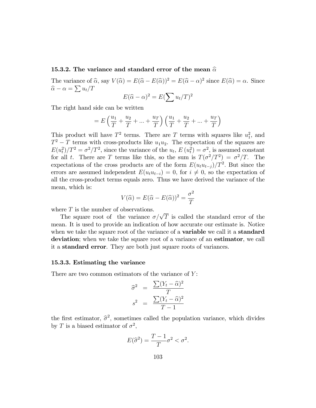#### 15.3.2. The variance and standard error of the mean  $\hat{\alpha}$

The variance of  $\widehat{\alpha}$ , say  $V(\widehat{\alpha}) = E(\widehat{\alpha} - E(\widehat{\alpha}))^2 = E(\widehat{\alpha} - \alpha)^2$  since  $E(\widehat{\alpha}) = \alpha$ . Since  $\widehat{\alpha} - \alpha = \sum u_t / T$ 

$$
E(\widehat{\alpha} - \alpha)^2 = E(\sum u_t/T)^2
$$

The right hand side can be written

$$
= E\left(\frac{u_1}{T} + \frac{u_2}{T} + \dots + \frac{u_T}{T}\right) \left(\frac{u_1}{T} + \frac{u_2}{T} + \dots + \frac{u_T}{T}\right)
$$

This product will have  $T^2$  terms. There are T terms with squares like  $u_1^2$ , and  $T^2 - T$  terms with cross-products like  $u_1u_2$ . The expectation of the squares are  $E(u_t^2)/T^2 = \sigma^2/T^2$ , since the variance of the  $u_t$ ,  $E(u_t^2) = \sigma^2$ , is assumed constant for all t. There are T terms like this, so the sum is  $T(\sigma^2/T^2) = \sigma^2/T$ . The expectations of the cross products are of the form  $E(u_t u_{t-j})/T^2$ . But since the errors are assumed independent  $E(u_t u_{t-i}) = 0$ , for  $i \neq 0$ , so the expectation of all the cross-product terms equals zero. Thus we have derived the variance of the mean, which is:

$$
V(\widehat{\alpha}) = E(\widehat{\alpha} - E(\widehat{\alpha}))^2 = \frac{\sigma^2}{T}
$$

where  $T$  is the number of observations.

The square root of the variance  $\sigma/\sqrt{T}$  is called the standard error of the mean. It is used to provide an indication of how accurate our estimate is. Notice when we take the square root of the variance of a **variable** we call it a **standard** deviation; when we take the square root of a variance of an estimator, we call it a standard error. They are both just square roots of variances.

#### 15.3.3. Estimating the variance

There are two common estimators of the variance of  $Y$ :

$$
\widehat{\sigma}^2 = \frac{\sum (Y_t - \widehat{\alpha})^2}{T}
$$

$$
s^2 = \frac{\sum (Y_t - \widehat{\alpha})^2}{T - 1}
$$

the first estimator,  $\hat{\sigma}^2$ , sometimes called the population variance, which divides by T is a biased estimator of  $\sigma^2$ ,

$$
E(\widehat{\sigma}^2) = \frac{T-1}{T}\sigma^2 < \sigma^2.
$$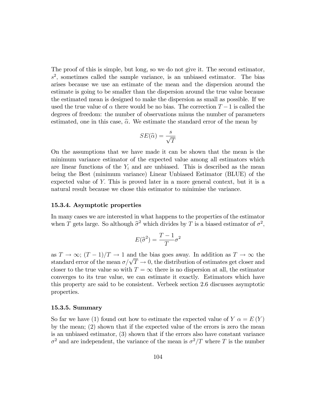The proof of this is simple, but long, so we do not give it. The second estimator,  $s<sup>2</sup>$ , sometimes called the sample variance, is an unbiased estimator. The bias arises because we use an estimate of the mean and the dispersion around the estimate is going to be smaller than the dispersion around the true value because the estimated mean is designed to make the dispersion as small as possible. If we used the true value of  $\alpha$  there would be no bias. The correction  $T-1$  is called the degrees of freedom: the number of observations minus the number of parameters estimated, one in this case,  $\hat{\alpha}$ . We estimate the standard error of the mean by

$$
SE(\widehat{\alpha}) = \frac{s}{\sqrt{T}}
$$

On the assumptions that we have made it can be shown that the mean is the minimum variance estimator of the expected value among all estimators which are linear functions of the  $Y_i$  and are unbiased. This is described as the mean being the Best (minimum variance) Linear Unbiased Estimator (BLUE) of the expected value of Y: This is proved later in a more general context, but it is a natural result because we chose this estimator to minimise the variance.

#### 15.3.4. Asymptotic properties

In many cases we are interested in what happens to the properties of the estimator when T gets large. So although  $\hat{\sigma}^2$  which divides by T is a biased estimator of  $\sigma^2$ ,

$$
E(\widehat{\sigma}^2) = \frac{T-1}{T} \sigma^2
$$

as  $T \to \infty$ ;  $(T - 1)/T \to 1$  and the bias goes away. In addition as  $T \to \infty$  the standard error of the mean  $\sigma/\sqrt{T} \to 0$ , the distribution of estimates get closer and closer to the true value so with  $T = \infty$  there is no dispersion at all, the estimator converges to its true value, we can estimate it exactly. Estimators which have this property are said to be consistent. Verbeek section 2.6 discusses asymptotic properties.

#### 15.3.5. Summary

So far we have (1) found out how to estimate the expected value of  $Y \alpha = E(Y)$ by the mean; (2) shown that if the expected value of the errors is zero the mean is an unbiased estimator, (3) shown that if the errors also have constant variance  $\sigma^2$  and are independent, the variance of the mean is  $\sigma^2/T$  where T is the number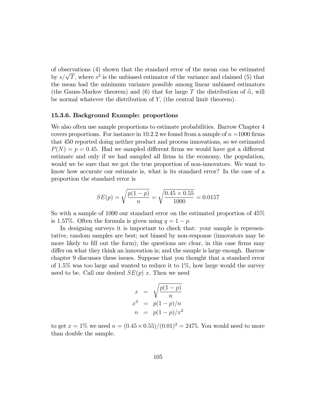of observations (4) shown that the standard error of the mean can be estimated by  $s/\sqrt{T}$ , where  $s^2$  is the unbiased estimator of the variance and claimed (5) that the mean had the minimum variance possible among linear unbiased estimators (the Gauss-Markov theorem) and (6) that for large T the distribution of  $\hat{\alpha}$ , will be normal whatever the distribution of Y; (the central limit theorem).

#### 15.3.6. Background Example: proportions

We also often use sample proportions to estimate probabilities. Barrow Chapter 4 covers proportions. For instance in 10.2.2 we found from a sample of  $n =1000$  firms that 450 reported doing neither product and process innovations, so we estimated  $P(N) = p = 0.45$ . Had we sampled different firms we would have got a different estimate and only if we had sampled all firms in the economy, the population, would we be sure that we got the true proportion of non-innovators. We want to know how accurate our estimate is, what is its standard error? In the case of a proportion the standard error is

$$
SE(p) = \sqrt{\frac{p(1-p)}{n}} = \sqrt{\frac{0.45 \times 0.55}{1000}} = 0.0157
$$

So with a sample of 1000 our standard error on the estimated proportion of 45% is 1.57%. Often the formula is given using  $q = 1 - p$ .

In designing surveys it is important to check that: your sample is representative, random samples are best; not biased by non-response (innovators may be more likely to fill out the form); the questions are clear, in this case firms may differ on what they think an innovation is; and the sample is large enough. Barrow chapter 9 discusses these issues. Suppose that you thought that a standard error of  $1.5\%$  was too large and wanted to reduce it to  $1\%$ , how large would the survey need to be. Call our desired  $SE(p)$  x. Then we need

$$
x = \sqrt{\frac{p(1-p)}{n}}
$$
  

$$
x^2 = p(1-p)/n
$$
  

$$
n = p(1-p)/x^2
$$

to get  $x = 1\%$  we need  $n = (0.45 \times 0.55)/(0.01)^2 = 2475$ . You would need to more than double the sample.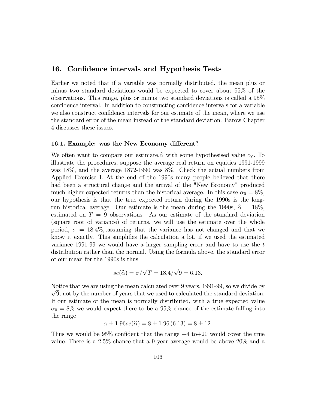### 16. Confidence intervals and Hypothesis Tests

Earlier we noted that if a variable was normally distributed, the mean plus or minus two standard deviations would be expected to cover about 95% of the observations. This range, plus or minus two standard deviations is called a 95% confidence interval. In addition to constructing confidence intervals for a variable we also construct confidence intervals for our estimate of the mean, where we use the standard error of the mean instead of the standard deviation. Barow Chapter 4 discusses these issues.

#### 16.1. Example: was the New Economy different?

We often want to compare our estimate,  $\hat{\alpha}$  with some hypothesised value  $\alpha_0$ . To illustrate the procedures, suppose the average real return on equities 1991-1999 was 18%, and the average 1872-1990 was 8%. Check the actual numbers from Applied Exercise I. At the end of the 1990s many people believed that there had been a structural change and the arrival of the "New Economy" produced much higher expected returns than the historical average. In this case  $\alpha_0 = 8\%$ , our hypothesis is that the true expected return during the 1990s is the longrun historical average. Our estimate is the mean during the 1990s,  $\hat{\alpha} = 18\%$ , estimated on  $T = 9$  observations. As our estimate of the standard deviation (square root of variance) of returns, we will use the estimate over the whole period,  $\sigma = 18.4\%$ , assuming that the variance has not changed and that we know it exactly. This simplifies the calculation a lot, if we used the estimated variance 1991-99 we would have a larger sampling error and have to use the t distribution rather than the normal. Using the formula above, the standard error of our mean for the 1990s is thus

$$
se(\widehat{\alpha}) = \sigma/\sqrt{T} = 18.4/\sqrt{9} = 6.13.
$$

Notice that we are using the mean calculated over 9 years, 1991-99, so we divide by  $\sqrt{9}$ , not by the number of years that we used to calculated the standard deviation. If our estimate of the mean is normally distributed, with a true expected value  $\alpha_0 = 8\%$  we would expect there to be a 95% chance of the estimate falling into the range

$$
\alpha \pm 1.96se(\hat{\alpha}) = 8 \pm 1.96 (6.13) = 8 \pm 12.
$$

Thus we would be  $95\%$  confident that the range  $-4$  to  $+20$  would cover the true value: There is a 2:5% chance that a 9 year average would be above 20% and a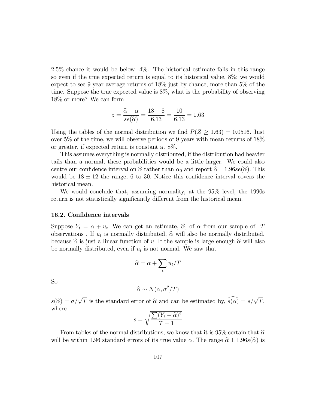2:5% chance it would be below -4%. The historical estimate falls in this range so even if the true expected return is equal to its historical value, 8%; we would expect to see 9 year average returns of 18% just by chance, more than 5% of the time. Suppose the true expected value is 8%, what is the probability of observing 18% or more? We can form

$$
z = \frac{\widehat{\alpha} - \alpha}{se(\widehat{\alpha})} = \frac{18 - 8}{6.13} = \frac{10}{6.13} = 1.63
$$

Using the tables of the normal distribution we find  $P(Z \geq 1.63) = 0.0516$ . Just over 5% of the time, we will observe periods of 9 years with mean returns of 18% or greater, if expected return is constant at 8%.

This assumes everything is normally distributed, if the distribution had heavier tails than a normal, these probabilities would be a little larger. We could also centre our confidence interval on  $\hat{\alpha}$  rather than  $\alpha_0$  and report  $\hat{\alpha} \pm 1.96se(\hat{\alpha})$ . This would be  $18 \pm 12$  the range, 6 to 30. Notice this confidence interval covers the historical mean.

We would conclude that, assuming normality, at the 95% level, the 1990s return is not statistically significantly different from the historical mean.

#### 16.2. Confidence intervals

Suppose  $Y_t = \alpha + u_t$ . We can get an estimate,  $\hat{\alpha}$ , of  $\alpha$  from our sample of T observations. If  $u_t$  is normally distributed,  $\hat{\alpha}$  will also be normally distributed, because  $\hat{\alpha}$  is just a linear function of u. If the sample is large enough  $\hat{\alpha}$  will also be normally distributed, even if  $u_t$  is not normal. We saw that

$$
\widehat{\alpha} = \alpha + \sum_t u_t / T
$$

So

$$
\widehat{\alpha} \sim N(\alpha, \sigma^2/T)
$$

 $s(\widehat{\alpha}) = \sigma/\sqrt{T}$  is the standard error of  $\widehat{\alpha}$  and can be estimated by,  $\widehat{s(\alpha)} = s/\sqrt{T}$ , where

$$
s = \sqrt{\frac{\sum (Y_t - \widehat{\alpha})^2}{T - 1}}
$$

From tables of the normal distributions, we know that it is 95% certain that  $\hat{\alpha}$ will be within 1.96 standard errors of its true value  $\alpha$ . The range  $\hat{\alpha} \pm 1.96s(\hat{\alpha})$  is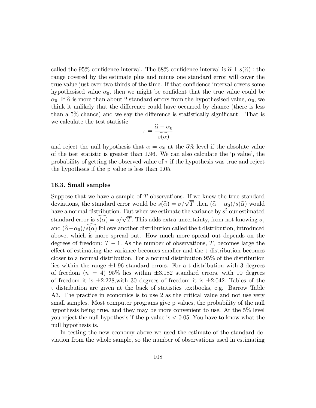called the 95% confidence interval. The 68% confidence interval is  $\hat{\alpha} \pm s(\hat{\alpha})$ : the range covered by the estimate plus and minus one standard error will cover the true value just over two thirds of the time. If that confidence interval covers some hypothesised value  $\alpha_0$ , then we might be confident that the true value could be  $\alpha_0$ . If  $\hat{\alpha}$  is more than about 2 standard errors from the hypothesised value,  $\alpha_0$ , we think it unlikely that the difference could have occurred by chance (there is less than a  $5\%$  chance) and we say the difference is statistically significant. That is we calculate the test statistic

$$
\tau = \frac{\widehat{\alpha} - \alpha_0}{s(\alpha)}
$$

and reject the null hypothesis that  $\alpha = \alpha_0$  at the 5% level if the absolute value of the test statistic is greater than  $1.96$ . We can also calculate the 'p value', the probability of getting the observed value of  $\tau$  if the hypothesis was true and reject the hypothesis if the p value is less than 0.05.

#### 16.3. Small samples

Suppose that we have a sample of  $T$  observations. If we knew the true standard deviations, the standard error would be  $s(\hat{\alpha}) = \sigma/\sqrt{T}$  then  $(\hat{\alpha} - \alpha_0)/s(\hat{\alpha})$  would have a normal distribution. But when we estimate the variance by  $s^2$  our estimated standard error is  $\widehat{s(\alpha)} = s/\sqrt{T}$ . This adds extra uncertainty, from not knowing  $\sigma$ , and  $(\widehat{\alpha}-\alpha_0)/\widehat{s(\alpha)}$  follows another distribution called the t distribution, introduced above, which is more spread out. How much more spread out depends on the degrees of freedom:  $T - 1$ . As the number of observations, T, becomes large the effect of estimating the variance becomes smaller and the t distribution becomes closer to a normal distribution. For a normal distribution 95% of the distribution lies within the range  $\pm 1.96$  standard errors. For a t distribution with 3 degrees of freedom  $(n = 4)$  95% lies within  $\pm 3.182$  standard errors, with 10 degrees of freedom it is  $\pm 2.228$ , with 30 degrees of freedom it is  $\pm 2.042$ . Tables of the t distribution are given at the back of statistics textbooks, e.g. Barrow Table A3. The practice in economics is to use 2 as the critical value and not use very small samples. Most computer programs give p values, the probability of the null hypothesis being true, and they may be more convenient to use. At the 5% level you reject the null hypothesis if the p value is < 0:05: You have to know what the null hypothesis is.

In testing the new economy above we used the estimate of the standard deviation from the whole sample, so the number of observations used in estimating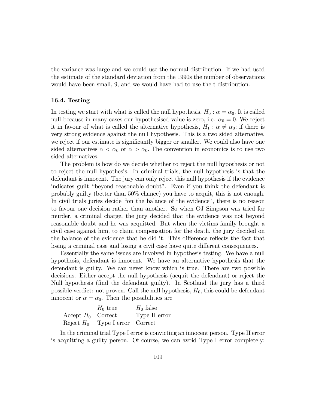the variance was large and we could use the normal distribution. If we had used the estimate of the standard deviation from the 1990s the number of observations would have been small, 9, and we would have had to use the t distribution.

# 16.4. Testing

In testing we start with what is called the null hypothesis,  $H_0$ :  $\alpha = \alpha_0$ . It is called null because in many cases our hypothesised value is zero, i.e.  $\alpha_0 = 0$ . We reject it in favour of what is called the alternative hypothesis,  $H_1$ :  $\alpha \neq \alpha_0$ ; if there is very strong evidence against the null hypothesis. This is a two sided alternative, we reject if our estimate is significantly bigger or smaller. We could also have one sided alternatives  $\alpha < \alpha_0$  or  $\alpha > \alpha_0$ . The convention in economics is to use two sided alternatives.

The problem is how do we decide whether to reject the null hypothesis or not to reject the null hypothesis. In criminal trials, the null hypothesis is that the defendant is innocent. The jury can only reject this null hypothesis if the evidence indicates guilt "beyond reasonable doubt". Even if you think the defendant is probably guilty (better than 50% chance) you have to acquit, this is not enough. In civil trials juries decide "on the balance of the evidence", there is no reason to favour one decision rather than another. So when OJ Simpson was tried for murder, a criminal charge, the jury decided that the evidence was not beyond reasonable doubt and he was acquitted. But when the victims family brought a civil case against him, to claim compensation for the death, the jury decided on the balance of the evidence that he did it. This difference reflects the fact that losing a criminal case and losing a civil case have quite different consequences.

Essentially the same issues are involved in hypothesis testing. We have a null hypothesis, defendant is innocent. We have an alternative hypothesis that the defendant is guilty. We can never know which is true. There are two possible decisions. Either accept the null hypothesis (acquit the defendant) or reject the Null hypothesis (Önd the defendant guilty). In Scotland the jury has a third possible verdict: not proven. Call the null hypothesis,  $H_0$ , this could be defendant innocent or  $\alpha = \alpha_0$ . Then the possibilities are

|                      | $H_0$ true                        | $H_0$ false   |
|----------------------|-----------------------------------|---------------|
| Accept $H_0$ Correct |                                   | Type II error |
|                      | Reject $H_0$ Type I error Correct |               |

In the criminal trial Type I error is convicting an innocent person. Type II error is acquitting a guilty person. Of course, we can avoid Type I error completely: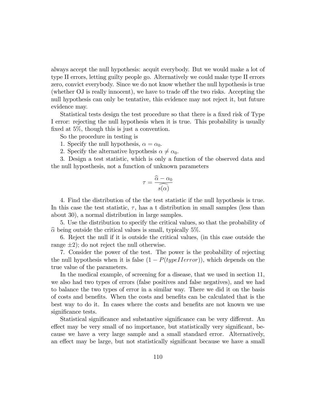always accept the null hypothesis: acquit everybody. But we would make a lot of type II errors, letting guilty people go. Alternatively we could make type II errors zero, convict everybody. Since we do not know whether the null hypothesis is true (whether OJ is really innocent), we have to trade off the two risks. Accepting the null hypothesis can only be tentative, this evidence may not reject it, but future evidence may.

Statistical tests design the test procedure so that there is a fixed risk of Type I error: rejecting the null hypothesis when it is true. This probability is usually fixed at  $5\%$ , though this is just a convention.

So the procedure in testing is

- 1. Specify the null hypothesis,  $\alpha = \alpha_0$ .
- 2. Specify the alternative hypothesis  $\alpha \neq \alpha_0$ .

3. Design a test statistic, which is only a function of the observed data and the null hyposthesis, not a function of unknown parameters

$$
\tau = \frac{\widehat{\alpha} - \alpha_0}{\widehat{s(\alpha)}}
$$

4. Find the distribution of the the test statistic if the null hypothesis is true. In this case the test statistic,  $\tau$ , has a t distribution in small samples (less than about 30), a normal distribution in large samples.

5. Use the distribution to specify the critical values, so that the probability of  $\hat{\alpha}$  being outside the critical values is small, typically 5%.

6. Reject the null if it is outside the critical values, (in this case outside the range  $\pm 2$ ; do not reject the null otherwise.

7. Consider the power of the test. The power is the probability of rejecting the null hypothesis when it is false  $(1 - P(typelIerror))$ , which depends on the true value of the parameters.

In the medical example, of screening for a disease, that we used in section 11, we also had two types of errors (false positives and false negatives), and we had to balance the two types of error in a similar way. There we did it on the basis of costs and beneÖts. When the costs and beneÖts can be calculated that is the best way to do it. In cases where the costs and benefits are not known we use significance tests.

Statistical significance and substantive significance can be very different. An effect may be very small of no importance, but statistically very significant, because we have a very large sample and a small standard error. Alternatively, an effect may be large, but not statistically significant because we have a small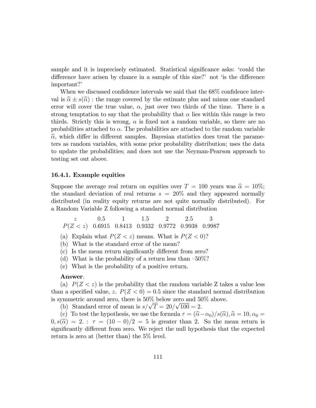sample and it is imprecisely estimated. Statistical significance asks: 'could the difference have arisen by chance in a sample of this size? not  $\delta$  is the difference important?'

When we discussed confidence intervals we said that the  $68\%$  confidence interval is  $\hat{\alpha} \pm s(\hat{\alpha})$ : the range covered by the estimate plus and minus one standard error will cover the true value,  $\alpha$ , just over two thirds of the time. There is a strong temptation to say that the probability that  $\alpha$  lies within this range is two thirds. Strictly this is wrong,  $\alpha$  is fixed not a random variable, so there are no probabilities attached to  $\alpha$ . The probabilities are attached to the random variable  $\hat{\alpha}$ , which differ in different samples. Bayesian statistics does treat the parameters as random variables, with some prior probability distribution; uses the data to update the probabilities; and does not use the Neyman-Pearson approach to testing set out above.

#### 16.4.1. Example equities

Suppose the average real return on equities over  $T = 100$  years was  $\hat{\alpha} = 10\%$ ; the standard deviation of real returns  $s = 20\%$  and they appeared normally distributed (in reality equity returns are not quite normally distributed). For a Random Variable Z following a standard normal distribution

 $z$  0.5 1 1.5 2 2.5 3  $P(Z < z)$  0.6915 0.8413 0.9332 0.9772 0.9938 0.9987

(a) Explain what  $P(Z \leq z)$  means. What is  $P(Z \leq 0)$ ?

(b) What is the standard error of the mean?

 $(c)$  Is the mean return significantly different from zero?

- (d) What is the probability of a return less than  $-50\%$ ?
- (e) What is the probability of a positive return.

#### Answer.

(a)  $P(Z \leq z)$  is the probability that the random variable Z takes a value less than a specified value, z.  $P(Z < 0) = 0.5$  since the standard normal distribution is symmetric around zero, there is 50% below zero and 50% above.

(b) Standard error of mean is  $s/\sqrt{T} = 20/\sqrt{100} = 2$ .

(c) To test the hypothesis, we use the formula  $\tau = (\hat{\alpha}-\alpha_0)/s(\hat{\alpha}), \hat{\alpha} = 10, \alpha_0 =$  $(0, s(\widehat{\alpha}) = 2$ :  $\tau = (10 - 0)/2 = 5$  is greater than 2. So the mean return is significantly different from zero. We reject the null hypothesis that the expected return is zero at (better than) the 5% level.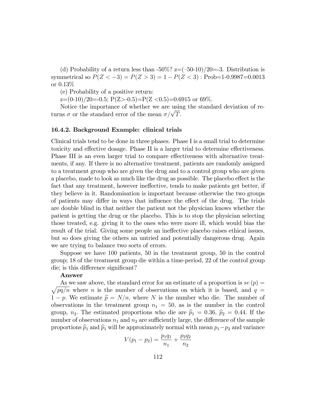(d) Probability of a return less than  $-50\%$ ? z= $(-50-10)/20=3$ . Distribution is symmetrical so  $P(Z < -3) = P(Z > 3) = 1 - P(Z < 3)$ : Prob=1-0.9987=0.0013 or 0.13%

(e) Probability of a positive return:

 $z=(0-10)/20=-0.5; P(Z>-0.5)=P(Z<0.5)=0.6915$  or 69%.

Notice the importance of whether we are using the standard deviation of returns  $\sigma$  or the standard error of the mean  $\sigma/\sqrt{T}$ .

# 16.4.2. Background Example: clinical trials

Clinical trials tend to be done in three phases. Phase I is a small trial to determine toxicity and effective dosage. Phase II is a larger trial to determine effectiveness. Phase III is an even larger trial to compare effectiveness with alternative treatments, if any. If there is no alternative treatment, patients are randomly assigned to a treatment group who are given the drug and to a control group who are given a placebo, made to look as much like the drug as possible. The placebo effect is the fact that any treatment, however ineffective, tends to make patients get better, if they believe in it. Randomisation is important because otherwise the two groups of patients may differ in ways that influence the effect of the drug. The trials are double blind in that neither the patient not the physician knows whether the patient is getting the drug or the placebo. This is to stop the physician selecting those treated, e.g. giving it to the ones who were more ill, which would bias the result of the trial. Giving some people an ineffective placebo raises ethical issues, but so does giving the others an untried and potentially dangerous drug. Again we are trying to balance two sorts of errors.

Suppose we have 100 patients, 50 in the treatment group, 50 in the control group; 18 of the treatment group die within a time-period, 22 of the control group die; is this difference significant?

#### Answer

 $\sqrt{pq/n}$  where n is the number of observations on which it is based, and  $q =$ As we saw above, the standard error for an estimate of a proportion is  $se(p)$  $1 - p$ . We estimate  $\hat{p} = N/n$ , where N is the number who die. The number of observations in the treatment group  $n_1 = 50$ , as is the number in the control group,  $n_2$ . The estimated proportions who die are  $\hat{p}_1 = 0.36$ ,  $\hat{p}_2 = 0.44$ . If the number of observations  $n_1$  and  $n_2$  are sufficiently large, the difference of the sample proportions  $\hat{p}_1$  and  $\hat{p}_1$  will be approximately normal with mean  $p_1-p_2$  and variance

$$
V(p_1 - p_2) = \frac{p_1 q_1}{n_1} + \frac{p_2 q_2}{n_2}
$$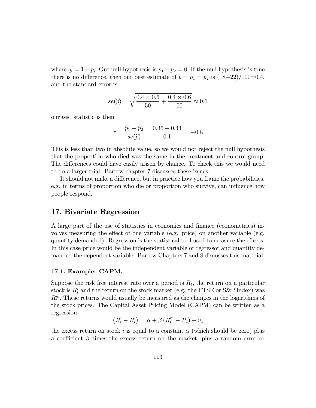where  $q_i = 1 - p_i$ . Our null hypothesis is  $p_1 - p_2 = 0$ . If the null hypothesis is true there is no difference, then our best estimate of  $p = p_1 = p_2$  is  $\frac{18+22}{100=0.4}$ . and the standard error is

$$
se(\hat{p}) = \sqrt{\frac{0.4 \times 0.6}{50} + \frac{0.4 \times 0.6}{50}} \approx 0.1
$$

our test statistic is then

$$
\tau = \frac{\widehat{p}_1 - \widehat{p}_2}{se(\widehat{p})} = \frac{0.36 - 0.44}{0.1} = -0.8
$$

This is less than two in absolute value, so we would not reject the null hypothesis that the proportion who died was the same in the treatment and control group. The differences could have easily arisen by chance. To check this we would need to do a larger trial. Barrow chapter 7 discusses these issues.

It should not make a difference, but in practice how you frame the probabilities, e.g. in terms of proportion who die or proportion who survive, can influence how people respond.

# 17. Bivariate Regression

A large part of the use of statistics in economics and finance (econometrics) involves measuring the effect of one variable (e.g. price) on another variable (e.g. quantity demanded). Regression is the statistical tool used to measure the effects. In this case price would be the independent variable or regressor and quantity demanded the dependent variable. Barrow Chapters 7 and 8 discusses this material.

# 17.1. Example: CAPM.

Suppose the risk free interest rate over a period is  $R_t$ , the return on a particular stock is  $R_t^i$  and the return on the stock market (e.g. the FTSE or S&P index) was  $R_t^m$ . These returns would usually be measured as the changes in the logarithms of the stock prices. The Capital Asset Pricing Model (CAPM) can be written as a regression

$$
(R_t^i - R_t) = \alpha + \beta (R_t^m - R_t) + u_t
$$

the excess return on stock i is equal to a constant  $\alpha$  (which should be zero) plus a coefficient  $\beta$  times the excess return on the market, plus a random error or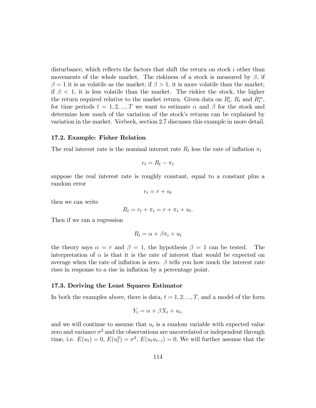disturbance, which reflects the factors that shift the return on stock  $i$  other than movements of the whole market. The riskiness of a stock is measured by  $\beta$ , if  $\beta = 1$  it is as volatile as the market; if  $\beta > 1$ , it is more volatile than the market; if  $\beta$  < 1, it is less volatile than the market. The riskier the stock, the higher the return required relative to the market return. Given data on  $R_t^i$ ,  $R_t$  and  $R_t^m$ , for time periods  $t = 1, 2, ..., T$  we want to estimate  $\alpha$  and  $\beta$  for the stock and determine how much of the variation of the stock's returns can be explained by variation in the market. Verbeek, section 2.7 discusses this example in more detail.

# 17.2. Example: Fisher Relation

The real interest rate is the nominal interest rate  $R_t$  less the rate of inflation  $\pi_t$ 

$$
r_t = R_t - \pi_t
$$

suppose the real interest rate is roughly constant, equal to a constant plus a random error

$$
r_t = r + u_t
$$

then we can write

$$
R_t = r_t + \pi_t = r + \pi_t + u_t.
$$

Then if we ran a regression

$$
R_t = \alpha + \beta \pi_t + u_t
$$

the theory says  $\alpha = r$  and  $\beta = 1$ , the hypothesis  $\beta = 1$  can be tested. The interpretation of  $\alpha$  is that it is the rate of interest that would be expected on average when the rate of inflation is zero.  $\beta$  tells you how much the interest rate rises in response to a rise in inflation by a percentage point.

## 17.3. Deriving the Least Squares Estimator

In both the examples above, there is data,  $t = 1, 2, ..., T$ , and a model of the form

$$
Y_t = \alpha + \beta X_t + u_t,
$$

and we will continue to assume that  $u_t$  is a random variable with expected value zero and variance  $\sigma^2$  and the observations are uncorrelated or independent through time, i.e.  $E(u_t) = 0$ ,  $E(u_t^2) = \sigma^2$ ,  $E(u_t u_{t-i}) = 0$ . We will further assume that the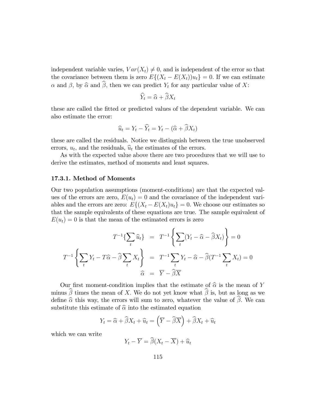independent variable varies,  $Var(X_t) \neq 0$ , and is independent of the error so that the covariance between them is zero  $E\{(X_t - E(X_t))u_t\} = 0$ . If we can estimate  $\alpha$  and  $\beta$ , by  $\widehat{\alpha}$  and  $\widehat{\beta}$ , then we can predict  $Y_t$  for any particular value of X:

$$
\widehat{Y}_t = \widehat{\alpha} + \widehat{\beta} X_t
$$

these are called the fitted or predicted values of the dependent variable. We can also estimate the error:

$$
\widehat{u}_t = Y_t - \widehat{Y}_t = Y_t - (\widehat{\alpha} + \widehat{\beta}X_t)
$$

these are called the residuals. Notice we distinguish between the true unobserved errors,  $u_t$ , and the residuals,  $\hat{u}_t$  the estimates of the errors.

As with the expected value above there are two procedures that we will use to derive the estimates, method of moments and least squares.

# 17.3.1. Method of Moments

Our two population assumptions (moment-conditions) are that the expected values of the errors are zero,  $E(u_t) = 0$  and the covariance of the independent variables and the errors are zero:  $E\{(X_t - E(X_t)u_t\} = 0.$  We choose our estimates so that the sample equivalents of these equations are true. The sample equivalent of  $E(u_t) = 0$  is that the mean of the estimated errors is zero

$$
T^{-1}\left\{\sum_{t} \widehat{u}_{t}\right\} = T^{-1}\left\{\sum_{t} (Y_{t} - \widehat{\alpha} - \widehat{\beta}X_{t})\right\} = 0
$$

$$
T^{-1}\left\{\sum_{t} Y_{t} - T\widehat{\alpha} - \widehat{\beta}\sum_{t} X_{t}\right\} = T^{-1}\sum_{t} Y_{t} - \widehat{\alpha} - \widehat{\beta}(T^{-1}\sum_{t} X_{t}) = 0
$$

$$
\widehat{\alpha} = \overline{Y} - \widehat{\beta}\overline{X}
$$

Our first moment-condition implies that the estimate of  $\hat{\alpha}$  is the mean of Y minus  $\widehat{\beta}$  times the mean of X. We do not yet know what  $\widehat{\beta}$  is, but as long as we define  $\hat{\alpha}$  this way, the errors will sum to zero, whatever the value of  $\hat{\beta}$ . We can substitute this estimate of  $\hat{\alpha}$  into the estimated equation

$$
Y_t = \widehat{\alpha} + \widehat{\beta}X_t + \widehat{u}_t = \left(\overline{Y} - \widehat{\beta}\overline{X}\right) + \widehat{\beta}X_t + \widehat{u}_t
$$

which we can write

$$
Y_t - \overline{Y} = \widehat{\beta}(X_t - \overline{X}) + \widehat{u}_t
$$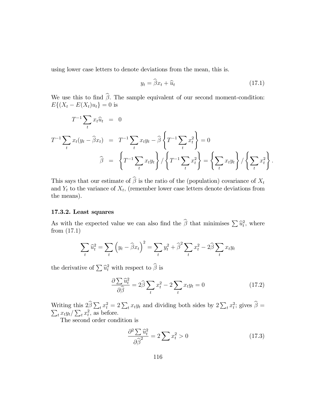using lower case letters to denote deviations from the mean, this is.

$$
y_t = \hat{\beta} x_t + \hat{u}_t \tag{17.1}
$$

:

We use this to find  $\hat{\beta}$ . The sample equivalent of our second moment-condition:  $E\{(X_t - E(X_t)u_t\} = 0$  is

$$
T^{-1} \sum_{t} x_{t} \hat{u}_{t} = 0
$$
  

$$
T^{-1} \sum_{t} x_{t} (y_{t} - \hat{\beta} x_{t}) = T^{-1} \sum_{t} x_{t} y_{t} - \hat{\beta} \left\{ T^{-1} \sum_{t} x_{t}^{2} \right\} = 0
$$
  

$$
\hat{\beta} = \left\{ T^{-1} \sum_{t} x_{t} y_{t} \right\} / \left\{ T^{-1} \sum_{t} x_{t}^{2} \right\} = \left\{ \sum_{t} x_{t} y_{t} \right\} / \left\{ \sum_{t} x_{t}^{2} \right\}
$$

This says that our estimate of  $\widehat{\beta}$  is the ratio of the (population) covariance of  $X_t$ and  $Y_t$  to the variance of  $X_t$ , (remember lower case letters denote deviations from the means).

# 17.3.2. Least squares

As with the expected value we can also find the  $\hat{\beta}$  that minimises  $\sum \hat{u}_t^2$ , where from  $(17.1)$ 

$$
\sum_{t} \widehat{u}_t^2 = \sum_{t} \left( y_t - \widehat{\beta} x_t \right)^2 = \sum_{t} y_t^2 + \widehat{\beta}^2 \sum_{t} x_t^2 - 2\widehat{\beta} \sum_{t} x_t y_t
$$

the derivative of  $\sum \hat{u}_t^2$  with respect to  $\hat{\beta}$  is

$$
\frac{\partial \sum \widehat{u}_t^2}{\partial \widehat{\beta}} = 2\widehat{\beta} \sum_t x_t^2 - 2 \sum_t x_t y_t = 0 \tag{17.2}
$$

Writing this  $2\widehat{\beta} \sum_t x_t^2 = 2 \sum_t x_t y_t$  and dividing both sides by  $2 \sum_t x_t^2$ <br> $\sum_t x_t y_t / \sum_t x_t^2$ , as before.  $;$  gives  $\beta =$  $\frac{1}{t}x_t\frac{y_t}{\sum_t x_t^2}$ , as before.

The second order condition is

$$
\frac{\partial^2 \sum \widehat{u}_t^2}{\partial \widehat{\beta}^2} = 2 \sum x_t^2 > 0 \tag{17.3}
$$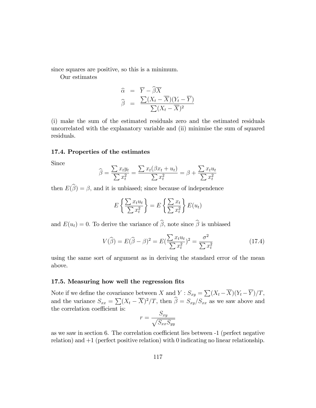since squares are positive, so this is a minimum.

Our estimates

$$
\widehat{\alpha} = \overline{Y} - \widehat{\beta} \overline{X}
$$

$$
\widehat{\beta} = \frac{\sum (X_t - \overline{X})(Y_t - \overline{Y})}{\sum (X_t - \overline{X})^2}
$$

(i) make the sum of the estimated residuals zero and the estimated residuals uncorrelated with the explanatory variable and (ii) minimise the sum of squared residuals.

# 17.4. Properties of the estimates

Since

$$
\widehat{\beta} = \frac{\sum x_t y_t}{\sum x_t^2} = \frac{\sum x_t (\beta x_t + u_t)}{\sum x_t^2} = \beta + \frac{\sum x_t u_t}{\sum x_t^2}
$$

then  $E(\widehat{\beta}) = \beta$ , and it is unbiased; since because of independence

$$
E\left\{\frac{\sum x_t u_t}{\sum x_t^2}\right\} = E\left\{\frac{\sum x_t}{\sum x_t^2}\right\} E(u_t)
$$

and  $E(u_t) = 0$ . To derive the variance of  $\widehat{\beta}$ , note since  $\widehat{\beta}$  is unbiased

$$
V(\hat{\beta}) = E(\hat{\beta} - \beta)^2 = E(\frac{\sum x_t u_t}{\sum x_t^2})^2 = \frac{\sigma^2}{\sum x_t^2}
$$
 (17.4)

using the same sort of argument as in deriving the standard error of the mean above.

# 17.5. Measuring how well the regression fits

Note if we define the covariance between X and  $Y: S_{xy} = \sum (X_t - \overline{X})(Y_t - \overline{Y})/T$ , and the variance  $S_{xx} = \sum (X_t - \overline{X})^2 / T$ , then  $\hat{\beta} = S_{xy}/S_{xx}$  as we saw above and the correlation coefficient is:

$$
r = \frac{S_{xy}}{\sqrt{S_{xx}S_{yy}}}
$$

as we saw in section 6. The correlation coefficient lies between  $-1$  (perfect negative relation) and +1 (perfect positive relation) with 0 indicating no linear relationship.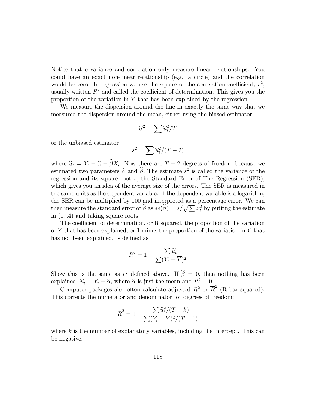Notice that covariance and correlation only measure linear relationships. You could have an exact non-linear relationship (e.g. a circle) and the correlation would be zero. In regression we use the square of the correlation coefficient,  $r^2$ , usually written  $R^2$  and called the coefficient of determination. This gives you the proportion of the variation in Y that has been explained by the regression.

We measure the dispersion around the line in exactly the same way that we measured the dispersion around the mean, either using the biased estimator

$$
\widehat{\sigma}^2 = \sum \widehat{u}_t^2 / T
$$

or the unbiased estimator

$$
s^2 = \sum \widehat{u}_t^2 / (T - 2)
$$

where  $\hat{u}_t = Y_t - \hat{\alpha} - \beta X_t$ . Now there are  $T - 2$  degrees of freedom because we estimated two parameters  $\widehat{\alpha}$  and  $\widehat{\beta}$ . The estimate  $s^2$  is called the variance of the regression and its square root s, the Standard Error of The Regression (SER), which gives you an idea of the average size of the errors. The SER is measured in the same units as the dependent variable. If the dependent variable is a logarithm, the SER can be multiplied by 100 and interpreted as a percentage error. We can then measure the standard error of  $\widehat{\beta}$  as  $se(\widehat{\beta}) = s/\sqrt{\sum x_i^2}$  by putting the estimate in (17:4) and taking square roots.

The coefficient of determination, or R squared, the proportion of the variation of Y that has been explained, or 1 minus the proportion of the variation in Y that has not been explained. is defined as

$$
R^{2} = 1 - \frac{\sum \widehat{u}_{t}^{2}}{\sum (Y_{t} - \overline{Y})^{2}}
$$

Show this is the same as  $r^2$  defined above. If  $\hat{\beta} = 0$ , then nothing has been explained:  $\hat{u}_t = Y_t - \hat{\alpha}$ , where  $\hat{\alpha}$  is just the mean and  $R^2 = 0$ .

Computer packages also often calculate adjusted  $R^2$  or  $\overline{R}^2$  (R bar squared). This corrects the numerator and denominator for degrees of freedom:

$$
\overline{R}^{2} = 1 - \frac{\sum \widehat{u}_{t}^{2} / (T - k)}{\sum (Y_{t} - \overline{Y})^{2} / (T - 1)}
$$

where  $k$  is the number of explanatory variables, including the intercept. This can be negative.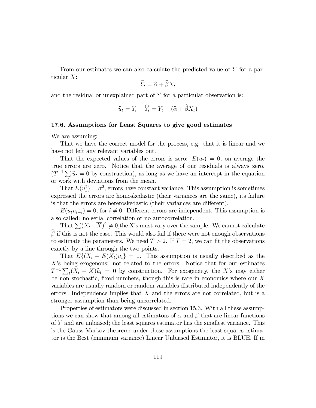From our estimates we can also calculate the predicted value of Y for a particular X:

$$
\widehat{Y}_t = \widehat{\alpha} + \widehat{\beta} X_t
$$

and the residual or unexplained part of Y for a particular observation is:

$$
\widehat{u}_t = Y_t - \widehat{Y}_t = Y_t - (\widehat{\alpha} + \widehat{\beta}X_t)
$$

## 17.6. Assumptions for Least Squares to give good estimates

We are assuming:

That we have the correct model for the process, e.g. that it is linear and we have not left any relevant variables out.

That the expected values of the errors is zero:  $E(u_t) = 0$ , on average the true errors are zero. Notice that the average of our residuals is always zero,  $(T^{-1}\sum \hat{u}_t = 0$  by construction), as long as we have an intercept in the equation or work with deviations from the mean.

That  $E(u_t^2) = \sigma^2$ , errors have constant variance. This assumption is sometimes expressed the errors are homoskedastic (their variances are the same), its failure is that the errors are heteroskedastic (their variances are different).

 $E(u_t u_{t-i}) = 0$ , for  $i \neq 0$ . Different errors are independent. This assumption is also called: no serial correlation or no autocorrelation.

That  $\sum (X_t - \overline{X})^2 \neq 0$ , the X's must vary over the sample. We cannot calculate  $\hat{\beta}$  if this is not the case. This would also fail if there were not enough observations to estimate the parameters. We need  $T > 2$ . If  $T = 2$ , we can fit the observations exactly by a line through the two points.

That  $E\{(X_t - E(X_t)u_t\} = 0$ . This assumption is usually described as the  $X$ 's being exogenous: not related to the errors. Notice that for our estimates  $T^{-1} \sum_{t} (X_t - \overline{X}) \hat{u}_t = 0$  by construction. For exogeneity, the X's may either be non stochastic, fixed numbers, though this is rare in economics where our  $X$ variables are usually random or random variables distributed independently of the errors. Independence implies that X and the errors are not correlated, but is a stronger assumption than being uncorrelated.

Properties of estimators were discussed in section 15.3. With all these assumptions we can show that among all estimators of  $\alpha$  and  $\beta$  that are linear functions of Y and are unbiased; the least squares estimator has the smallest variance. This is the Gauss-Markov theorem: under these assumptions the least squares estimator is the Best (minimum variance) Linear Unbiased Estimator, it is BLUE. If in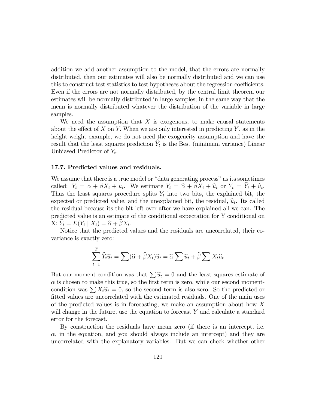addition we add another assumption to the model, that the errors are normally distributed, then our estimates will also be normally distributed and we can use this to construct test statistics to test hypotheses about the regression coefficients. Even if the errors are not normally distributed, by the central limit theorem our estimates will be normally distributed in large samples; in the same way that the mean is normally distributed whatever the distribution of the variable in large samples.

We need the assumption that  $X$  is exogenous, to make causal statements about the effect of X on Y. When we are only interested in predicting Y, as in the height-weight example, we do not need the exogeneity assumption and have the result that the least squares prediction  $Y_t$  is the Best (minimum variance) Linear Unbiased Predictor of  $Y_t$ .

## 17.7. Predicted values and residuals.

We assume that there is a true model or "data generating process" as its sometimes called:  $Y_t = \alpha + \beta X_t + u_t$ . We estimate  $Y_t = \widehat{\alpha} + \beta X_t + \widehat{u}_t$  or  $Y_t = Y_t + \widehat{u}_t$ . Thus the least squares procedure splits  $Y_t$  into two bits, the explained bit, the expected or predicted value, and the unexplained bit, the residual,  $\hat{u}_t$ . Its called the residual because its the bit left over after we have explained all we can. The predicted value is an estimate of the conditional expectation for Y conditional on  $X: Y_t = E(Y_t | X_t) = \widehat{\alpha} + \beta X_t.$ 

Notice that the predicted values and the residuals are uncorrelated, their covariance is exactly zero:

$$
\sum_{t=1}^{T} \widehat{Y}_t \widehat{u}_t = \sum (\widehat{\alpha} + \widehat{\beta} X_t) \widehat{u}_t = \widehat{\alpha} \sum \widehat{u}_t + \widehat{\beta} \sum X_t \widehat{u}_t
$$

But our moment-condition was that  $\sum \hat{u}_t = 0$  and the least squares estimate of  $\alpha$  is chosen to make this true, so the first term is zero, while our second momentcondition was  $\sum X_t \hat{u}_t = 0$ , so the second term is also zero. So the predicted or fitted values are uncorrelated with the estimated residuals. One of the main uses of the predicted values is in forecasting, we make an assumption about how X will change in the future, use the equation to forecast Y and calculate a standard error for the forecast.

By construction the residuals have mean zero (if there is an intercept, i.e.  $\alpha$ , in the equation, and you should always include an intercept) and they are uncorrelated with the explanatory variables. But we can check whether other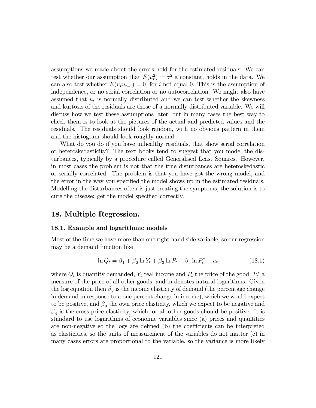assumptions we made about the errors hold for the estimated residuals. We can test whether our assumption that  $E(u_t^2) = \sigma^2$  a constant, holds in the data. We can also test whether  $E(u_t u_{t-i}) = 0$ , for i not equal 0. This is the assumption of independence, or no serial correlation or no autocorrelation. We might also have assumed that  $u_t$  is normally distributed and we can test whether the skewness and kurtosis of the residuals are those of a normally distributed variable. We will discuss how we test these assumptions later, but in many cases the best way to check them is to look at the pictures of the actual and predicted values and the residuals. The residuals should look random, with no obvious pattern in them and the histogram should look roughly normal.

What do you do if you have unhealthy residuals, that show serial correlation or heteroskedasticity? The text books tend to suggest that you model the disturbances, typically by a procedure called Generalised Least Squares. However, in most cases the problem is not that the true disturbances are heteroskedastic or serially correlated. The problem is that you have got the wrong model, and the error in the way you specified the model shows up in the estimated residuals. Modelling the disturbances often is just treating the symptoms, the solution is to cure the disease: get the model specified correctly.

# 18. Multiple Regression.

## 18.1. Example and logarithmic models

Most of the time we have more than one right hand side variable, so our regression may be a demand function like

$$
\ln Q_t = \beta_1 + \beta_2 \ln Y_t + \beta_3 \ln P_t + \beta_4 \ln P_t^* + u_t \tag{18.1}
$$

where  $Q_t$  is quantity demanded,  $Y_t$  real income and  $P_t$  the price of the good,  $P_t^*$  a measure of the price of all other goods, and ln denotes natural logarithms. Given the log equation then  $\beta_2$  is the income elasticity of demand (the percentage change in demand in response to a one percent change in income), which we would expect to be positive, and  $\beta_3$  the own price elasticity, which we expect to be negative and  $\beta_4$  is the cross-price elasticity, which for all other goods should be positive. It is standard to use logarithms of economic variables since (a) prices and quantities are non-negative so the logs are defined (b) the coefficients can be interpreted as elasticities, so the units of measurement of the variables do not matter (c) in many cases errors are proportional to the variable, so the variance is more likely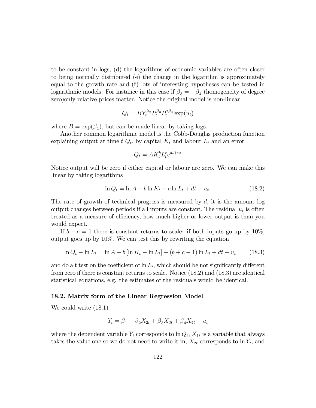to be constant in logs, (d) the logarithms of economic variables are often closer to being normally distributed (e) the change in the logarithm is approximately equal to the growth rate and (f) lots of interesting hypotheses can be tested in logarithmic models. For instance in this case if  $\beta_3 = -\beta_4$  (homogeneity of degree zero)only relative prices matter. Notice the original model is non-linear

$$
Q_t = BY_t^{\beta_2} P_t^{\beta_3} P_t^{*\beta_4} \exp(u_t)
$$

where  $B = \exp(\beta_1)$ , but can be made linear by taking logs.

Another common logarithmic model is the Cobb-Douglas production function explaining output at time  $t Q_t$ , by capital  $K_t$  and labour  $L_t$  and an error

$$
Q_t = AK_t^b L_t^c e^{dt+u_t}
$$

Notice output will be zero if either capital or labour are zero. We can make this linear by taking logarithms

$$
\ln Q_t = \ln A + b \ln K_t + c \ln L_t + dt + u_t. \tag{18.2}
$$

The rate of growth of technical progress is measured by  $d$ , it is the amount log output changes between periods if all inputs are constant. The residual  $u_t$  is often treated as a measure of efficiency, how much higher or lower output is than you would expect.

If  $b + c = 1$  there is constant returns to scale: if both inputs go up by 10%, output goes up by 10%. We can test this by rewriting the equation

$$
\ln Q_t - \ln L_t = \ln A + b \left[ \ln K_t - \ln L_t \right] + (b + c - 1) \ln L_t + dt + u_t \tag{18.3}
$$

and do a t test on the coefficient of  $\ln L_t$ , which should be not significantly different from zero if there is constant returns to scale. Notice (18:2) and (18:3) are identical statistical equations, e.g. the estimates of the residuals would be identical.

#### 18.2. Matrix form of the Linear Regression Model

We could write  $(18.1)$ 

$$
Y_t = \beta_1 + \beta_2 X_{2t} + \beta_3 X_{3t} + \beta_4 X_{4t} + u_t
$$

where the dependent variable  $Y_t$  corresponds to  $\ln Q_t$ ,  $X_{1t}$  is a variable that always takes the value one so we do not need to write it in,  $X_{2t}$  corresponds to  $\ln Y_t$ , and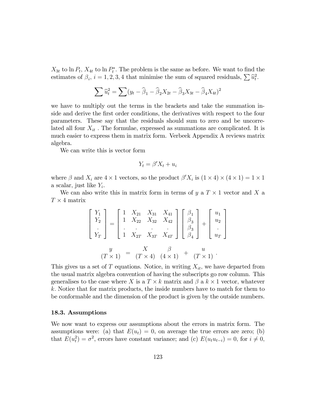$X_{3t}$  to ln  $P_t$ ,  $X_{4t}$  to ln  $P_t^*$ . The problem is the same as before. We want to find the estimates of  $\beta_i$ ,  $i = 1, 2, 3, 4$  that minimise the sum of squared residuals,  $\sum \hat{u}_t^2$ .

$$
\sum \widehat{u}_t^2 = \sum (y_t - \widehat{\beta}_1 - \widehat{\beta}_2 X_{2t} - \widehat{\beta}_3 X_{3t} - \widehat{\beta}_4 X_{4t})^2
$$

we have to multiply out the terms in the brackets and take the summation inside and derive the first order conditions, the derivatives with respect to the four parameters. These say that the residuals should sum to zero and be uncorrelated all four  $X_{it}$ . The formulae, expressed as summations are complicated. It is much easier to express them in matrix form. Verbeek Appendix A reviews matrix algebra.

We can write this is vector form

$$
Y_t = \beta' X_t + u_i
$$

where  $\beta$  and  $X_i$  are  $4 \times 1$  vectors, so the product  $\beta' X_i$  is  $(1 \times 4) \times (4 \times 1) = 1 \times 1$ a scalar, just like  $Y_i$ .

We can also write this in matrix form in terms of  $y$  a  $T \times 1$  vector and  $X$  a  $T \times 4$  matrix

$$
\begin{bmatrix} Y_1 \\ Y_2 \\ \vdots \\ Y_T \end{bmatrix} = \begin{bmatrix} 1 & X_{21} & X_{31} & X_{41} \\ 1 & X_{22} & X_{32} & X_{42} \\ \vdots & \vdots & \vdots & \vdots \\ 1 & X_{2T} & X_{3T} & X_{4T} \end{bmatrix} \begin{bmatrix} \beta_1 \\ \beta_3 \\ \beta_3 \\ \beta_4 \end{bmatrix} + \begin{bmatrix} u_1 \\ u_2 \\ \vdots \\ u_T \end{bmatrix}
$$

$$
(T \times 1) = \begin{bmatrix} y \\ X \times 4 \end{bmatrix} = \begin{bmatrix} X & \beta \\ (T \times 4) & (4 \times 1) \end{bmatrix} + \begin{bmatrix} u_1 \\ u_2 \\ \vdots \\ u_T \end{bmatrix}
$$

This gives us a set of T equations. Notice, in writing  $X_{it}$ , we have departed from the usual matrix algebra convention of having the subscripts go row column. This generalises to the case where X is a  $T \times k$  matrix and  $\beta$  a  $k \times 1$  vector, whatever k: Notice that for matrix products, the inside numbers have to match for them to be conformable and the dimension of the product is given by the outside numbers.

#### 18.3. Assumptions

We now want to express our assumptions about the errors in matrix form. The assumptions were: (a) that  $E(u_t) = 0$ , on average the true errors are zero; (b) that  $E(u_t^2) = \sigma^2$ , errors have constant variance; and (c)  $E(u_t u_{t-i}) = 0$ , for  $i \neq 0$ ,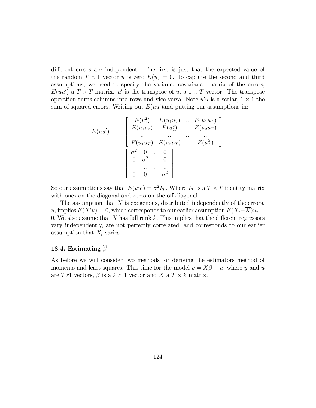different errors are independent. The first is just that the expected value of the random  $T \times 1$  vector u is zero  $E(u) = 0$ . To capture the second and third assumptions, we need to specify the variance covariance matrix of the errors,  $E(uu')$  a  $T \times T$  matrix. u' is the transpose of u, a  $1 \times T$  vector. The transpose operation turns columns into rows and vice versa. Note  $u'u$  is a scalar,  $1 \times 1$  the sum of squared errors. Writing out  $E(uu')$  and putting our assumptions in:

$$
E(uu') = \begin{bmatrix} E(u_1^2) & E(u_1u_2) & \dots & E(u_1u_T) \\ E(u_1u_2) & E(u_2^2) & \dots & E(u_2u_T) \\ \dots & \dots & \dots & \dots \\ E(u_1u_T) & E(u_2u_T) & \dots & E(u_T^2) \end{bmatrix}
$$

$$
= \begin{bmatrix} \sigma^2 & 0 & \dots & 0 \\ 0 & \sigma^2 & \dots & 0 \\ \dots & \dots & \dots & \dots \\ 0 & 0 & \dots & \sigma^2 \end{bmatrix}
$$

So our assumptions say that  $E(uu') = \sigma^2 I_T$ . Where  $I_T$  is a  $T \times T$  identity matrix with ones on the diagonal and zeros on the off diagonal.

The assumption that  $X$  is exogenous, distributed independently of the errors, u, implies  $E(X'u) = 0$ , which corresponds to our earlier assumption  $E(X_t - \overline{X})u_t =$ 0. We also assume that  $X$  has full rank  $k$ . This implies that the different regressors vary independently, are not perfectly correlated, and corresponds to our earlier assumption that  $X_t$  varies.

# 18.4. Estimating  $\widehat{\beta}$

As before we will consider two methods for deriving the estimators method of moments and least squares. This time for the model  $y = X\beta + u$ , where y and u are Tx1 vectors,  $\beta$  is a  $k \times 1$  vector and X a  $T \times k$  matrix.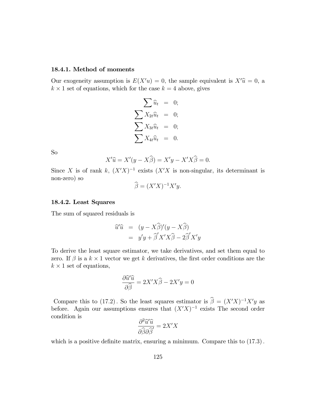#### 18.4.1. Method of moments

Our exogeneity assumption is  $E(X'u) = 0$ , the sample equivalent is  $X'\hat{u} = 0$ , a  $k \times 1$  set of equations, which for the case  $k = 4$  above, gives

$$
\sum \widehat{u}_t = 0; \n\sum X_{2t} \widehat{u}_t = 0; \n\sum X_{3t} \widehat{u}_t = 0; \n\sum X_{4t} \widehat{u}_t = 0.
$$

So

$$
X'\hat{u} = X'(y - X\hat{\beta}) = X'y - X'X\hat{\beta} = 0.
$$

Since X is of rank k,  $(X'X)^{-1}$  exists  $(X'X)$  is non-singular, its determinant is non-zero) so

$$
\widehat{\beta} = (X'X)^{-1}X'y.
$$

# 18.4.2. Least Squares

The sum of squared residuals is

$$
\begin{array}{rcl}\n\widehat{u}'\widehat{u} & = & (y - X\widehat{\beta})'(y - X\widehat{\beta}) \\
& = & y'y + \widehat{\beta}'X'X\widehat{\beta} - 2\widehat{\beta}'X'y\n\end{array}
$$

To derive the least square estimator, we take derivatives, and set them equal to zero. If  $\beta$  is a  $k \times 1$  vector we get k derivatives, the first order conditions are the  $k \times 1$  set of equations,

$$
\frac{\partial \widehat{u}'\widehat{u}}{\partial \widehat{\beta}} = 2X'X\widehat{\beta} - 2X'y = 0
$$

Compare this to (17.2). So the least squares estimator is  $\hat{\beta} = (X'X)^{-1}X'y$  as before. Again our assumptions ensures that  $(X'X)^{-1}$  exists The second order condition is

$$
\frac{\partial^2 \widehat{u}' \widehat{u}}{\partial \widehat{\beta} \partial \widehat{\beta}} = 2X'X
$$

which is a positive definite matrix, ensuring a minimum. Compare this to  $(17.3)$ .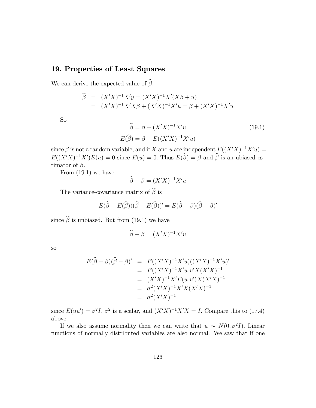# 19. Properties of Least Squares

We can derive the expected value of  $\widehat{\beta}$ .

$$
\widehat{\beta} = (X'X)^{-1}X'y = (X'X)^{-1}X'(X\beta + u)
$$
  
=  $(X'X)^{-1}X'X\beta + (X'X)^{-1}X'u = \beta + (X'X)^{-1}X'u$ 

So

$$
\widehat{\beta} = \beta + (X'X)^{-1}X'u
$$
\n
$$
E(\widehat{\beta}) = \beta + E((X'X)^{-1}X'u)
$$
\n(19.1)

since  $\beta$  is not a random variable, and if X and u are independent  $E((X'X)^{-1}X'u) =$  $E((X'X)^{-1}X')E(u) = 0$  since  $E(u) = 0$ . Thus  $E(\hat{\beta}) = \beta$  and  $\hat{\beta}$  is an ubiased estimator of  $\beta$ .

From (19.1) we have

$$
\widehat{\beta} - \beta = (X'X)^{-1}X'u
$$

The variance-covariance matrix of  $\widehat{\boldsymbol{\beta}}$  is

$$
E(\widehat{\beta} - E(\widehat{\beta}))(\widehat{\beta} - E(\widehat{\beta}))' = E(\widehat{\beta} - \beta)(\widehat{\beta} - \beta)'
$$

since  $\widehat{\beta}$  is unbiased. But from (19.1) we have

$$
\widehat{\beta} - \beta = (X'X)^{-1}X'u
$$

so

$$
E(\widehat{\beta} - \beta)(\widehat{\beta} - \beta)' = E((X'X)^{-1}X'u)((X'X)^{-1}X'u)'
$$
  
= 
$$
E((X'X)^{-1}X'u u'X(X'X)^{-1})
$$
  
= 
$$
(X'X)^{-1}X'E(u u')X(X'X)^{-1}
$$
  
= 
$$
\sigma^2(X'X)^{-1}X'X(X'X)^{-1}
$$
  
= 
$$
\sigma^2(X'X)^{-1}
$$

since  $E(uu') = \sigma^2 I$ ,  $\sigma^2$  is a scalar, and  $(X'X)^{-1}X'X = I$ . Compare this to (17.4) above.

If we also assume normality then we can write that  $u \sim N(0, \sigma^2 I)$ . Linear functions of normally distributed variables are also normal. We saw that if one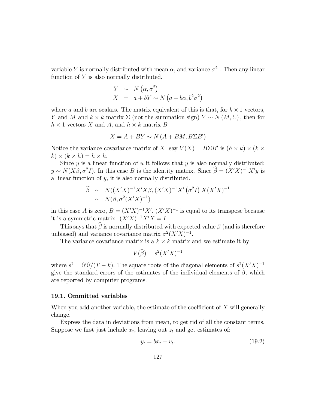variable Y is normally distributed with mean  $\alpha$ , and variance  $\sigma^2$ . Then any linear function of Y is also normally distributed.

$$
Y \sim N(\alpha, \sigma^2)
$$
  

$$
X = a + bY \sim N(a + b\alpha, b^2\sigma^2)
$$

where a and b are scalars. The matrix equivalent of this is that, for  $k \times 1$  vectors, Y and M and  $k \times k$  matrix  $\Sigma$  (not the summation sign)  $Y \sim N(M, \Sigma)$ , then for  $h \times 1$  vectors X and A, and  $h \times k$  matrix B

$$
X = A + BY \sim N(A + BM, B\Sigma B')
$$

Notice the variance covariance matrix of X say  $V(X) = B\Sigma B'$  is  $(h \times k) \times (k \times k)$  $(k) \times (k \times h) = h \times h.$ 

Since  $y$  is a linear function of  $u$  it follows that  $y$  is also normally distributed:  $y \sim N(X\beta, \sigma^2 I)$ . In this case B is the identity matrix. Since  $\hat{\beta} = (X'X)^{-1}X'y$  is a linear function of  $y$ , it is also normally distributed.

$$
\widehat{\beta} \sim N((X'X)^{-1}X'X\beta, (X'X)^{-1}X'(\sigma^2I) X(X'X)^{-1}
$$
  
 
$$
\sim N(\beta, \sigma^2(X'X)^{-1})
$$

in this case A is zero,  $B = (X'X)^{-1}X'$ .  $(X'X)^{-1}$  is equal to its transpose because it is a symmetric matrix.  $(X'X)^{-1}X'X = I$ .

This says that  $\widehat{\beta}$  is normally distributed with expected value  $\beta$  (and is therefore unbiased) and variance covariance matrix  $\sigma^2(X'X)^{-1}$ .

The variance covariance matrix is a  $k \times k$  matrix and we estimate it by

$$
V(\widehat{\beta}) = s^2 (X'X)^{-1}
$$

where  $s^2 = \hat{u}'\hat{u}/(T-k)$ . The square roots of the diagonal elements of  $s^2(X'X)^{-1}$ give the standard errors of the estimates of the individual elements of  $\beta$ , which are reported by computer programs:

#### 19.1. Ommitted variables

When you add another variable, the estimate of the coefficient of  $X$  will generally change.

Express the data in deviations from mean, to get rid of all the constant terms. Suppose we first just include  $x_t$ , leaving out  $z_t$  and get estimates of:

$$
y_t = bx_t + v_t. \tag{19.2}
$$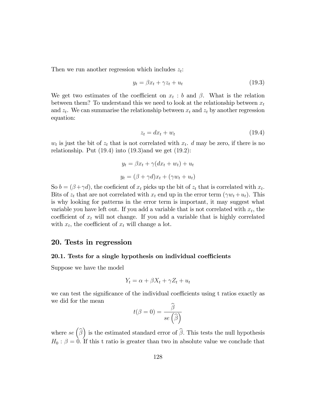Then we run another regression which includes  $z_t$ :

$$
y_t = \beta x_t + \gamma z_t + u_t \tag{19.3}
$$

We get two estimates of the coefficient on  $x_t : b$  and  $\beta$ . What is the relation between them? To understand this we need to look at the relationship between  $x_t$ and  $z_t$ . We can summarise the relationship between  $x_t$  and  $z_t$  by another regression equation:

$$
z_t = dx_t + w_t \tag{19.4}
$$

 $w_t$  is just the bit of  $z_t$  that is not correlated with  $x_t$ . d may be zero, if there is no relationship. Put  $(19.4)$  into  $(19.3)$  and we get  $(19.2)$ :

$$
y_t = \beta x_t + \gamma (dx_t + w_t) + u_t
$$

$$
y_t = (\beta + \gamma d)x_t + (\gamma w_t + u_t)
$$

So  $b = (\beta + \gamma d)$ , the coeficient of  $x_t$  picks up the bit of  $z_t$  that is correlated with  $x_t$ . Bits of  $z_t$  that are not correlated with  $x_t$  end up in the error term  $(\gamma w_t + u_t)$ . This is why looking for patterns in the error term is important, it may suggest what variable you have left out. If you add a variable that is not correlated with  $x_t$ , the coefficient of  $x_t$  will not change. If you add a variable that is highly correlated with  $x_t$ , the coefficient of  $x_t$  will change a lot.

# 20. Tests in regression

# 20.1. Tests for a single hypothesis on individual coefficients

Suppose we have the model

$$
Y_t = \alpha + \beta X_t + \gamma Z_t + u_t
$$

we can test the significance of the individual coefficients using t ratios exactly as we did for the mean

$$
t(\beta = 0) = \frac{\beta}{se\left(\widehat{\beta}\right)}
$$

where  $se\left(\widehat{\beta}\right)$  is the estimated standard error of  $\widehat{\beta}$ . This tests the null hypothesis  $H_0: \beta = 0$ . If this t ratio is greater than two in absolute value we conclude that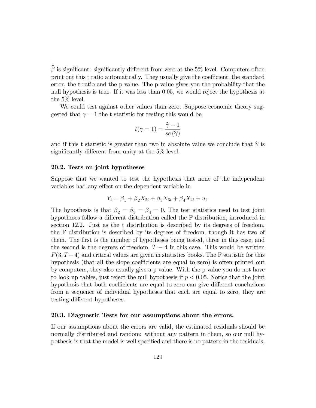$\widehat{\beta}$  is significant: significantly different from zero at the 5% level. Computers often print out this t ratio automatically. They usually give the coefficient, the standard error, the t ratio and the p value. The p value gives you the probability that the null hypothesis is true. If it was less than 0:05, we would reject the hypothesis at the 5% level.

We could test against other values than zero. Suppose economic theory suggested that  $\gamma = 1$  the t statistic for testing this would be

$$
t(\gamma = 1) = \frac{\widehat{\gamma} - 1}{se\left(\widehat{\gamma}\right)}
$$

and if this t statistic is greater than two in absolute value we conclude that  $\hat{\gamma}$  is significantly different from unity at the  $5\%$  level.

## 20.2. Tests on joint hypotheses

Suppose that we wanted to test the hypothesis that none of the independent variables had any effect on the dependent variable in

$$
Y_t = \beta_1 + \beta_2 X_{2t} + \beta_3 X_{3t} + \beta_4 X_{4t} + u_t.
$$

The hypothesis is that  $\beta_2 = \beta_3 = \beta_4 = 0$ . The test statistics used to test joint hypotheses follow a different distribution called the F distribution, introduced in section 12.2. Just as the t distribution is described by its degrees of freedom, the F distribution is described by its degrees of freedom, though it has two of them. The first is the number of hypotheses being tested, three in this case, and the second is the degrees of freedom,  $T - 4$  in this case. This would be written  $F(3, T-4)$  and critical values are given in statistics books. The F statistic for this hypothesis (that all the slope coefficients are equal to zero) is often printed out by computers, they also usually give a p value. With the p value you do not have to look up tables, just reject the null hypothesis if  $p < 0.05$ . Notice that the joint hypothesis that both coefficients are equal to zero can give different conclusions from a sequence of individual hypotheses that each are equal to zero, they are testing different hypotheses.

#### 20.3. Diagnostic Tests for our assumptions about the errors.

If our assumptions about the errors are valid, the estimated residuals should be normally distributed and random: without any pattern in them, so our null hypothesis is that the model is well specified and there is no pattern in the residuals,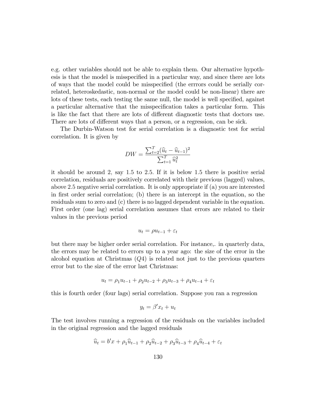e.g. other variables should not be able to explain them. Our alternative hypothesis is that the model is misspecified in a particular way, and since there are lots of ways that the model could be misspecified (the errrors could be serially correlated, heteroskedastic, non-normal or the model could be non-linear) there are lots of these tests, each testing the same null, the model is well specified, against a particular alternative that the misspecification takes a particular form. This is like the fact that there are lots of different diagnostic tests that doctors use. There are lots of different ways that a person, or a regression, can be sick.

The Durbin-Watson test for serial correlation is a diagnostic test for serial correlation. It is given by

$$
DW = \frac{\sum_{t=2}^{T} (\widehat{u}_t - \widehat{u}_{t-1})^2}{\sum_{t=1}^{T} \widehat{u}_t^2}
$$

it should be around 2; say 1:5 to 2:5: If it is below 1:5 there is positive serial correlation, residuals are positively correlated with their previous (lagged) values, above 2:5 negative serial correlation. It is only appropriate if (a) you are interested in first order serial correlation; (b) there is an intercept in the equation, so the residuals sum to zero and (c) there is no lagged dependent variable in the equation. First order (one lag) serial correlation assumes that errors are related to their values in the previous period

$$
u_t = \rho u_{t-1} + \varepsilon_t
$$

but there may be higher order serial correlation. For instance,. in quarterly data, the errors may be related to errors up to a year ago: the size of the error in the alcohol equation at Christmas (Q4) is related not just to the previous quarters error but to the size of the error last Christmas:

$$
u_t = \rho_1 u_{t-1} + \rho_2 u_{t-2} + \rho_3 u_{t-3} + \rho_4 u_{t-4} + \varepsilon_t
$$

this is fourth order (four lags) serial correlation. Suppose you ran a regression

$$
y_t = \beta' x_t + u_t
$$

The test involves running a regression of the residuals on the variables included in the original regression and the lagged residuals

$$
\hat{u}_t = b'x + \rho_1 \hat{u}_{t-1} + \rho_2 \hat{u}_{t-2} + \rho_3 \hat{u}_{t-3} + \rho_4 \hat{u}_{t-4} + \varepsilon_t
$$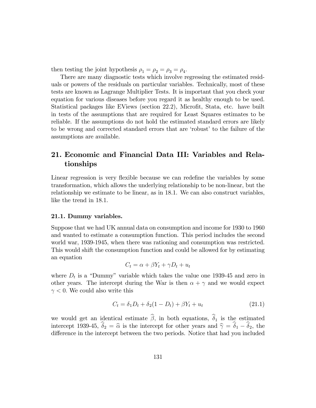then testing the joint hypothesis  $\rho_1 = \rho_2 = \rho_3 = \rho_4$ .

There are many diagnostic tests which involve regressing the estimated residuals or powers of the residuals on particular variables. Technically, most of these tests are known as Lagrange Multiplier Tests. It is important that you check your equation for various diseases before you regard it as healthy enough to be used. Statistical packages like EViews (section 22.2), Microfit, Stata, etc. have built in tests of the assumptions that are required for Least Squares estimates to be reliable. If the assumptions do not hold the estimated standard errors are likely to be wrong and corrected standard errors that are 'robust' to the failure of the assumptions are available.

# 21. Economic and Financial Data III: Variables and Relationships

Linear regression is very flexible because we can redefine the variables by some transformation, which allows the underlying relationship to be non-linear, but the relationship we estimate to be linear, as in 18.1. We can also construct variables, like the trend in 18.1.

# 21.1. Dummy variables.

Suppose that we had UK annual data on consumption and income for 1930 to 1960 and wanted to estimate a consumption function. This period includes the second world war, 1939-1945, when there was rationing and consumption was restricted. This would shift the consumption function and could be allowed for by estimating an equation

$$
C_t = \alpha + \beta Y_t + \gamma D_t + u_t
$$

where  $D_t$  is a "Dummy" variable which takes the value one 1939-45 and zero in other years. The intercept during the War is then  $\alpha + \gamma$  and we would expect  $\gamma$  < 0. We could also write this

$$
C_t = \delta_1 D_t + \delta_2 (1 - D_t) + \beta Y_t + u_t \tag{21.1}
$$

we would get an identical estimate  $\beta$ , in both equations,  $\delta_1$  is the estimated intercept 1939-45,  $\delta_2 = \hat{\alpha}$  is the intercept for other years and  $\hat{\gamma} = \delta_1 - \delta_2$ , the difference in the intercept between the two periods. Notice that had you included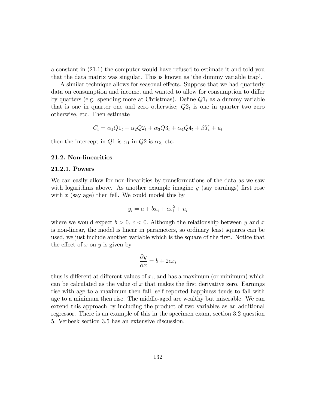a constant in (21:1) the computer would have refused to estimate it and told you that the data matrix was singular. This is known as 'the dummy variable trap'.

A similar technique allows for seasonal effects. Suppose that we had quarterly data on consumption and income, and wanted to allow for consumption to differ by quarters (e.g. spending more at Christmas). Define  $Q1_t$  as a dummy variable that is one in quarter one and zero otherwise;  $Q2_t$  is one in quarter two zero otherwise, etc. Then estimate

$$
C_t = \alpha_1 Q_1 t + \alpha_2 Q_2 t + \alpha_3 Q_3 t + \alpha_4 Q_4 t + \beta Y_t + u_t
$$

then the intercept in Q1 is  $\alpha_1$  in Q2 is  $\alpha_2$ , etc.

# 21.2. Non-linearities

# 21.2.1. Powers

We can easily allow for non-linearities by transformations of the data as we saw with logarithms above. As another example imagine  $y$  (say earnings) first rose with  $x$  (say age) then fell. We could model this by

$$
y_i = a + bx_i + cx_i^2 + u_i
$$

where we would expect  $b > 0$ ,  $c < 0$ . Although the relationship between y and x is non-linear, the model is linear in parameters, so ordinary least squares can be used, we just include another variable which is the square of the first. Notice that the effect of x on y is given by

$$
\frac{\partial y}{\partial x} = b + 2cx_i
$$

thus is different at different values of  $x_i$ , and has a maximum (or minimum) which can be calculated as the value of  $x$  that makes the first derivative zero. Earnings rise with age to a maximum then fall, self reported happiness tends to fall with age to a minimum then rise. The middle-aged are wealthy but miserable. We can extend this approach by including the product of two variables as an additional regressor. There is an example of this in the specimen exam, section 3.2 question 5. Verbeek section 3.5 has an extensive discussion.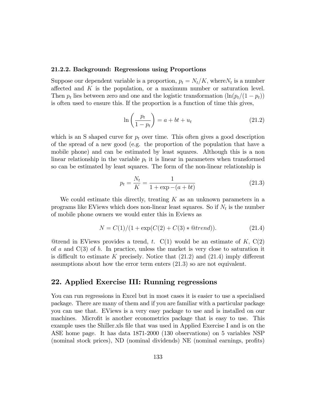#### 21.2.2. Background: Regressions using Proportions

Suppose our dependent variable is a proportion,  $p_t = N_t/K$ , where  $N_t$  is a number affected and  $K$  is the population, or a maximum number or saturation level. Then  $p_t$  lies between zero and one and the logistic transformation  $(\ln(p_t/(1 - p_t))$ is often used to ensure this: If the proportion is a function of time this gives,

$$
\ln\left(\frac{p_t}{1-p_t}\right) = a + bt + u_t \tag{21.2}
$$

which is an S shaped curve for  $p_t$  over time. This often gives a good description of the spread of a new good (e.g. the proportion of the population that have a mobile phone) and can be estimated by least squares. Although this is a non linear relationship in the variable  $p_t$  it is linear in parameters when transformed so can be estimated by least squares. The form of the non-linear relationship is

$$
p_t = \frac{N_t}{K} = \frac{1}{1 + \exp(-a + bt)}
$$
\n(21.3)

We could estimate this directly, treating  $K$  as an unknown parameters in a programs like EViews which does non-linear least squares. So if  $N_t$  is the number of mobile phone owners we would enter this in Eviews as

$$
N = C(1)/(1 + \exp(C(2) + C(3) * \mathbb{Q}trend)).
$$
\n(21.4)

Outrend in EViews provides a trend, t.  $C(1)$  would be an estimate of K,  $C(2)$ of a and  $C(3)$  of b. In practice, unless the market is very close to saturation it is difficult to estimate K precisely. Notice that  $(21.2)$  and  $(21.4)$  imply different assumptions about how the error term enters  $(21.3)$  so are not equivalent.

# 22. Applied Exercise III: Running regressions

You can run regressions in Excel but in most cases it is easier to use a specialised package. There are many of them and if you are familiar with a particular package you can use that. EViews is a very easy package to use and is installed on our machines. Microfit is another econometrics package that is easy to use. This example uses the Shiller.xls file that was used in Applied Exercise I and is on the ASE home page. It has data 1871-2000 (130 observations) on 5 variables NSP (nominal stock prices), ND (nominal dividends) NE (nominal earnings, profits)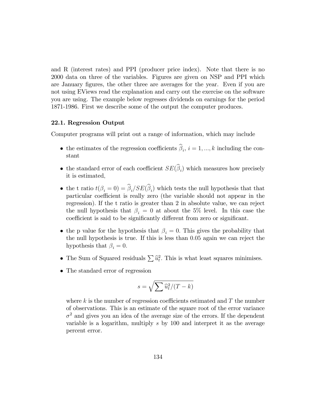and R (interest rates) and PPI (producer price index). Note that there is no 2000 data on three of the variables. Figures are given on NSP and PPI which are January figures, the other three are averages for the year. Even if you are not using EViews read the explanation and carry out the exercise on the software you are using. The example below regresses dividends on earnings for the period 1871-1986. First we describe some of the output the computer produces.

# 22.1. Regression Output

Computer programs will print out a range of information, which may include

- the estimates of the regression coefficients  $\beta_i$ ,  $i = 1, ..., k$  including the constant
- the standard error of each coefficient  $SE(\beta_i)$  which measures how precisely it is estimated;
- the t ratio  $t(\beta_i = 0) = \beta_i / SE(\beta_i)$  which tests the null hypothesis that that particular coefficient is really zero (the variable should not appear in the regression): If the t ratio is greater than 2 in absolute value, we can reject the null hypothesis that  $\beta_i = 0$  at about the 5% level. In this case the coefficient is said to be significantly different from zero or significant.
- the p value for the hypothesis that  $\beta_i = 0$ . This gives the probability that the null hypothesis is true. If this is less than 0:05 again we can reject the hypothesis that  $\beta_i = 0$ .
- The Sum of Squared residuals  $\sum \hat{u}_t^2$ . This is what least squares minimises.
- The standard error of regression

$$
s=\sqrt{\sum \widehat{u}_t^2/(T-k)}
$$

where k is the number of regression coefficients estimated and  $T$  the number of observations. This is an estimate of the square root of the error variance  $\sigma^2$  and gives you an idea of the average size of the errors. If the dependent variable is a logarithm, multiply  $s$  by 100 and interpret it as the average percent error.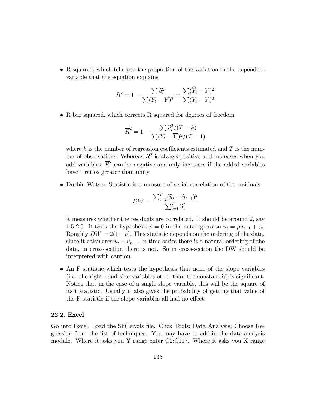R squared, which tells you the proportion of the variation in the dependent variable that the equation explains

$$
R^{2} = 1 - \frac{\sum \widehat{u}_{t}^{2}}{\sum (Y_{t} - \overline{Y})^{2}} = \frac{\sum (\widehat{Y}_{t} - \overline{Y})^{2}}{\sum (Y_{t} - \overline{Y})^{2}}
$$

• R bar squared, which corrects R squared for degrees of freedom

$$
\overline{R}^2 = 1 - \frac{\sum \widehat{u}_t^2/(T-k)}{\sum (Y_t - \overline{Y})^2/(T-1)}
$$

where k is the number of regression coefficients estimated and  $T$  is the number of observations. Whereas  $R^2$  is always positive and increases when you add variables,  $\overline{R}^2$  can be negative and only increases if the added variables have t ratios greater than unity.

Durbin Watson Statistic is a measure of serial correlation of the residuals

$$
DW = \frac{\sum_{t=2}^{T} (\widehat{u}_t - \widehat{u}_{t-1})^2}{\sum_{t=1}^{T} \widehat{u}_t^2}
$$

it measures whether the residuals are correlated. It should be around 2, say 1.5-2.5. It tests the hypothesis  $\rho = 0$  in the autoregression  $u_t = \rho u_{t-1} + \varepsilon_t$ . Roughly  $DW = 2(1-\rho)$ . This statistic depends on the ordering of the data, since it calculates  $u_t - u_{t-1}$ . In time-series there is a natural ordering of the data, in cross-section there is not. So in cross-section the DW should be interpreted with caution.

 An F statistic which tests the hypothesis that none of the slope variables (i.e. the right hand side variables other than the constant  $\widehat{\alpha}$ ) is significant. Notice that in the case of a single slope variable, this will be the square of its t statistic. Usually it also gives the probability of getting that value of the F-statistic if the slope variables all had no effect.

# 22.2. Excel

Go into Excel, Load the Shiller.xls file. Click Tools; Data Analysis; Choose Regression from the list of techniques. You may have to add-in the data-analysis module. Where it asks you Y range enter C2:C117. Where it asks you X range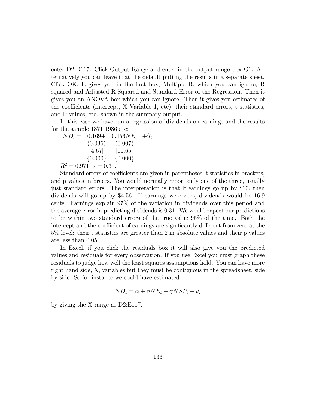enter D2:D117. Click Output Range and enter in the output range box G1. Alternatively you can leave it at the default putting the results in a separate sheet. Click OK. It gives you in the first box, Multiple R, which you can ignore, R squared and Adjusted R Squared and Standard Error of the Regression. Then it gives you an ANOVA box which you can ignore. Then it gives you estimates of the coefficients (intercept,  $X$  Variable 1, etc), their standard errors, t statistics, and P values, etc. shown in the summary output.

In this case we have run a regression of dividends on earnings and the results for the sample 1871 1986 are:

 $ND_t = 0.169+ 0.456NE_t + \hat{u}_t$ <br>(0.036) (0.007)  $(0.007)$  $[4.67]$   $[61.65]$  $\{0.000\}$   $\{0.000\}$  $R^2 = 0.971$ ,  $s = 0.31$ .

Standard errors of coefficients are given in parentheses, t statistics in brackets, and p values in braces. You would normally report only one of the three, usually just standard errors. The interpretation is that if earnings go up by \$10, then dividends will go up by \$4.56. If earnings were zero, dividends would be 16.9 cents. Earnings explain 97% of the variation in dividends over this period and the average error in predicting dividends is 0.31. We would expect our predictions to be within two standard errors of the true value 95% of the time. Both the intercept and the coefficient of earnings are significantly different from zero at the 5% level: their t statistics are greater than 2 in absolute values and their p values are less than 0.05.

In Excel, if you click the residuals box it will also give you the predicted values and residuals for every observation. If you use Excel you must graph these residuals to judge how well the least squares assumptions hold. You can have more right hand side, X, variables but they must be contiguous in the spreadsheet, side by side. So for instance we could have estimated

$$
ND_t = \alpha + \beta NE_t + \gamma NSP_t + u_t
$$

by giving the X range as D2:E117.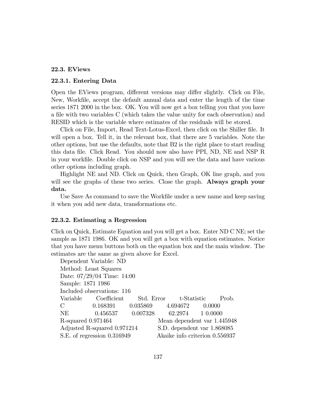# 22.3. EViews

#### 22.3.1. Entering Data

Open the EViews program, different versions may differ slightly. Click on File, New, WorkÖle, accept the default annual data and enter the length of the time series 1871 2000 in the box. OK. You will now get a box telling you that you have a file with two variables C (which takes the value unity for each observation) and RESID which is the variable where estimates of the residuals will be stored.

Click on File, Import, Read Text-Lotus-Excel, then click on the Shiller file. It will open a box. Tell it, in the relevant box, that there are 5 variables. Note the other options, but use the defaults, note that B2 is the right place to start reading this data Öle. Click Read. You should now also have PPI, ND, NE and NSP R in your workÖle. Double click on NSP and you will see the data and have various other options including graph.

Highlight NE and ND. Click on Quick, then Graph, OK line graph, and you will see the graphs of these two series. Close the graph. **Always graph your** data.

Use Save As command to save the Workfile under a new name and keep saving it when you add new data, transformations etc.

### 22.3.2. Estimating a Regression

Click on Quick, Estimate Equation and you will get a box. Enter ND C NE; set the sample as 1871 1986. OK and you will get a box with equation estimates. Notice that you have menu buttons both on the equation box and the main window. The estimates are the same as given above for Excel.

|                    | Dependent Variable: ND                      |                                |  |
|--------------------|---------------------------------------------|--------------------------------|--|
|                    | Method: Least Squares                       |                                |  |
|                    | Date: 07/29/04 Time: 14:00                  |                                |  |
| Sample: 1871 1986  |                                             |                                |  |
|                    | Included observations: 116                  |                                |  |
|                    | Variable Coefficient                        | Std. Error t-Statistic Prob.   |  |
| $\mathcal{C}$      | $0.168391$ $0.035869$ $4.694672$ $0.0000$   |                                |  |
| NE                 | $0.456537$ $0.007328$ $62.2974$ $1\ 0.0000$ |                                |  |
| R-squared 0.971464 |                                             | Mean dependent var 1.445948    |  |
|                    | Adjusted R-squared 0.971214                 | S.D. dependent var 1.868085    |  |
|                    | S.E. of regression 0.316949                 | Akaike info criterion 0.556937 |  |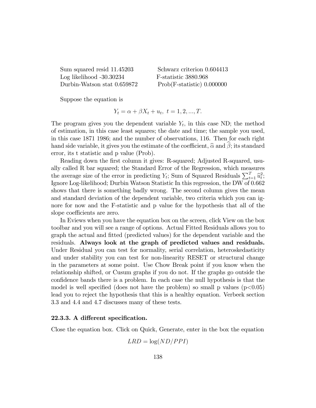Sum squared resid 11.45203 Schwarz criterion 0.604413 Log likelihood -30.30234 F-statistic 3880.968

Durbin-Watson stat 0.659872 Prob(F-statistic) 0.000000

Suppose the equation is

$$
Y_t = \alpha + \beta X_t + u_t, \ t = 1, 2, ..., T.
$$

The program gives you the dependent variable  $Y_t$ , in this case ND; the method of estimation, in this case least squares; the date and time; the sample you used, in this case 1871 1986; and the number of observations, 116. Then for each right hand side variable, it gives you the estimate of the coefficient,  $\widehat{\alpha}$  and  $\widehat{\beta}$ ; its standard error, its t statistic and p value (Prob).

Reading down the first column it gives: R-squared; Adjusted R-squared, usually called R bar squared; the Standard Error of the Regression, which measures the average size of the error in predicting  $Y_t$ ; Sum of Squared Residuals  $\sum_{t=1}^T \hat{u}_t^2$ ; Ignore Log-likelihood; Durbin Watson Statistic In this regression, the DW of 0.662 shows that there is something badly wrong. The second column gives the mean and standard deviation of the dependent variable, two criteria which you can ignore for now and the F-statistic and p value for the hypothesis that all of the slope coefficients are zero.

In Eviews when you have the equation box on the screen, click View on the box toolbar and you will see a range of options. Actual Fitted Residuals allows you to graph the actual and Ötted (predicted values) for the dependent variable and the residuals. Always look at the graph of predicted values and residuals. Under Residual you can test for normality, serial correlation, heteroskedasticity and under stability you can test for non-linearity RESET or structural change in the parameters at some point. Use Chow Break point if you know when the relationship shifted, or Cusum graphs if you do not. If the graphs go outside the confidence bands there is a problem. In each case the null hypothesis is that the model is well specified (does not have the problem) so small p values  $(p<0.05)$ lead you to reject the hypothesis that this is a healthy equation. Verbeek section 3.3 and 4.4 and 4.7 discusses many of these tests.

## 22.3.3. A different specification.

Close the equation box. Click on Quick, Generate, enter in the box the equation

$$
LRD = \log(ND/PPI)
$$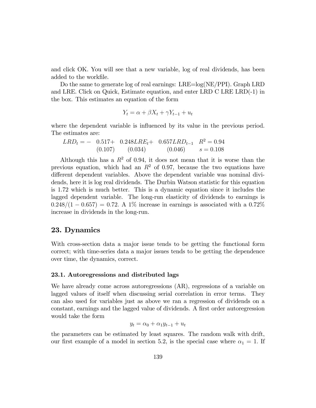and click OK. You will see that a new variable, log of real dividends, has been added to the workfile.

Do the same to generate log of real earnings: LRE=log(NE/PPI). Graph LRD and LRE. Click on Quick, Estimate equation, and enter LRD C LRE LRD(-1) in the box. This estimates an equation of the form

$$
Y_t = \alpha + \beta X_t + \gamma Y_{t-1} + u_t
$$

where the dependent variable is influenced by its value in the previous period. The estimates are:

$$
LRD_t = -0.517 + 0.248 LRE_t + 0.657 LRD_{t-1} \quad R^2 = 0.94
$$
  
(0.107) (0.034) (0.046)  $s = 0.108$ 

Although this has a  $R^2$  of 0.94, it does not mean that it is worse than the previous equation, which had an  $R^2$  of 0.97, because the two equations have different dependent variables. Above the dependent variable was nominal dividends, here it is log real dividends. The Durbin Watson statistic for this equation is 1.72 which is much better. This is a dynamic equation since it includes the lagged dependent variable. The long-run elasticity of dividends to earnings is  $0.248/(1 - 0.657) = 0.72$ . A 1% increase in earnings is associated with a 0.72% increase in dividends in the long-run.

# 23. Dynamics

With cross-section data a major issue tends to be getting the functional form correct; with time-series data a major issues tends to be getting the dependence over time, the dynamics, correct.

#### 23.1. Autoregressions and distributed lags

We have already come across autoregressions (AR), regressions of a variable on lagged values of itself when discussing serial correlation in error terms. They can also used for variables just as above we ran a regression of dividends on a constant, earnings and the lagged value of dividends. A first order autoregression would take the form

$$
y_t = \alpha_0 + \alpha_1 y_{t-1} + u_t
$$

the parameters can be estimated by least squares. The random walk with drift, our first example of a model in section 5.2, is the special case where  $\alpha_1 = 1$ . If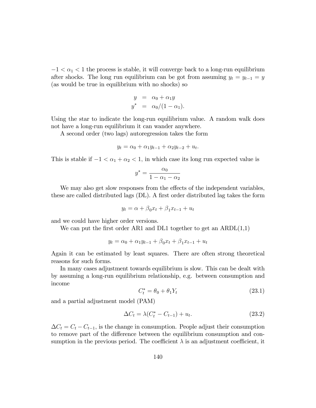$-1 < \alpha_1 < 1$  the process is stable, it will converge back to a long-run equilibrium after shocks. The long run equilibrium can be got from assuming  $y_t = y_{t-1} = y$ (as would be true in equilibrium with no shocks) so

$$
y = \alpha_0 + \alpha_1 y
$$
  

$$
y^* = \alpha_0/(1-\alpha_1).
$$

Using the star to indicate the long-run equilibrium value. A random walk does not have a long-run equilibrium it can wander anywhere.

A second order (two lags) autoregression takes the form

$$
y_t = \alpha_0 + \alpha_1 y_{t-1} + \alpha_2 y_{t-2} + u_t.
$$

This is stable if  $-1 < \alpha_1 + \alpha_2 < 1$ , in which case its long run expected value is

$$
y^* = \frac{\alpha_0}{1 - \alpha_1 - \alpha_2}
$$

We may also get slow responses from the effects of the independent variables, these are called distributed lags (DL). A first order distributed lag takes the form

$$
y_t = \alpha + \beta_0 x_t + \beta_1 x_{t-1} + u_t
$$

and we could have higher order versions.

We can put the first order AR1 and DL1 together to get an  $ARDL(1,1)$ 

$$
y_t = \alpha_0 + \alpha_1 y_{t-1} + \beta_0 x_t + \beta_1 x_{t-1} + u_t
$$

Again it can be estimated by least squares. There are often strong theoretical reasons for such forms.

In many cases adjustment towards equilibrium is slow. This can be dealt with by assuming a long-run equilibrium relationship, e.g. between consumption and income

$$
C_t^* = \theta_0 + \theta_1 Y_t \tag{23.1}
$$

and a partial adjustment model (PAM)

$$
\Delta C_t = \lambda (C_t^* - C_{t-1}) + u_t.
$$
\n(23.2)

 $\Delta C_t = C_t - C_{t-1}$ , is the change in consumption. People adjust their consumption to remove part of the difference between the equilibrium consumption and consumption in the previous period. The coefficient  $\lambda$  is an adjustment coefficient, it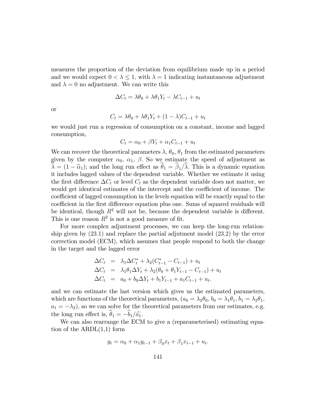measures the proportion of the deviation from equilibrium made up in a period and we would expect  $0 < \lambda \leq 1$ , with  $\lambda = 1$  indicating instantaneous adjustment and  $\lambda = 0$  no adjustment. We can write this

$$
\Delta C_t = \lambda \theta_0 + \lambda \theta_1 Y_t - \lambda C_{t-1} + u_t
$$

or

$$
C_t = \lambda \theta_0 + \lambda \theta_1 Y_t + (1 - \lambda) C_{t-1} + u_t
$$

we would just run a regression of consumption on a constant, income and lagged consumption,

$$
C_t = \alpha_0 + \beta Y_t + \alpha_1 C_{t-1} + u_t
$$

We can recover the theoretical parameters  $\lambda$ ,  $\theta_0$ ,  $\theta_1$  from the estimated parameters given by the computer  $\alpha_0$ ,  $\alpha_1$ ,  $\beta$ . So we estimate the speed of adjustment as  $\lambda = (1 - \hat{\alpha}_1);$  and the long run effect as  $\theta_1 = \beta_1/\lambda$ . This is a dynamic equation it includes lagged values of the dependent variable. Whether we estimate it using the first difference  $\Delta C_t$  or level  $C_t$  as the dependent variable does not matter, we would get identical estimates of the intercept and the coefficient of income. The coefficient of lagged consumption in the levels equation will be exactly equal to the coefficient in the first difference equation plus one. Sums of squared residuals will be identical, though  $R^2$  will not be, because the dependent variable is different. This is one reason  $R^2$  is not a good measure of fit.

For more complex adjustment processes, we can keep the long-run relationship given by (23:1) and replace the partial adjutment model (23:2) by the error correction model (ECM), which assumes that people respond to both the change in the target and the lagged error

$$
\Delta C_t = \lambda_1 \Delta C_t^* + \lambda_2 (C_{t-1}^* - C_{t-1}) + u_t
$$
  
\n
$$
\Delta C_t = \lambda_1 \theta_1 \Delta Y_t + \lambda_2 (\theta_0 + \theta_1 Y_{t-1} - C_{t-1}) + u_t
$$
  
\n
$$
\Delta C_t = a_0 + b_0 \Delta Y_t + b_1 Y_{t-1} + a_1 C_{t-1} + u_t.
$$

and we can estimate the last version which gives us the estimated parameters, which are functions of the theoretical parameters,  $(a_0 = \lambda_2 \theta_0, b_0 = \lambda_1 \theta_1, b_1 = \lambda_2 \theta_1,$  $a_1 = -\lambda_2$ , so we can solve for the theoretical parameters from our estimates, e.g. the long run effect is,  $\theta_1 = -b_1/\hat{a_1}$ .

We can also rearrange the ECM to give a (reparameterised) estimating equation of the ARDL(1,1) form

$$
y_t = \alpha_0 + \alpha_1 y_{t-1} + \beta_0 x_t + \beta_1 x_{t-1} + u_t.
$$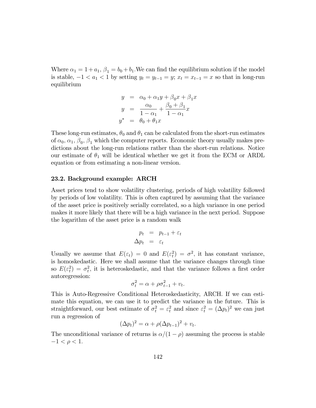Where  $\alpha_1 = 1 + a_1$ ,  $\beta_1 = b_0 + b_1$ . We can find the equilibrium solution if the model is stable,  $-1 < a_1 < 1$  by setting  $y_t = y_{t-1} = y$ ;  $x_t = x_{t-1} = x$  so that in long-run equilibrium

$$
y = \alpha_0 + \alpha_1 y + \beta_0 x + \beta_1 x
$$
  
\n
$$
y = \frac{\alpha_0}{1 - \alpha_1} + \frac{\beta_0 + \beta_1}{1 - \alpha_1} x
$$
  
\n
$$
y^* = \theta_0 + \theta_1 x
$$

These long-run estimates,  $\theta_0$  and  $\theta_1$  can be calculated from the short-run estimates of  $\alpha_0, \alpha_1, \beta_0, \beta_1$  which the computer reports. Economic theory usually makes predictions about the long-run relations rather than the short-run relations. Notice our estimate of  $\theta_1$  will be identical whether we get it from the ECM or ARDL equation or from estimating a non-linear version.

#### 23.2. Background example: ARCH

Asset prices tend to show volatility clustering, periods of high volatility followed by periods of low volatility. This is often captured by assuming that the variance of the asset price is positively serially correlated, so a high variance in one period makes it more likely that there will be a high variance in the next period. Suppose the logarithm of the asset price is a random walk

$$
p_t = p_{t-1} + \varepsilon_t
$$
  

$$
\Delta p_t = \varepsilon_t
$$

Usually we assume that  $E(\varepsilon_t) = 0$  and  $E(\varepsilon_t^2) = \sigma^2$ , it has constant variance, is homoskedastic. Here we shall assume that the variance changes through time so  $E(\varepsilon_t^2) = \sigma_t^2$ , it is heteroskedastic, and that the variance follows a first order autoregression:

$$
\sigma_t^2 = \alpha + \rho \sigma_{t-1}^2 + v_t.
$$

This is Auto-Regressive Conditional Heteroskedasticity, ARCH. If we can estimate this equation, we can use it to predict the variance in the future. This is straightforward, our best estimate of  $\sigma_t^2 = \varepsilon_t^2$  and since  $\varepsilon_t^2 = (\Delta p_t)^2$  we can just run a regression of

$$
(\Delta p_t)^2 = \alpha + \rho (\Delta p_{t-1})^2 + v_t.
$$

The unconditional variance of returns is  $\alpha/(1 - \rho)$  assuming the process is stable  $-1 < \rho < 1.$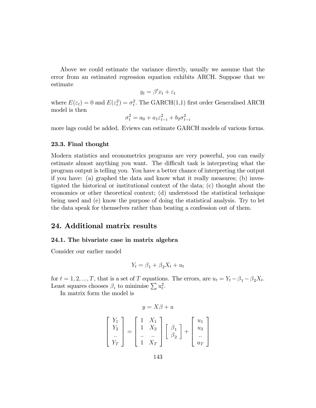Above we could estimate the variance directly, usually we assume that the error from an estimated regression equation exhibits ARCH. Suppose that we estimate

$$
y_t = \beta' x_t + \varepsilon_t
$$

where  $E(\varepsilon_t) = 0$  and  $E(\varepsilon_t^2) = \sigma_t^2$ . The GARCH(1,1) first order Generalised ARCH model is then

$$
\sigma_t^2 = a_0 + a_1 \varepsilon_{t-i}^2 + b_2 \sigma_{t-i}^2
$$

more lags could be added. Eviews can estimate GARCH models of various forms.

# 23.3. Final thought

Modern statistics and econometrics programs are very powerful, you can easily estimate almost anything you want. The difficult task is interpreting what the program output is telling you. You have a better chance of interpreting the output if you have: (a) graphed the data and know what it really measures; (b) investigated the historical or institutional context of the data; (c) thought about the economics or other theoretical context; (d) understood the statistical technique being used and (e) know the purpose of doing the statistical analysis. Try to let the data speak for themselves rather than beating a confession out of them.

# 24. Additional matrix results

#### 24.1. The bivariate case in matrix algebra

Consider our earlier model

$$
Y_t = \beta_1 + \beta_2 X_t + u_t
$$

for  $t = 1, 2, ..., T$ , that is a set of T equations. The errors, are  $u_t = Y_t - \beta_1 - \beta_2 X_t$ . Least squares chooses  $\beta_i$  to minimise  $\sum u_t^2$ .

In matrix form the model is

$$
y = X\beta + u
$$
  
\n
$$
\begin{bmatrix} Y_1 \\ Y_2 \\ \vdots \\ Y_T \end{bmatrix} = \begin{bmatrix} 1 & X_1 \\ 1 & X_2 \\ \vdots & \vdots \\ 1 & X_T \end{bmatrix} \begin{bmatrix} \beta_1 \\ \beta_2 \end{bmatrix} + \begin{bmatrix} u_1 \\ u_2 \\ \vdots \\ u_T \end{bmatrix}
$$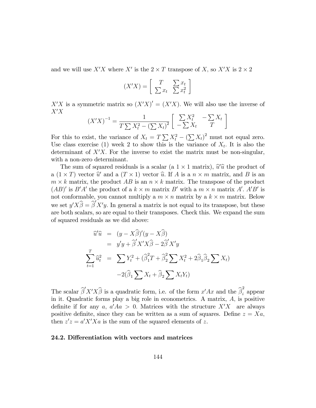and we will use  $X'X$  where  $X'$  is the  $2 \times T$  transpose of X, so  $X'X$  is  $2 \times 2$ 

$$
(X'X) = \left[\begin{array}{cc} T & \sum x_t \\ \sum x_t & \sum x_t^2 \end{array}\right]
$$

 $X'X$  is a symmetric matrix so  $(X'X)' = (X'X)$ . We will also use the inverse of  $X'X$ 

$$
(X'X)^{-1} = \frac{1}{T\sum X_t^2 - (\sum X_t)^2} \left[ \begin{array}{cc} \sum X_t^2 & -\sum X_t \\ -\sum X_t & T \end{array} \right]
$$

For this to exist, the variance of  $X_t = T \sum X_t^2 - (\sum X_t)^2$  must not equal zero. Use class exercise (1) week 2 to show this is the variance of  $X_t$ . It is also the determinant of  $X'X$ . For the inverse to exist the matrix must be non-singular, with a non-zero determinant.

The sum of squared residuals is a scalar (a  $1 \times 1$  matrix),  $\hat{u}'\hat{u}$  the product of a  $(1 \times T)$  vector  $\widehat{u}'$  and a  $(T \times 1)$  vector  $\widehat{u}$ . If A is a  $n \times m$  matrix, and B is an  $m \times k$  matrix, the product  $AB$  is an  $n \times k$  matrix. The transpose of the product  $(AB)'$  is  $B'A'$  the product of a  $k \times m$  matrix B' with a  $m \times n$  matrix A'. A'B' is not conformable, you cannot multiply a  $m \times n$  matrix by a  $k \times m$  matrix. Below we set  $y'X\widehat{\beta} = \widehat{\beta}'X'y$ . In general a matrix is not equal to its transpose, but these are both scalars, so are equal to their transposes. Check this. We expand the sum of squared residuals as we did above:

$$
\hat{u}'\hat{u} = (y - X\hat{\beta})'(y - X\hat{\beta})
$$
\n
$$
= y'y + \hat{\beta}'X'X\hat{\beta} - 2\hat{\beta}'X'y
$$
\n
$$
\sum_{t=1}^{T} \hat{u}_t^2 = \sum Y_t^2 + (\hat{\beta}_1^2 T + \hat{\beta}_2^2 \sum X_t^2 + 2\hat{\beta}_1 \hat{\beta}_2 \sum X_t)
$$
\n
$$
-2(\hat{\beta}_1 \sum X_t + \hat{\beta}_2 \sum X_t Y_t)
$$

The scalar  $\hat{\beta}' X' X \hat{\beta}$  is a quadratic form, i.e. of the form  $x' Ax$  and the  $\hat{\beta}_i^2$  appear in it: Quadratic forms play a big role in econometrics. A matrix, A; is positive definite if for any a,  $a' A a > 0$ . Matrices with the structure  $X'X$  are always positive definite, since they can be written as a sum of squares. Define  $z = Xa$ , then  $z'z = a'X'Xa$  is the sum of the squared elements of z.

# 24.2. Differentiation with vectors and matrices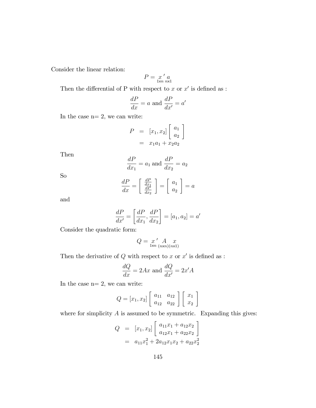Consider the linear relation:

$$
P = \underset{1 \times n}{x} \underset{n \times 1}{'} a
$$

Then the differential of P with respect to x or  $x'$  is defined as :

$$
\frac{dP}{dx} = a \text{ and } \frac{dP}{dx'} = a'
$$

In the case  $n= 2$ , we can write:

$$
P = [x_1, x_2] \begin{bmatrix} a_1 \\ a_2 \end{bmatrix}
$$
  
=  $x_1a_1 + x_2a_2$ 

Then

$$
\frac{dP}{dx_1} = a_1 \text{ and } \frac{dP}{dx_2} = a_2
$$

So

$$
\frac{dP}{dx} = \left[\begin{array}{c}\frac{dP}{dx_1} \\ \frac{dP}{dx_2}\end{array}\right] = \left[\begin{array}{c}a_1 \\ a_2\end{array}\right] = a
$$

and

$$
\frac{dP}{dx'} = \left[\frac{dP}{dx_1}, \frac{dP}{dx_2}\right] = [a_1, a_2] = a'
$$

Consider the quadratic form:

$$
Q = \underset{1 \times n}{x} \underset{(n \times n)(n \times 1)}{A} \underset{(n \times n)}{x}
$$

Then the derivative of  $Q$  with respect to x or  $x'$  is defined as :

$$
\frac{dQ}{dx} = 2Ax
$$
 and 
$$
\frac{dQ}{dx'} = 2x'A
$$

In the case  $n= 2$ , we can write:

$$
Q = [x_1, x_2] \left[ \begin{array}{cc} a_{11} & a_{12} \\ a_{12} & a_{22} \end{array} \right] \left[ \begin{array}{c} x_1 \\ x_2 \end{array} \right]
$$

where for simplicity  $A$  is assumed to be symmetric. Expanding this gives:

$$
Q = [x_1, x_2] \begin{bmatrix} a_{11}x_1 + a_{12}x_2 \ a_{12}x_1 + a_{22}x_2 \end{bmatrix}
$$
  
=  $a_{11}x_1^2 + 2a_{12}x_1x_2 + a_{22}x_2^2$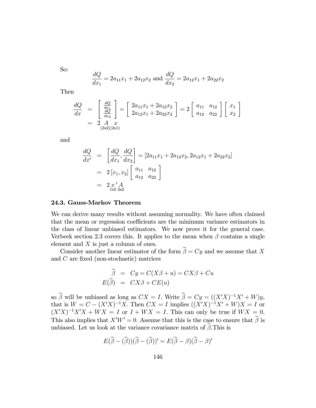So:

$$
\frac{dQ}{dx_1} = 2a_{11}x_1 + 2a_{12}x_2
$$
 and 
$$
\frac{dQ}{dx_2} = 2a_{12}x_1 + 2a_{22}x_2
$$

Then

$$
\frac{dQ}{dx} = \begin{bmatrix} \frac{dQ}{dx_1} \\ \frac{dQ}{dx_2} \end{bmatrix} = \begin{bmatrix} 2a_{11}x_1 + 2a_{12}x_2 \\ 2a_{12}x_1 + 2a_{22}x_2 \end{bmatrix} = 2 \begin{bmatrix} a_{11} & a_{12} \\ a_{12} & a_{22} \end{bmatrix} \begin{bmatrix} x_1 \\ x_2 \end{bmatrix}
$$

$$
= 2 \begin{bmatrix} A & x \\ A & B & C \end{bmatrix}
$$

and

$$
\frac{dQ}{dx'} = \left[\frac{dQ}{dx_1}, \frac{dQ}{dx_2}\right] = \left[2a_{11}x_1 + 2a_{12}x_2, 2a_{12}x_1 + 2a_{22}x_2\right]
$$

$$
= 2\left[x_1, x_2\right] \left[\begin{array}{cc} a_{11} & a_{12} \\ a_{12} & a_{22} \end{array}\right]
$$

$$
= 2\left[x' A_{1 \times 2 \times 2}\right]
$$

## 24.3. Gauss-Markov Theorem

We can derive many results without assuming normality. We have often claimed that the mean or regression coefficients are the minimum variance estimators in the class of linear unbiased estimators. We now prove it for the general case. Verbeek section 2.3 covers this. It applies to the mean when  $\beta$  contains a single element and  $X$  is just a column of ones.

Consider another linear estimator of the form  $\widetilde{\boldsymbol\beta}=C\boldsymbol y$  and we assume that  $X$ and  $C$  are fixed (non-stochastic) matrices

$$
\widetilde{\beta} = Cy = C(X\beta + u) = CX\beta + Cu
$$
  

$$
E(\widetilde{\beta}) = CX\beta + CE(u)
$$

so  $\beta$  will be unbiased as long as  $CX = I$ . Write  $\beta = Cy = ((X'X)^{-1}X' + W)y$ , that is  $W = C - (X'X)^{-1}X$ . Then  $CX = I$  implies  $((X'X)^{-1}X' + W)X = I$  or  $(X'X)^{-1}X'X + WX = I$  or  $I + WX = I$ . This can only be true if  $WX = 0$ . This also implies that  $X'W' = 0$ . Assume that this is the case to ensure that  $\widetilde{\beta}$  is unbiased. Let us look at the variance covariance matrix of  $\beta$ . This is

$$
E(\widetilde{\beta} - (\widetilde{\beta}))(\widetilde{\beta} - (\widetilde{\beta}))' = E(\widetilde{\beta} - \beta)(\widetilde{\beta} - \beta)'
$$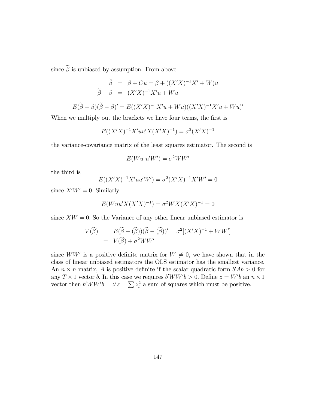since  $\widetilde{\boldsymbol{\beta}}$  is unbiased by assumption. From above

$$
\widetilde{\beta} = \beta + Cu = \beta + ((X'X)^{-1}X' + W)u
$$

$$
\widetilde{\beta} - \beta = (X'X)^{-1}X'u + Wu
$$

$$
E(\widetilde{\beta} - \beta)(\widetilde{\beta} - \beta)' = E((X'X)^{-1}X'u + Wu)((X'X)^{-1}X'u + Wu)'
$$

When we multiply out the brackets we have four terms, the first is

$$
E((X'X)^{-1}X'uu'X(X'X)^{-1}) = \sigma^{2}(X'X)^{-1}
$$

the variance-covariance matrix of the least squares estimator. The second is

$$
E(Wu u'W') = \sigma^2 WW'
$$

the third is

$$
E((X'X)^{-1}X'uu'W') = \sigma^{2}(X'X)^{-1}X'W' = 0
$$

since  $X'W' = 0$ . Similarly

$$
E(Wuu'X(X'X)^{-1}) = \sigma^2WX(X'X)^{-1} = 0
$$

since  $XW = 0$ . So the Variance of any other linear unbiased estimator is

$$
V(\widetilde{\beta}) = E(\widetilde{\beta} - (\widetilde{\beta}))(\widetilde{\beta} - (\widetilde{\beta}))' = \sigma^2[(X'X)^{-1} + WW']
$$
  
=  $V(\widehat{\beta}) + \sigma^2 WW'$ 

since  $WW'$  is a positive definite matrix for  $W \neq 0$ , we have shown that in the class of linear unbiased estimators the OLS estimator has the smallest variance. An  $n \times n$  matrix, A is positive definite if the scalar quadratic form  $b'Ab > 0$  for any  $T \times 1$  vector b. In this case we requires  $b'WW'b > 0$ . Define  $z = W'b$  an  $n \times 1$ vector then  $b'WW'b = z'z = \sum z_t^2$  a sum of squares which must be positive.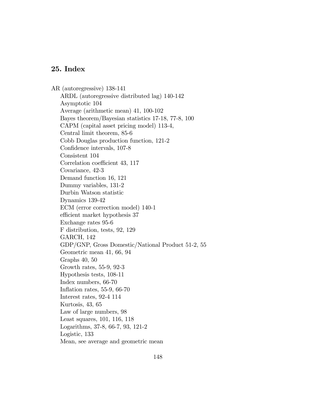## 25. Index

AR (autoregressive) 138-141 ARDL (autoregressive distributed lag) 140-142 Asymptotic 104 Average (arithmetic mean) 41, 100-102 Bayes theorem/Bayesian statistics 17-18, 77-8, 100 CAPM (capital asset pricing model) 113-4, Central limit theorem, 85-6 Cobb Douglas production function, 121-2 Confidence intervals, 107-8 Consistent 104 Correlation coefficient 43, 117 Covariance, 42-3 Demand function 16, 121 Dummy variables, 131-2 Durbin Watson statistic Dynamics 139-42 ECM (error correction model) 140-1 efficient market hypothesis 37 Exchange rates 95-6 F distribution, tests, 92, 129 GARCH, 142 GDP/GNP, Gross Domestic/National Product 51-2, 55 Geometric mean 41, 66, 94 Graphs 40, 50 Growth rates, 55-9, 92-3 Hypothesis tests, 108-11 Index numbers, 66-70 Inflation rates,  $55-9$ ,  $66-70$ Interest rates, 92-4 114 Kurtosis, 43, 65 Law of large numbers, 98 Least squares, 101, 116, 118 Logarithms, 37-8, 66-7, 93, 121-2 Logistic, 133 Mean, see average and geometric mean